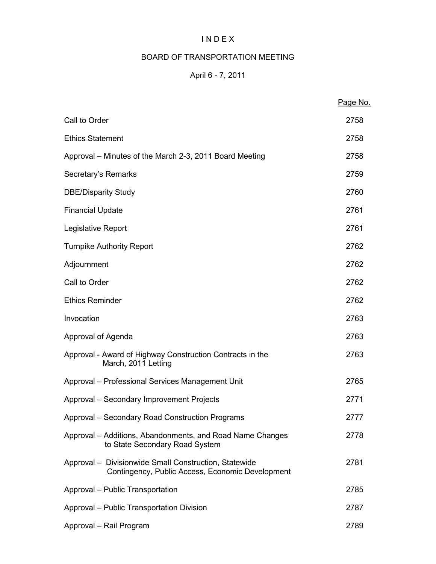# I N D E X

# BOARD OF TRANSPORTATION MEETING

# April 6 - 7, 2011

|                                                                                                           | Page No. |
|-----------------------------------------------------------------------------------------------------------|----------|
| Call to Order                                                                                             | 2758     |
| <b>Ethics Statement</b>                                                                                   | 2758     |
| Approval - Minutes of the March 2-3, 2011 Board Meeting                                                   | 2758     |
| Secretary's Remarks                                                                                       | 2759     |
| <b>DBE/Disparity Study</b>                                                                                | 2760     |
| <b>Financial Update</b>                                                                                   | 2761     |
| Legislative Report                                                                                        | 2761     |
| <b>Turnpike Authority Report</b>                                                                          | 2762     |
| Adjournment                                                                                               | 2762     |
| Call to Order                                                                                             | 2762     |
| <b>Ethics Reminder</b>                                                                                    | 2762     |
| Invocation                                                                                                | 2763     |
| Approval of Agenda                                                                                        | 2763     |
| Approval - Award of Highway Construction Contracts in the<br>March, 2011 Letting                          | 2763     |
| Approval - Professional Services Management Unit                                                          | 2765     |
| Approval - Secondary Improvement Projects                                                                 | 2771     |
| Approval - Secondary Road Construction Programs                                                           | 2777     |
| Approval – Additions, Abandonments, and Road Name Changes<br>to State Secondary Road System               | 2778     |
| Approval - Divisionwide Small Construction, Statewide<br>Contingency, Public Access, Economic Development | 2781     |
| Approval - Public Transportation                                                                          | 2785     |
| Approval - Public Transportation Division                                                                 | 2787     |
| Approval - Rail Program                                                                                   | 2789     |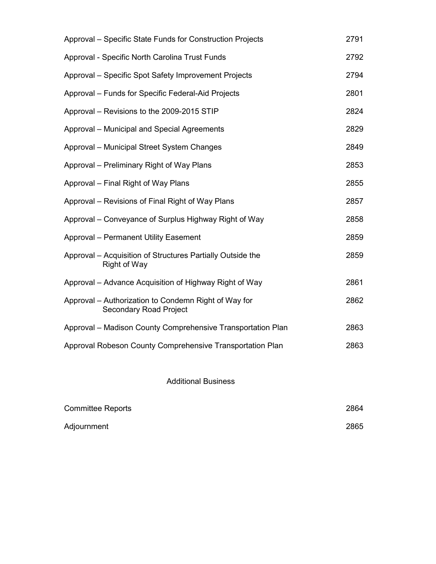| Approval – Specific State Funds for Construction Projects                             | 2791 |
|---------------------------------------------------------------------------------------|------|
| Approval - Specific North Carolina Trust Funds                                        | 2792 |
| Approval - Specific Spot Safety Improvement Projects                                  | 2794 |
| Approval - Funds for Specific Federal-Aid Projects                                    | 2801 |
| Approval - Revisions to the 2009-2015 STIP                                            | 2824 |
| Approval – Municipal and Special Agreements                                           | 2829 |
| Approval - Municipal Street System Changes                                            | 2849 |
| Approval - Preliminary Right of Way Plans                                             | 2853 |
| Approval – Final Right of Way Plans                                                   | 2855 |
| Approval – Revisions of Final Right of Way Plans                                      | 2857 |
| Approval – Conveyance of Surplus Highway Right of Way                                 | 2858 |
| <b>Approval – Permanent Utility Easement</b>                                          | 2859 |
| Approval - Acquisition of Structures Partially Outside the<br><b>Right of Way</b>     | 2859 |
| Approval – Advance Acquisition of Highway Right of Way                                | 2861 |
| Approval – Authorization to Condemn Right of Way for<br><b>Secondary Road Project</b> | 2862 |
| Approval - Madison County Comprehensive Transportation Plan                           | 2863 |
| Approval Robeson County Comprehensive Transportation Plan                             | 2863 |

# Additional Business

| <b>Committee Reports</b> | 2864 |
|--------------------------|------|
| Adjournment              | 2865 |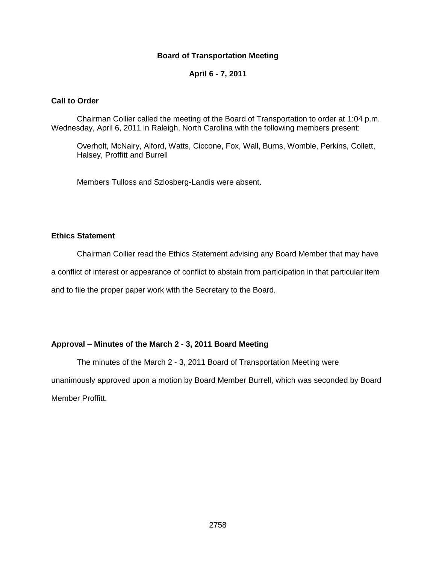# **Board of Transportation Meeting**

# **April 6 - 7, 2011**

### **Call to Order**

Chairman Collier called the meeting of the Board of Transportation to order at 1:04 p.m. Wednesday, April 6, 2011 in Raleigh, North Carolina with the following members present:

Overholt, McNairy, Alford, Watts, Ciccone, Fox, Wall, Burns, Womble, Perkins, Collett, Halsey, Proffitt and Burrell

Members Tulloss and Szlosberg-Landis were absent.

# **Ethics Statement**

Chairman Collier read the Ethics Statement advising any Board Member that may have

a conflict of interest or appearance of conflict to abstain from participation in that particular item

and to file the proper paper work with the Secretary to the Board.

# **Approval – Minutes of the March 2 - 3, 2011 Board Meeting**

The minutes of the March 2 - 3, 2011 Board of Transportation Meeting were unanimously approved upon a motion by Board Member Burrell, which was seconded by Board Member Proffitt.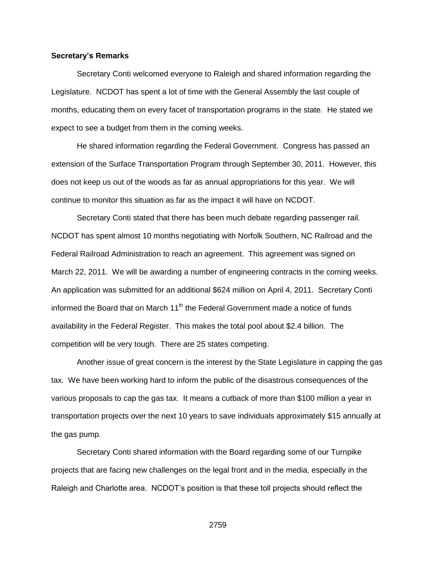#### **Secretary's Remarks**

Secretary Conti welcomed everyone to Raleigh and shared information regarding the Legislature. NCDOT has spent a lot of time with the General Assembly the last couple of months, educating them on every facet of transportation programs in the state. He stated we expect to see a budget from them in the coming weeks.

He shared information regarding the Federal Government. Congress has passed an extension of the Surface Transportation Program through September 30, 2011. However, this does not keep us out of the woods as far as annual appropriations for this year. We will continue to monitor this situation as far as the impact it will have on NCDOT.

Secretary Conti stated that there has been much debate regarding passenger rail. NCDOT has spent almost 10 months negotiating with Norfolk Southern, NC Railroad and the Federal Railroad Administration to reach an agreement. This agreement was signed on March 22, 2011. We will be awarding a number of engineering contracts in the coming weeks. An application was submitted for an additional \$624 million on April 4, 2011. Secretary Conti informed the Board that on March 11<sup>th</sup> the Federal Government made a notice of funds availability in the Federal Register. This makes the total pool about \$2.4 billion. The competition will be very tough. There are 25 states competing.

Another issue of great concern is the interest by the State Legislature in capping the gas tax. We have been working hard to inform the public of the disastrous consequences of the various proposals to cap the gas tax. It means a cutback of more than \$100 million a year in transportation projects over the next 10 years to save individuals approximately \$15 annually at the gas pump.

Secretary Conti shared information with the Board regarding some of our Turnpike projects that are facing new challenges on the legal front and in the media, especially in the Raleigh and Charlotte area. NCDOT's position is that these toll projects should reflect the

2759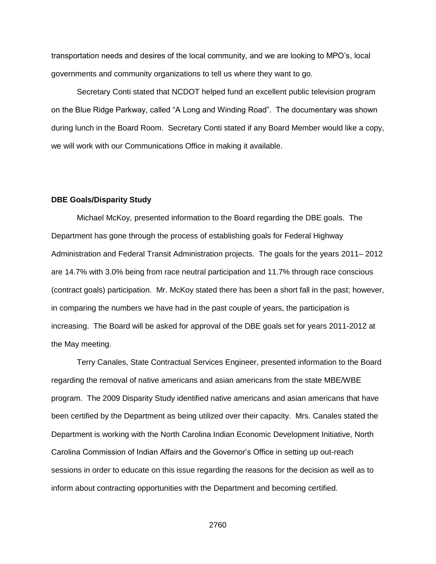transportation needs and desires of the local community, and we are looking to MPO's, local governments and community organizations to tell us where they want to go.

Secretary Conti stated that NCDOT helped fund an excellent public television program on the Blue Ridge Parkway, called "A Long and Winding Road". The documentary was shown during lunch in the Board Room. Secretary Conti stated if any Board Member would like a copy, we will work with our Communications Office in making it available.

#### **DBE Goals/Disparity Study**

Michael McKoy, presented information to the Board regarding the DBE goals. The Department has gone through the process of establishing goals for Federal Highway Administration and Federal Transit Administration projects. The goals for the years 2011– 2012 are 14.7% with 3.0% being from race neutral participation and 11.7% through race conscious (contract goals) participation. Mr. McKoy stated there has been a short fall in the past; however, in comparing the numbers we have had in the past couple of years, the participation is increasing. The Board will be asked for approval of the DBE goals set for years 2011-2012 at the May meeting.

Terry Canales, State Contractual Services Engineer, presented information to the Board regarding the removal of native americans and asian americans from the state MBE/WBE program. The 2009 Disparity Study identified native americans and asian americans that have been certified by the Department as being utilized over their capacity. Mrs. Canales stated the Department is working with the North Carolina Indian Economic Development Initiative, North Carolina Commission of Indian Affairs and the Governor's Office in setting up out-reach sessions in order to educate on this issue regarding the reasons for the decision as well as to inform about contracting opportunities with the Department and becoming certified.

2760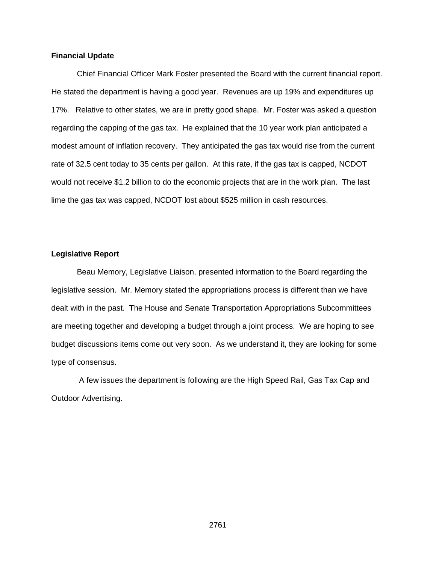#### **Financial Update**

Chief Financial Officer Mark Foster presented the Board with the current financial report. He stated the department is having a good year. Revenues are up 19% and expenditures up 17%. Relative to other states, we are in pretty good shape. Mr. Foster was asked a question regarding the capping of the gas tax. He explained that the 10 year work plan anticipated a modest amount of inflation recovery. They anticipated the gas tax would rise from the current rate of 32.5 cent today to 35 cents per gallon. At this rate, if the gas tax is capped, NCDOT would not receive \$1.2 billion to do the economic projects that are in the work plan. The last lime the gas tax was capped, NCDOT lost about \$525 million in cash resources.

#### **Legislative Report**

Beau Memory, Legislative Liaison, presented information to the Board regarding the legislative session. Mr. Memory stated the appropriations process is different than we have dealt with in the past. The House and Senate Transportation Appropriations Subcommittees are meeting together and developing a budget through a joint process. We are hoping to see budget discussions items come out very soon. As we understand it, they are looking for some type of consensus.

A few issues the department is following are the High Speed Rail, Gas Tax Cap and Outdoor Advertising.

2761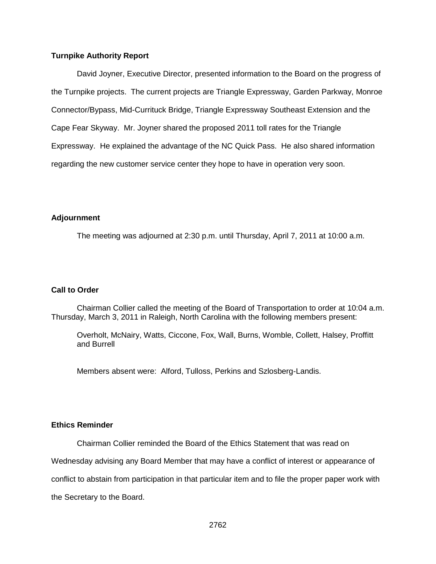### **Turnpike Authority Report**

David Joyner, Executive Director, presented information to the Board on the progress of the Turnpike projects. The current projects are Triangle Expressway, Garden Parkway, Monroe Connector/Bypass, Mid-Currituck Bridge, Triangle Expressway Southeast Extension and the Cape Fear Skyway. Mr. Joyner shared the proposed 2011 toll rates for the Triangle Expressway. He explained the advantage of the NC Quick Pass. He also shared information regarding the new customer service center they hope to have in operation very soon.

# **Adjournment**

The meeting was adjourned at 2:30 p.m. until Thursday, April 7, 2011 at 10:00 a.m.

# **Call to Order**

Chairman Collier called the meeting of the Board of Transportation to order at 10:04 a.m. Thursday, March 3, 2011 in Raleigh, North Carolina with the following members present:

Overholt, McNairy, Watts, Ciccone, Fox, Wall, Burns, Womble, Collett, Halsey, Proffitt and Burrell

Members absent were: Alford, Tulloss, Perkins and Szlosberg-Landis.

# **Ethics Reminder**

Chairman Collier reminded the Board of the Ethics Statement that was read on

Wednesday advising any Board Member that may have a conflict of interest or appearance of

conflict to abstain from participation in that particular item and to file the proper paper work with

the Secretary to the Board.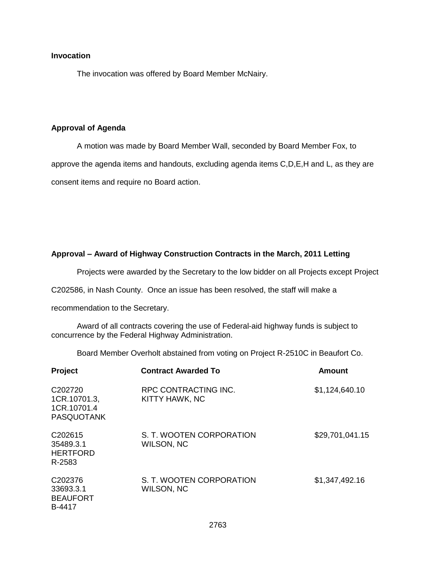# **Invocation**

The invocation was offered by Board Member McNairy.

# **Approval of Agenda**

A motion was made by Board Member Wall, seconded by Board Member Fox, to approve the agenda items and handouts, excluding agenda items C,D,E,H and L, as they are consent items and require no Board action.

# **Approval – Award of Highway Construction Contracts in the March, 2011 Letting**

Projects were awarded by the Secretary to the low bidder on all Projects except Project

C202586, in Nash County. Once an issue has been resolved, the staff will make a

recommendation to the Secretary.

Award of all contracts covering the use of Federal-aid highway funds is subject to concurrence by the Federal Highway Administration.

Board Member Overholt abstained from voting on Project R-2510C in Beaufort Co.

| <b>Project</b>                                                          | <b>Contract Awarded To</b>                    | <b>Amount</b>   |
|-------------------------------------------------------------------------|-----------------------------------------------|-----------------|
| C <sub>202720</sub><br>1CR.10701.3,<br>1CR.10701.4<br><b>PASQUOTANK</b> | RPC CONTRACTING INC.<br>KITTY HAWK, NC        | \$1,124,640.10  |
| C <sub>202615</sub><br>35489.3.1<br><b>HERTFORD</b><br>R-2583           | S. T. WOOTEN CORPORATION<br><b>WILSON, NC</b> | \$29,701,041.15 |
| C <sub>202376</sub><br>33693.3.1<br><b>BEAUFORT</b><br>B-4417           | S. T. WOOTEN CORPORATION<br><b>WILSON, NC</b> | \$1,347,492.16  |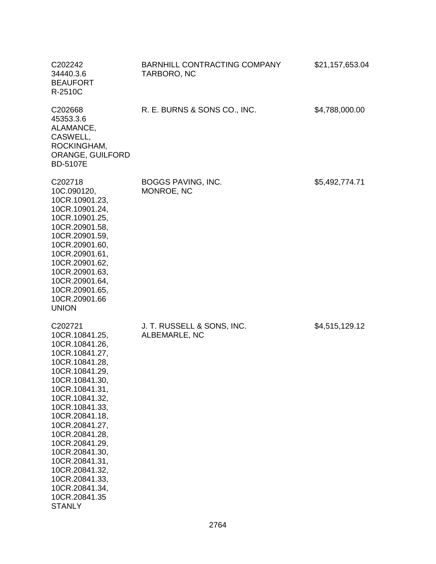| C <sub>202242</sub><br>34440.3.6<br><b>BEAUFORT</b><br>R-2510C                                                                                                                                                                                                                                                                                                                | BARNHILL CONTRACTING COMPANY<br>TARBORO, NC | \$21,157,653.04 |
|-------------------------------------------------------------------------------------------------------------------------------------------------------------------------------------------------------------------------------------------------------------------------------------------------------------------------------------------------------------------------------|---------------------------------------------|-----------------|
| C202668<br>45353.3.6<br>ALAMANCE,<br>CASWELL,<br>ROCKINGHAM,<br>ORANGE, GUILFORD<br><b>BD-5107E</b>                                                                                                                                                                                                                                                                           | R. E. BURNS & SONS CO., INC.                | \$4,788,000.00  |
| C202718<br>10C.090120,<br>10CR.10901.23,<br>10CR.10901.24,<br>10CR.10901.25,<br>10CR.20901.58,<br>10CR.20901.59,<br>10CR.20901.60,<br>10CR.20901.61,<br>10CR.20901.62,<br>10CR.20901.63,<br>10CR.20901.64,<br>10CR.20901.65,<br>10CR.20901.66<br><b>UNION</b>                                                                                                                 | BOGGS PAVING, INC.<br>MONROE, NC            | \$5,492,774.71  |
| C202721<br>10CR.10841.25,<br>10CR.10841.26,<br>10CR.10841.27,<br>10CR.10841.28,<br>10CR.10841.29,<br>10CR.10841.30,<br>10CR.10841.31,<br>10CR.10841.32,<br>10CR.10841.33,<br>10CR.20841.18,<br>10CR.20841.27,<br>10CR.20841.28,<br>10CR.20841.29,<br>10CR.20841.30,<br>10CR.20841.31,<br>10CR.20841.32,<br>10CR.20841.33,<br>10CR.20841.34,<br>10CR.20841.35<br><b>STANLY</b> | J. T. RUSSELL & SONS, INC.<br>ALBEMARLE, NC | \$4,515,129.12  |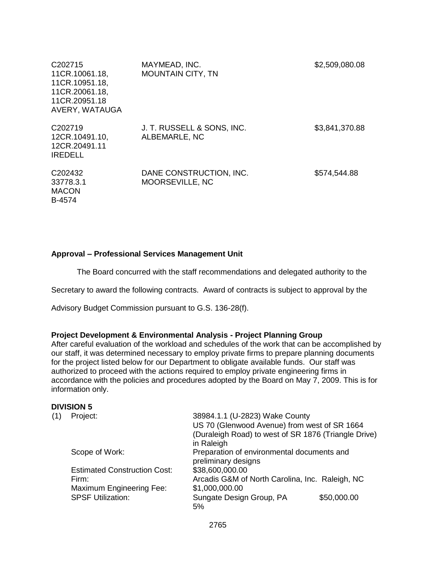| C202715<br>11CR.10061.18,<br>11CR.10951.18,<br>11CR.20061.18,<br>11CR.20951.18<br>AVERY, WATAUGA | MAYMEAD, INC.<br><b>MOUNTAIN CITY, TN</b>   | \$2,509,080.08 |
|--------------------------------------------------------------------------------------------------|---------------------------------------------|----------------|
| C <sub>202719</sub><br>12CR.10491.10,<br>12CR.20491.11<br><b>IREDELL</b>                         | J. T. RUSSELL & SONS, INC.<br>ALBEMARLE, NC | \$3,841,370.88 |
| C <sub>202432</sub><br>33778.3.1<br><b>MACON</b><br>B-4574                                       | DANE CONSTRUCTION, INC.<br>MOORSEVILLE, NC  | \$574,544.88   |

# **Approval – Professional Services Management Unit**

The Board concurred with the staff recommendations and delegated authority to the

Secretary to award the following contracts. Award of contracts is subject to approval by the

Advisory Budget Commission pursuant to G.S. 136-28(f).

#### **Project Development & Environmental Analysis - Project Planning Group**

After careful evaluation of the workload and schedules of the work that can be accomplished by our staff, it was determined necessary to employ private firms to prepare planning documents for the project listed below for our Department to obligate available funds. Our staff was authorized to proceed with the actions required to employ private engineering firms in accordance with the policies and procedures adopted by the Board on May 7, 2009. This is for information only.

#### **DIVISION 5**

| (1) | Project:                            | 38984.1.1 (U-2823) Wake County<br>US 70 (Glenwood Avenue) from west of SR 1664<br>(Duraleigh Road) to west of SR 1876 (Triangle Drive)<br>in Raleigh |             |
|-----|-------------------------------------|------------------------------------------------------------------------------------------------------------------------------------------------------|-------------|
|     | Scope of Work:                      | Preparation of environmental documents and<br>preliminary designs                                                                                    |             |
|     | <b>Estimated Construction Cost:</b> | \$38,600,000.00                                                                                                                                      |             |
|     | Firm:                               | Arcadis G&M of North Carolina, Inc. Raleigh, NC                                                                                                      |             |
|     | Maximum Engineering Fee:            | \$1,000,000.00                                                                                                                                       |             |
|     | <b>SPSF Utilization:</b>            | Sungate Design Group, PA<br>5%                                                                                                                       | \$50,000.00 |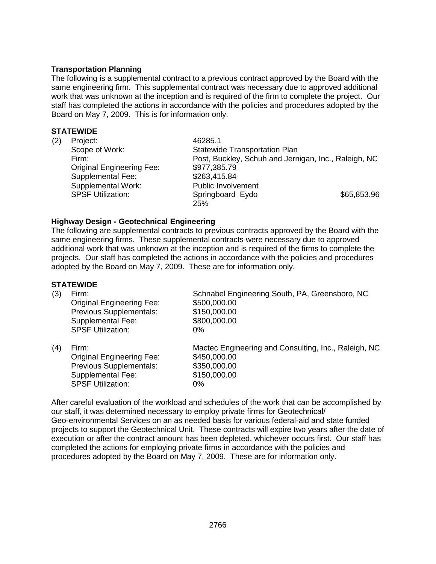# **Transportation Planning**

The following is a supplemental contract to a previous contract approved by the Board with the same engineering firm. This supplemental contract was necessary due to approved additional work that was unknown at the inception and is required of the firm to complete the project. Our staff has completed the actions in accordance with the policies and procedures adopted by the Board on May 7, 2009. This is for information only.

# **STATEWIDE**

| (2) | Project:                         | 46285.1                                              |             |
|-----|----------------------------------|------------------------------------------------------|-------------|
|     | Scope of Work:                   | <b>Statewide Transportation Plan</b>                 |             |
|     | Firm:                            | Post, Buckley, Schuh and Jernigan, Inc., Raleigh, NC |             |
|     | <b>Original Engineering Fee:</b> | \$977,385.79                                         |             |
|     | <b>Supplemental Fee:</b>         | \$263,415.84                                         |             |
|     | Supplemental Work:               | Public Involvement                                   |             |
|     | <b>SPSF Utilization:</b>         | Springboard Eydo<br>25%                              | \$65,853.96 |

# **Highway Design - Geotechnical Engineering**

The following are supplemental contracts to previous contracts approved by the Board with the same engineering firms. These supplemental contracts were necessary due to approved additional work that was unknown at the inception and is required of the firms to complete the projects. Our staff has completed the actions in accordance with the policies and procedures adopted by the Board on May 7, 2009. These are for information only.

#### **STATEWIDE**

| (3) | Firm:                            | Schnabel Engineering South, PA, Greensboro, NC       |
|-----|----------------------------------|------------------------------------------------------|
|     | <b>Original Engineering Fee:</b> | \$500,000.00                                         |
|     | Previous Supplementals:          | \$150,000.00                                         |
|     | Supplemental Fee:                | \$800,000.00                                         |
|     | <b>SPSF Utilization:</b>         | $0\%$                                                |
| (4) | Firm:                            | Mactec Engineering and Consulting, Inc., Raleigh, NC |
|     | <b>Original Engineering Fee:</b> | \$450,000.00                                         |
|     | Previous Supplementals:          | \$350,000.00                                         |
|     | Supplemental Fee:                | \$150,000.00                                         |
|     | <b>SPSF Utilization:</b>         | 0%                                                   |

After careful evaluation of the workload and schedules of the work that can be accomplished by our staff, it was determined necessary to employ private firms for Geotechnical/ Geo-environmental Services on an as needed basis for various federal-aid and state funded projects to support the Geotechnical Unit. These contracts will expire two years after the date of execution or after the contract amount has been depleted, whichever occurs first. Our staff has completed the actions for employing private firms in accordance with the policies and procedures adopted by the Board on May 7, 2009. These are for information only.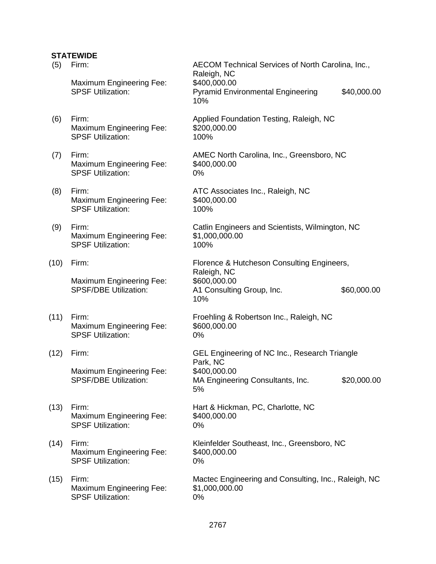# **STATEWIDE**<br>(5) Firm:

AECOM Technical Services of North Carolina, Inc., Raleigh, NC Maximum Engineering Fee: \$400,000.00 SPSF Utilization: Pyramid Environmental Engineering \$40,000.00 10% (6) Firm: Applied Foundation Testing, Raleigh, NC Maximum Engineering Fee: \$200,000.00 SPSF Utilization: 100% (7) Firm: AMEC North Carolina, Inc., Greensboro, NC Maximum Engineering Fee: \$400,000.00 SPSF Utilization: 0% (8) Firm: ATC Associates Inc., Raleigh, NC Maximum Engineering Fee: \$400,000.00 SPSF Utilization: 100% (9) Firm: Catlin Engineers and Scientists, Wilmington, NC Maximum Engineering Fee: \$1,000,000.00 SPSF Utilization: 100% (10) Firm: Florence & Hutcheson Consulting Engineers, Raleigh, NC Maximum Engineering Fee: \$600,000.00<br>SPSF/DBE Utilization: <br>A1 Consulting A1 Consulting Group, Inc. \$60,000.00 10% (11) Firm: Froehling & Robertson Inc., Raleigh, NC Maximum Engineering Fee: \$600,000.00 SPSF Utilization: 0% (12) Firm: GEL Engineering of NC Inc., Research Triangle Park, NC Maximum Engineering Fee: \$400,000.00 SPSF/DBE Utilization: MA Engineering Consultants, Inc. \$20,000.00 5% (13) Firm: Hart & Hickman, PC, Charlotte, NC Maximum Engineering Fee: \$400,000.00 SPSF Utilization: 0% (14) Firm: Kleinfelder Southeast, Inc., Greensboro, NC Maximum Engineering Fee: \$400,000.00 SPSF Utilization: 0% (15) Firm: Mactec Engineering and Consulting, Inc., Raleigh, NC Maximum Engineering Fee: \$1,000,000.00 SPSF Utilization: 0%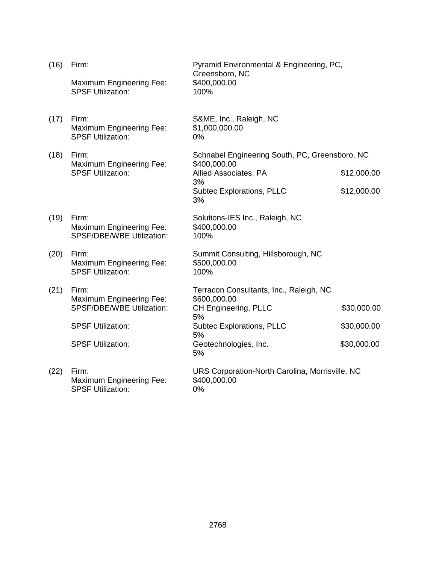| (16) | Firm:<br><b>Maximum Engineering Fee:</b><br><b>SPSF Utilization:</b>         | Pyramid Environmental & Engineering, PC,<br>Greensboro, NC<br>\$400,000.00<br>100% |             |
|------|------------------------------------------------------------------------------|------------------------------------------------------------------------------------|-------------|
| (17) | Firm:<br><b>Maximum Engineering Fee:</b><br><b>SPSF Utilization:</b>         | S&ME, Inc., Raleigh, NC<br>\$1,000,000.00<br>$0\%$                                 |             |
| (18) | Firm:                                                                        | Schnabel Engineering South, PC, Greensboro, NC                                     |             |
|      | <b>Maximum Engineering Fee:</b><br><b>SPSF Utilization:</b>                  | \$400,000.00<br>Allied Associates, PA                                              | \$12,000.00 |
|      |                                                                              | 3%<br><b>Subtec Explorations, PLLC</b><br>3%                                       | \$12,000.00 |
| (19) | Firm:<br><b>Maximum Engineering Fee:</b><br><b>SPSF/DBE/WBE Utilization:</b> | Solutions-IES Inc., Raleigh, NC<br>\$400,000.00<br>100%                            |             |
| (20) | Firm:<br><b>Maximum Engineering Fee:</b><br><b>SPSF Utilization:</b>         | Summit Consulting, Hillsborough, NC<br>\$500,000.00<br>100%                        |             |
| (21) | Firm:<br><b>Maximum Engineering Fee:</b><br><b>SPSF/DBE/WBE Utilization:</b> | Terracon Consultants, Inc., Raleigh, NC<br>\$600,000.00<br>CH Engineering, PLLC    | \$30,000.00 |
|      | <b>SPSF Utilization:</b>                                                     | 5%<br><b>Subtec Explorations, PLLC</b>                                             | \$30,000.00 |
|      | <b>SPSF Utilization:</b>                                                     | 5%<br>Geotechnologies, Inc.<br>5%                                                  | \$30,000.00 |
| (22) | Firm:<br><b>Maximum Engineering Fee:</b><br><b>SPSF Utilization:</b>         | URS Corporation-North Carolina, Morrisville, NC<br>\$400,000.00<br>0%              |             |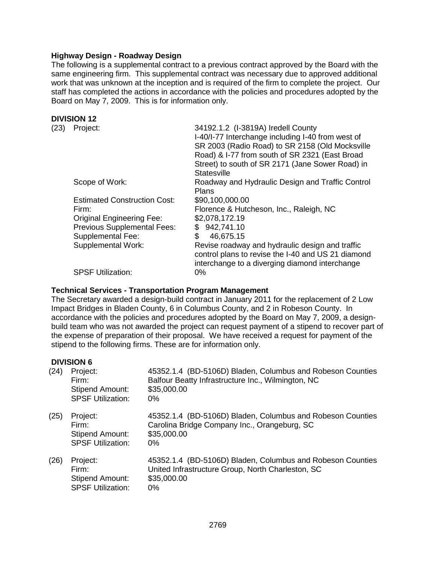# **Highway Design - Roadway Design**

The following is a supplemental contract to a previous contract approved by the Board with the same engineering firm. This supplemental contract was necessary due to approved additional work that was unknown at the inception and is required of the firm to complete the project. Our staff has completed the actions in accordance with the policies and procedures adopted by the Board on May 7, 2009. This is for information only.

### **DIVISION 12**

| (23) | Project:                            | 34192.1.2 (I-3819A) Iredell County<br>I-40/I-77 Interchange including I-40 from west of<br>SR 2003 (Radio Road) to SR 2158 (Old Mocksville<br>Road) & I-77 from south of SR 2321 (East Broad<br>Street) to south of SR 2171 (Jane Sower Road) in<br><b>Statesville</b> |
|------|-------------------------------------|------------------------------------------------------------------------------------------------------------------------------------------------------------------------------------------------------------------------------------------------------------------------|
|      | Scope of Work:                      | Roadway and Hydraulic Design and Traffic Control<br><b>Plans</b>                                                                                                                                                                                                       |
|      | <b>Estimated Construction Cost:</b> | \$90,100,000.00                                                                                                                                                                                                                                                        |
|      | Firm:                               | Florence & Hutcheson, Inc., Raleigh, NC                                                                                                                                                                                                                                |
|      | <b>Original Engineering Fee:</b>    | \$2,078,172.19                                                                                                                                                                                                                                                         |
|      | <b>Previous Supplemental Fees:</b>  | 942,741.10<br>\$                                                                                                                                                                                                                                                       |
|      | <b>Supplemental Fee:</b>            | \$<br>46,675.15                                                                                                                                                                                                                                                        |
|      | <b>Supplemental Work:</b>           | Revise roadway and hydraulic design and traffic<br>control plans to revise the I-40 and US 21 diamond<br>interchange to a diverging diamond interchange                                                                                                                |
|      | <b>SPSF Utilization:</b>            | 0%                                                                                                                                                                                                                                                                     |

### **Technical Services - Transportation Program Management**

The Secretary awarded a design-build contract in January 2011 for the replacement of 2 Low Impact Bridges in Bladen County, 6 in Columbus County, and 2 in Robeson County. In accordance with the policies and procedures adopted by the Board on May 7, 2009, a designbuild team who was not awarded the project can request payment of a stipend to recover part of the expense of preparation of their proposal. We have received a request for payment of the stipend to the following firms. These are for information only.

#### **DIVISION 6**

| (24) | Project:<br>Firm:<br><b>Stipend Amount:</b><br><b>SPSF Utilization:</b> | 45352.1.4 (BD-5106D) Bladen, Columbus and Robeson Counties<br>Balfour Beatty Infrastructure Inc., Wilmington, NC<br>\$35,000.00<br>$0\%$ |
|------|-------------------------------------------------------------------------|------------------------------------------------------------------------------------------------------------------------------------------|
| (25) | Project:<br>Firm:<br><b>Stipend Amount:</b><br><b>SPSF Utilization:</b> | 45352.1.4 (BD-5106D) Bladen, Columbus and Robeson Counties<br>Carolina Bridge Company Inc., Orangeburg, SC<br>\$35,000.00<br>$0\%$       |
| (26) | Project:<br>Firm:<br><b>Stipend Amount:</b><br><b>SPSF Utilization:</b> | 45352.1.4 (BD-5106D) Bladen, Columbus and Robeson Counties<br>United Infrastructure Group, North Charleston, SC<br>\$35,000.00<br>0%     |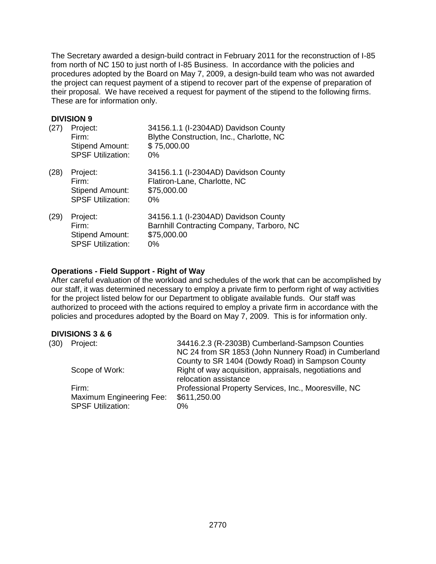The Secretary awarded a design-build contract in February 2011 for the reconstruction of I-85 from north of NC 150 to just north of I-85 Business. In accordance with the policies and procedures adopted by the Board on May 7, 2009, a design-build team who was not awarded the project can request payment of a stipend to recover part of the expense of preparation of their proposal. We have received a request for payment of the stipend to the following firms. These are for information only.

# **DIVISION 9**

| (27) | Project:<br>Firm:<br><b>Stipend Amount:</b><br><b>SPSF Utilization:</b> | 34156.1.1 (I-2304AD) Davidson County<br>Blythe Construction, Inc., Charlotte, NC<br>\$75,000.00<br>$0\%$  |
|------|-------------------------------------------------------------------------|-----------------------------------------------------------------------------------------------------------|
| (28) | Project:<br>Firm:<br><b>Stipend Amount:</b><br><b>SPSF Utilization:</b> | 34156.1.1 (I-2304AD) Davidson County<br>Flatiron-Lane, Charlotte, NC<br>\$75,000.00<br>0%                 |
| (29) | Project:<br>Firm:<br><b>Stipend Amount:</b><br><b>SPSF Utilization:</b> | 34156.1.1 (I-2304AD) Davidson County<br>Barnhill Contracting Company, Tarboro, NC<br>\$75,000.00<br>$0\%$ |

# **Operations - Field Support - Right of Way**

After careful evaluation of the workload and schedules of the work that can be accomplished by our staff, it was determined necessary to employ a private firm to perform right of way activities for the project listed below for our Department to obligate available funds. Our staff was authorized to proceed with the actions required to employ a private firm in accordance with the policies and procedures adopted by the Board on May 7, 2009. This is for information only.

# **DIVISIONS 3 & 6**

| Project:                                             | 34416.2.3 (R-2303B) Cumberland-Sampson Counties<br>NC 24 from SR 1853 (John Nunnery Road) in Cumberland |
|------------------------------------------------------|---------------------------------------------------------------------------------------------------------|
|                                                      | County to SR 1404 (Dowdy Road) in Sampson County                                                        |
| Scope of Work:                                       | Right of way acquisition, appraisals, negotiations and<br>relocation assistance                         |
| Firm:                                                | Professional Property Services, Inc., Mooresville, NC                                                   |
| Maximum Engineering Fee:<br><b>SPSF Utilization:</b> | \$611,250.00<br>0%                                                                                      |
|                                                      |                                                                                                         |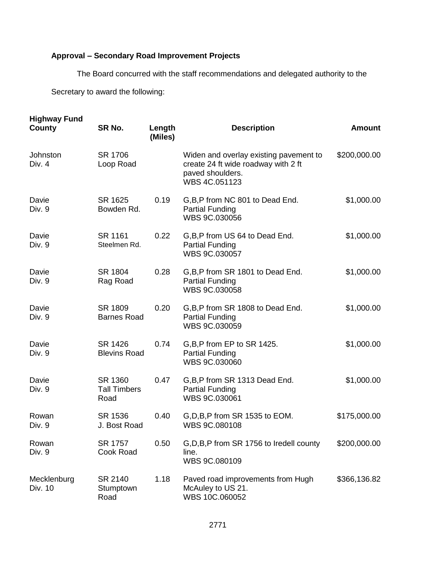# **Approval – Secondary Road Improvement Projects**

The Board concurred with the staff recommendations and delegated authority to the

Secretary to award the following:

| <b>Highway Fund</b><br>County | SR No.                                 | Length<br>(Miles) | <b>Description</b>                                                                                                 | <b>Amount</b> |
|-------------------------------|----------------------------------------|-------------------|--------------------------------------------------------------------------------------------------------------------|---------------|
| Johnston<br>Div. 4            | SR 1706<br>Loop Road                   |                   | Widen and overlay existing pavement to<br>create 24 ft wide roadway with 2 ft<br>paved shoulders.<br>WBS 4C.051123 | \$200,000.00  |
| Davie<br>Div. 9               | SR 1625<br>Bowden Rd.                  | 0.19              | G,B,P from NC 801 to Dead End.<br><b>Partial Funding</b><br>WBS 9C.030056                                          | \$1,000.00    |
| Davie<br>Div. 9               | SR 1161<br>Steelmen Rd.                | 0.22              | G, B, P from US 64 to Dead End.<br><b>Partial Funding</b><br>WBS 9C.030057                                         | \$1,000.00    |
| Davie<br>Div. 9               | SR 1804<br>Rag Road                    | 0.28              | G,B,P from SR 1801 to Dead End.<br><b>Partial Funding</b><br>WBS 9C.030058                                         | \$1,000.00    |
| Davie<br>Div. 9               | SR 1809<br><b>Barnes Road</b>          | 0.20              | G,B,P from SR 1808 to Dead End.<br><b>Partial Funding</b><br>WBS 9C.030059                                         | \$1,000.00    |
| Davie<br>Div. 9               | SR 1426<br><b>Blevins Road</b>         | 0.74              | G, B, P from EP to SR 1425.<br><b>Partial Funding</b><br>WBS 9C.030060                                             | \$1,000.00    |
| Davie<br>Div. 9               | SR 1360<br><b>Tall Timbers</b><br>Road | 0.47              | G, B, P from SR 1313 Dead End.<br><b>Partial Funding</b><br>WBS 9C.030061                                          | \$1,000.00    |
| Rowan<br>Div. 9               | SR 1536<br>J. Bost Road                | 0.40              | G, D, B, P from SR 1535 to EOM.<br>WBS 9C.080108                                                                   | \$175,000.00  |
| Rowan<br>Div. 9               | SR 1757<br>Cook Road                   | 0.50              | G, D, B, P from SR 1756 to Iredell county<br>line.<br>WBS 9C.080109                                                | \$200,000.00  |
| Mecklenburg<br>Div. 10        | SR 2140<br>Stumptown<br>Road           | 1.18              | Paved road improvements from Hugh<br>McAuley to US 21.<br>WBS 10C.060052                                           | \$366,136.82  |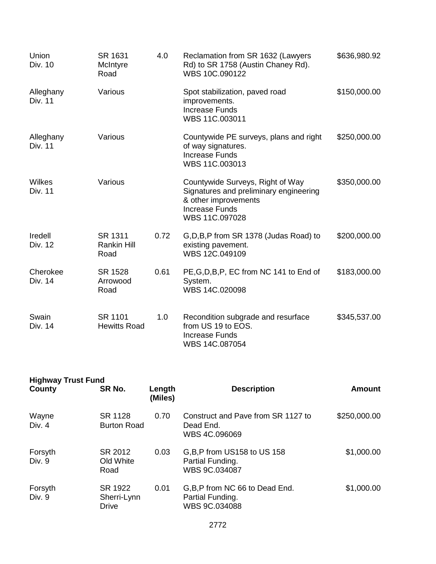| Union<br>Div. 10            | SR 1631<br>McIntyre<br>Road           | 4.0  | Reclamation from SR 1632 (Lawyers<br>Rd) to SR 1758 (Austin Chaney Rd).<br>WBS 10C.090122                                                     | \$636,980.92 |
|-----------------------------|---------------------------------------|------|-----------------------------------------------------------------------------------------------------------------------------------------------|--------------|
| Alleghany<br><b>Div. 11</b> | Various                               |      | Spot stabilization, paved road<br>improvements.<br><b>Increase Funds</b><br>WBS 11C.003011                                                    | \$150,000.00 |
| Alleghany<br><b>Div. 11</b> | Various                               |      | Countywide PE surveys, plans and right<br>of way signatures.<br><b>Increase Funds</b><br>WBS 11C.003013                                       | \$250,000.00 |
| Wilkes<br>Div. 11           | Various                               |      | Countywide Surveys, Right of Way<br>Signatures and preliminary engineering<br>& other improvements<br><b>Increase Funds</b><br>WBS 11C.097028 | \$350,000.00 |
| Iredell<br>Div. 12          | SR 1311<br><b>Rankin Hill</b><br>Road | 0.72 | G, D, B, P from SR 1378 (Judas Road) to<br>existing pavement.<br>WBS 12C.049109                                                               | \$200,000.00 |
| Cherokee<br>Div. 14         | SR 1528<br>Arrowood<br>Road           | 0.61 | PE, G, D, B, P, EC from NC 141 to End of<br>System.<br>WBS 14C.020098                                                                         | \$183,000.00 |
| Swain<br>Div. 14            | SR 1101<br><b>Hewitts Road</b>        | 1.0  | Recondition subgrade and resurface<br>from US 19 to EOS.<br><b>Increase Funds</b><br>WBS 14C.087054                                           | \$345,537.00 |

| <b>Highway Trust Fund</b><br>County | SR No.                                 | Length<br>(Miles) | <b>Description</b>                                                   | <b>Amount</b> |
|-------------------------------------|----------------------------------------|-------------------|----------------------------------------------------------------------|---------------|
| Wayne<br>Div. 4                     | SR 1128<br><b>Burton Road</b>          | 0.70              | Construct and Pave from SR 1127 to<br>Dead End.<br>WBS 4C.096069     | \$250,000.00  |
| Forsyth<br>Div. 9                   | SR 2012<br>Old White<br>Road           | 0.03              | G, B, P from US158 to US 158<br>Partial Funding.<br>WBS 9C.034087    | \$1,000.00    |
| Forsyth<br>Div. 9                   | SR 1922<br>Sherri-Lynn<br><b>Drive</b> | 0.01              | G, B, P from NC 66 to Dead End.<br>Partial Funding.<br>WBS 9C.034088 | \$1,000.00    |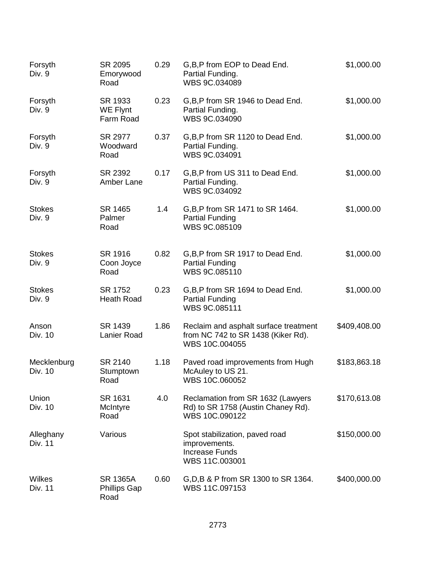| Forsyth<br>Div. 9       | SR 2095<br>Emorywood<br>Road                   | 0.29 | G, B, P from EOP to Dead End.<br>Partial Funding.<br>WBS 9C.034089                            | \$1,000.00   |
|-------------------------|------------------------------------------------|------|-----------------------------------------------------------------------------------------------|--------------|
| Forsyth<br>Div. 9       | SR 1933<br><b>WE Flynt</b><br>Farm Road        | 0.23 | G, B, P from SR 1946 to Dead End.<br>Partial Funding.<br>WBS 9C.034090                        | \$1,000.00   |
| Forsyth<br>Div. 9       | SR 2977<br>Woodward<br>Road                    | 0.37 | G, B, P from SR 1120 to Dead End.<br>Partial Funding.<br>WBS 9C.034091                        | \$1,000.00   |
| Forsyth<br>Div. 9       | SR 2392<br>Amber Lane                          | 0.17 | G, B, P from US 311 to Dead End.<br>Partial Funding.<br>WBS 9C.034092                         | \$1,000.00   |
| <b>Stokes</b><br>Div. 9 | SR 1465<br>Palmer<br>Road                      | 1.4  | G, B, P from SR 1471 to SR 1464.<br><b>Partial Funding</b><br>WBS 9C.085109                   | \$1,000.00   |
| <b>Stokes</b><br>Div. 9 | SR 1916<br>Coon Joyce<br>Road                  | 0.82 | G, B, P from SR 1917 to Dead End.<br><b>Partial Funding</b><br>WBS 9C.085110                  | \$1,000.00   |
| <b>Stokes</b><br>Div. 9 | SR 1752<br><b>Heath Road</b>                   | 0.23 | G,B,P from SR 1694 to Dead End.<br><b>Partial Funding</b><br>WBS 9C.085111                    | \$1,000.00   |
| Anson<br>Div. 10        | SR 1439<br>Lanier Road                         | 1.86 | Reclaim and asphalt surface treatment<br>from NC 742 to SR 1438 (Kiker Rd).<br>WBS 10C.004055 | \$409,408.00 |
| Mecklenburg<br>Div. 10  | SR 2140<br>Stumptown<br>Road                   | 1.18 | Paved road improvements from Hugh<br>McAuley to US 21.<br>WBS 10C.060052                      | \$183,863.18 |
| Union<br>Div. 10        | SR 1631<br>McIntyre<br>Road                    | 4.0  | Reclamation from SR 1632 (Lawyers<br>Rd) to SR 1758 (Austin Chaney Rd).<br>WBS 10C.090122     | \$170,613.08 |
| Alleghany<br>Div. 11    | Various                                        |      | Spot stabilization, paved road<br>improvements.<br><b>Increase Funds</b><br>WBS 11C.003001    | \$150,000.00 |
| Wilkes<br>Div. 11       | <b>SR 1365A</b><br><b>Phillips Gap</b><br>Road | 0.60 | G, D, B & P from SR 1300 to SR 1364.<br>WBS 11C.097153                                        | \$400,000.00 |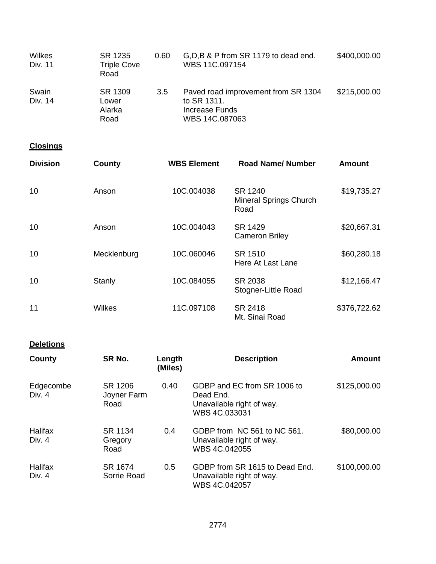| Wilkes<br>Div. 11 | SR 1235<br><b>Triple Cove</b><br>Road | 0.60 | G, D, B & P from SR 1179 to dead end.<br>WBS 11C.097154                                | \$400,000.00 |
|-------------------|---------------------------------------|------|----------------------------------------------------------------------------------------|--------------|
| Swain<br>Div. 14  | SR 1309<br>Lower<br>Alarka<br>Road    | 3.5  | Paved road improvement from SR 1304<br>to SR 1311.<br>Increase Funds<br>WBS 14C.087063 | \$215,000.00 |

# **Closings**

| <b>Division</b> | County      | <b>WBS Element</b> | <b>Road Name/ Number</b>                         | <b>Amount</b> |
|-----------------|-------------|--------------------|--------------------------------------------------|---------------|
| 10              | Anson       | 10C.004038         | SR 1240<br><b>Mineral Springs Church</b><br>Road | \$19,735.27   |
| 10              | Anson       | 10C.004043         | SR 1429<br><b>Cameron Briley</b>                 | \$20,667.31   |
| 10              | Mecklenburg | 10C.060046         | SR 1510<br>Here At Last Lane                     | \$60,280.18   |
| 10              | Stanly      | 10C.084055         | SR 2038<br>Stogner-Little Road                   | \$12,166.47   |
| 11              | Wilkes      | 11C.097108         | SR 2418<br>Mt. Sinai Road                        | \$376,722.62  |

# **Deletions**

| County              | SR No.                         | Length<br>(Miles) | <b>Description</b>                                                                     | Amount       |
|---------------------|--------------------------------|-------------------|----------------------------------------------------------------------------------------|--------------|
| Edgecombe<br>Div. 4 | SR 1206<br>Joyner Farm<br>Road | 0.40              | GDBP and EC from SR 1006 to<br>Dead End.<br>Unavailable right of way.<br>WBS 4C.033031 | \$125,000.00 |
| Halifax<br>Div. 4   | SR 1134<br>Gregory<br>Road     | 0.4               | GDBP from NC 561 to NC 561.<br>Unavailable right of way.<br>WBS 4C.042055              | \$80,000.00  |
| Halifax<br>Div. 4   | SR 1674<br>Sorrie Road         | 0.5               | GDBP from SR 1615 to Dead End.<br>Unavailable right of way.<br>WBS 4C.042057           | \$100,000.00 |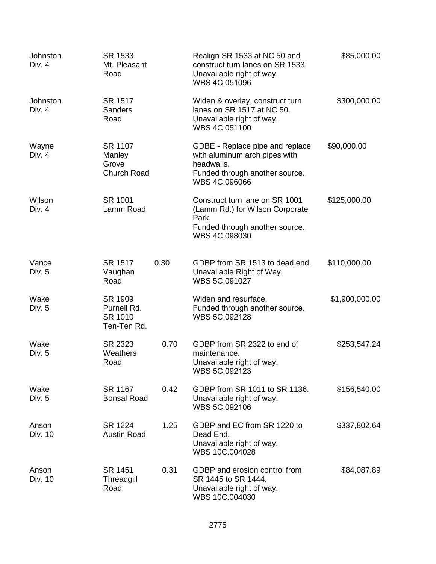| Johnston<br>Div. 4 | SR 1533<br>Mt. Pleasant<br>Road                  |      | Realign SR 1533 at NC 50 and<br>construct turn lanes on SR 1533.<br>Unavailable right of way.<br>WBS 4C.051096                    | \$85,000.00    |
|--------------------|--------------------------------------------------|------|-----------------------------------------------------------------------------------------------------------------------------------|----------------|
| Johnston<br>Div. 4 | SR 1517<br><b>Sanders</b><br>Road                |      | Widen & overlay, construct turn<br>lanes on SR 1517 at NC 50.<br>Unavailable right of way.<br>WBS 4C.051100                       | \$300,000.00   |
| Wayne<br>Div. 4    | SR 1107<br>Manley<br>Grove<br><b>Church Road</b> |      | GDBE - Replace pipe and replace<br>with aluminum arch pipes with<br>headwalls.<br>Funded through another source.<br>WBS 4C.096066 | \$90,000.00    |
| Wilson<br>Div. 4   | SR 1001<br>Lamm Road                             |      | Construct turn lane on SR 1001<br>(Lamm Rd.) for Wilson Corporate<br>Park.<br>Funded through another source.<br>WBS 4C.098030     | \$125,000.00   |
| Vance<br>Div. 5    | SR 1517<br>Vaughan<br>Road                       | 0.30 | GDBP from SR 1513 to dead end.<br>Unavailable Right of Way.<br>WBS 5C.091027                                                      | \$110,000.00   |
| Wake<br>Div. 5     | SR 1909<br>Purnell Rd.<br>SR 1010<br>Ten-Ten Rd. |      | Widen and resurface.<br>Funded through another source.<br>WBS 5C.092128                                                           | \$1,900,000.00 |
| Wake<br>Div. 5     | SR 2323<br>Weathers<br>Road                      | 0.70 | GDBP from SR 2322 to end of<br>maintenance.<br>Unavailable right of way.<br>WBS 5C.092123                                         | \$253,547.24   |
| Wake<br>Div. 5     | SR 1167<br><b>Bonsal Road</b>                    | 0.42 | GDBP from SR 1011 to SR 1136.<br>Unavailable right of way.<br>WBS 5C.092106                                                       | \$156,540.00   |
| Anson<br>Div. 10   | <b>SR 1224</b><br><b>Austin Road</b>             | 1.25 | GDBP and EC from SR 1220 to<br>Dead End.<br>Unavailable right of way.<br>WBS 10C.004028                                           | \$337,802.64   |
| Anson<br>Div. 10   | SR 1451<br>Threadgill<br>Road                    | 0.31 | GDBP and erosion control from<br>SR 1445 to SR 1444.<br>Unavailable right of way.<br>WBS 10C.004030                               | \$84,087.89    |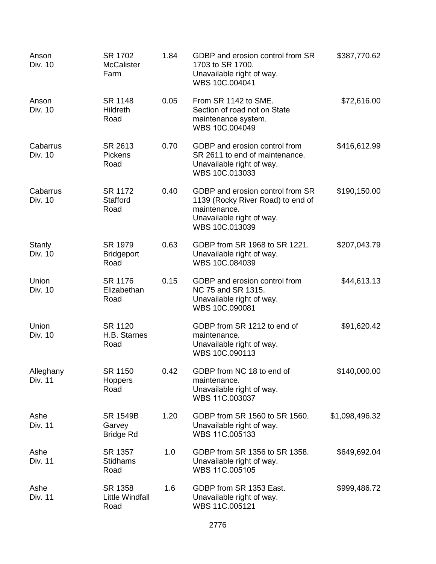| Anson<br>Div. 10            | SR 1702<br><b>McCalister</b><br>Farm          | 1.84 | GDBP and erosion control from SR<br>1703 to SR 1700.<br>Unavailable right of way.<br>WBS 10C.004041                                  | \$387,770.62   |
|-----------------------------|-----------------------------------------------|------|--------------------------------------------------------------------------------------------------------------------------------------|----------------|
| Anson<br>Div. 10            | SR 1148<br>Hildreth<br>Road                   | 0.05 | From SR 1142 to SME.<br>Section of road not on State<br>maintenance system.<br>WBS 10C.004049                                        | \$72,616.00    |
| Cabarrus<br>Div. 10         | SR 2613<br>Pickens<br>Road                    | 0.70 | GDBP and erosion control from<br>SR 2611 to end of maintenance.<br>Unavailable right of way.<br>WBS 10C.013033                       | \$416,612.99   |
| Cabarrus<br>Div. 10         | SR 1172<br><b>Stafford</b><br>Road            | 0.40 | GDBP and erosion control from SR<br>1139 (Rocky River Road) to end of<br>maintenance.<br>Unavailable right of way.<br>WBS 10C.013039 | \$190,150.00   |
| <b>Stanly</b><br>Div. 10    | SR 1979<br><b>Bridgeport</b><br>Road          | 0.63 | GDBP from SR 1968 to SR 1221.<br>Unavailable right of way.<br>WBS 10C.084039                                                         | \$207,043.79   |
| Union<br>Div. 10            | SR 1176<br>Elizabethan<br>Road                | 0.15 | GDBP and erosion control from<br>NC 75 and SR 1315.<br>Unavailable right of way.<br>WBS 10C.090081                                   | \$44,613.13    |
| Union<br>Div. 10            | SR 1120<br>H.B. Starnes<br>Road               |      | GDBP from SR 1212 to end of<br>maintenance.<br>Unavailable right of way.<br>WBS 10C.090113                                           | \$91,620.42    |
| Alleghany<br><b>Div. 11</b> | SR 1150<br>Hoppers<br>Road                    | 0.42 | GDBP from NC 18 to end of<br>maintenance.<br>Unavailable right of way.<br>WBS 11C.003037                                             | \$140,000.00   |
| Ashe<br>Div. 11             | <b>SR 1549B</b><br>Garvey<br><b>Bridge Rd</b> | 1.20 | GDBP from SR 1560 to SR 1560.<br>Unavailable right of way.<br>WBS 11C.005133                                                         | \$1,098,496.32 |
| Ashe<br>Div. 11             | SR 1357<br><b>Stidhams</b><br>Road            | 1.0  | GDBP from SR 1356 to SR 1358.<br>Unavailable right of way.<br>WBS 11C.005105                                                         | \$649,692.04   |
| Ashe<br>Div. 11             | SR 1358<br>Little Windfall<br>Road            | 1.6  | GDBP from SR 1353 East.<br>Unavailable right of way.<br>WBS 11C.005121                                                               | \$999,486.72   |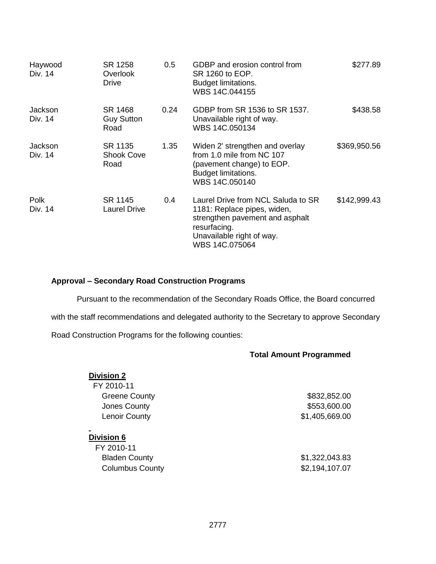| Haywood<br>Div. 14 | SR 1258<br>Overlook<br>Drive         | 0.5  | GDBP and erosion control from<br>SR 1260 to EOP.<br><b>Budget limitations.</b><br>WBS 14C.044155                                                                    | \$277.89     |
|--------------------|--------------------------------------|------|---------------------------------------------------------------------------------------------------------------------------------------------------------------------|--------------|
| Jackson<br>Div. 14 | SR 1468<br><b>Guy Sutton</b><br>Road | 0.24 | GDBP from SR 1536 to SR 1537.<br>Unavailable right of way.<br>WBS 14C.050134                                                                                        | \$438.58     |
| Jackson<br>Div. 14 | SR 1135<br><b>Shook Cove</b><br>Road | 1.35 | Widen 2' strengthen and overlay<br>from 1.0 mile from NC 107<br>(pavement change) to EOP.<br><b>Budget limitations.</b><br>WBS 14C.050140                           | \$369,950.56 |
| Polk<br>Div. 14    | SR 1145<br><b>Laurel Drive</b>       | 0.4  | Laurel Drive from NCL Saluda to SR<br>1181: Replace pipes, widen,<br>strengthen pavement and asphalt<br>resurfacing.<br>Unavailable right of way.<br>WBS 14C.075064 | \$142,999.43 |

# **Approval – Secondary Road Construction Programs**

Pursuant to the recommendation of the Secondary Roads Office, the Board concurred with the staff recommendations and delegated authority to the Secretary to approve Secondary Road Construction Programs for the following counties:

# **Total Amount Programmed**

| <b>Division 2</b>                   |                |
|-------------------------------------|----------------|
| FY 2010-11                          |                |
| <b>Greene County</b>                | \$832,852.00   |
| Jones County                        | \$553,600.00   |
| <b>Lenoir County</b>                | \$1,405,669.00 |
| $\blacksquare$<br><b>Division 6</b> |                |
| FY 2010-11                          |                |
| <b>Bladen County</b>                | \$1,322,043.83 |

| <b>Bladen County</b>   | \$1,322,043.83 |
|------------------------|----------------|
| <b>Columbus County</b> | \$2,194,107.07 |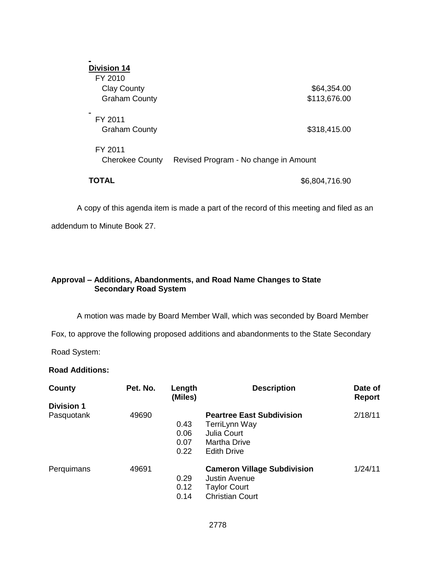| <b>Division 14</b><br>FY 2010     |                                       |
|-----------------------------------|---------------------------------------|
| <b>Clay County</b>                | \$64,354.00                           |
| <b>Graham County</b>              | \$113,676.00                          |
| FY 2011<br><b>Graham County</b>   | \$318,415.00                          |
| FY 2011<br><b>Cherokee County</b> | Revised Program - No change in Amount |
| TOTAL                             | \$6,804,716.90                        |

A copy of this agenda item is made a part of the record of this meeting and filed as an addendum to Minute Book 27.

# **Approval – Additions, Abandonments, and Road Name Changes to State Secondary Road System**

A motion was made by Board Member Wall, which was seconded by Board Member

Fox, to approve the following proposed additions and abandonments to the State Secondary

Road System:

# **Road Additions:**

| County            | Pet. No. | Length<br>(Miles)            | <b>Description</b>                                                                                            | Date of<br><b>Report</b> |
|-------------------|----------|------------------------------|---------------------------------------------------------------------------------------------------------------|--------------------------|
| <b>Division 1</b> |          |                              |                                                                                                               |                          |
| Pasquotank        | 49690    | 0.43<br>0.06<br>0.07<br>0.22 | <b>Peartree East Subdivision</b><br>TerriLynn Way<br>Julia Court<br><b>Martha Drive</b><br><b>Edith Drive</b> | 2/18/11                  |
| Perquimans        | 49691    | 0.29<br>0.12<br>0.14         | <b>Cameron Village Subdivision</b><br><b>Justin Avenue</b><br><b>Taylor Court</b><br><b>Christian Court</b>   | 1/24/11                  |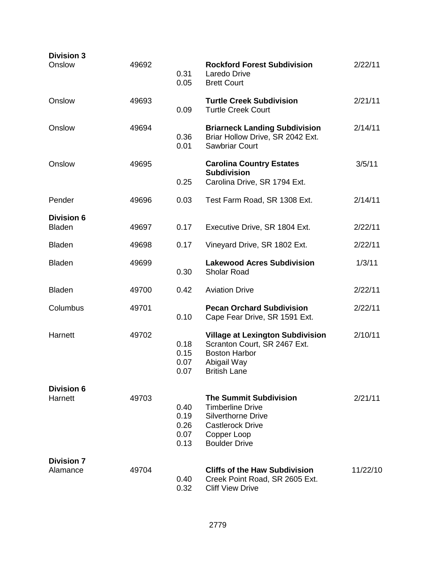| <b>Division 3</b><br>Onslow        | 49692 | 0.31<br>0.05                         | <b>Rockford Forest Subdivision</b><br>Laredo Drive<br><b>Brett Court</b>                                                                                | 2/22/11  |
|------------------------------------|-------|--------------------------------------|---------------------------------------------------------------------------------------------------------------------------------------------------------|----------|
| Onslow                             | 49693 | 0.09                                 | <b>Turtle Creek Subdivision</b><br><b>Turtle Creek Court</b>                                                                                            | 2/21/11  |
| Onslow                             | 49694 | 0.36<br>0.01                         | <b>Briarneck Landing Subdivision</b><br>Briar Hollow Drive, SR 2042 Ext.<br><b>Sawbriar Court</b>                                                       | 2/14/11  |
| Onslow                             | 49695 | 0.25                                 | <b>Carolina Country Estates</b><br><b>Subdivision</b><br>Carolina Drive, SR 1794 Ext.                                                                   | 3/5/11   |
| Pender                             | 49696 | 0.03                                 | Test Farm Road, SR 1308 Ext.                                                                                                                            | 2/14/11  |
| <b>Division 6</b><br><b>Bladen</b> | 49697 | 0.17                                 | Executive Drive, SR 1804 Ext.                                                                                                                           | 2/22/11  |
| <b>Bladen</b>                      | 49698 | 0.17                                 | Vineyard Drive, SR 1802 Ext.                                                                                                                            | 2/22/11  |
| <b>Bladen</b>                      | 49699 | 0.30                                 | <b>Lakewood Acres Subdivision</b><br><b>Sholar Road</b>                                                                                                 | 1/3/11   |
| <b>Bladen</b>                      | 49700 | 0.42                                 | <b>Aviation Drive</b>                                                                                                                                   | 2/22/11  |
| Columbus                           | 49701 | 0.10                                 | <b>Pecan Orchard Subdivision</b><br>Cape Fear Drive, SR 1591 Ext.                                                                                       | 2/22/11  |
| Harnett                            | 49702 | 0.18<br>0.15<br>0.07<br>0.07         | <b>Village at Lexington Subdivision</b><br>Scranton Court, SR 2467 Ext.<br><b>Boston Harbor</b><br>Abigail Way<br><b>British Lane</b>                   | 2/10/11  |
| <b>Division 6</b><br>Harnett       | 49703 | 0.40<br>0.19<br>0.26<br>0.07<br>0.13 | <b>The Summit Subdivision</b><br><b>Timberline Drive</b><br><b>Silverthorne Drive</b><br><b>Castlerock Drive</b><br>Copper Loop<br><b>Boulder Drive</b> | 2/21/11  |
| <b>Division 7</b><br>Alamance      | 49704 | 0.40<br>0.32                         | <b>Cliffs of the Haw Subdivision</b><br>Creek Point Road, SR 2605 Ext.<br><b>Cliff View Drive</b>                                                       | 11/22/10 |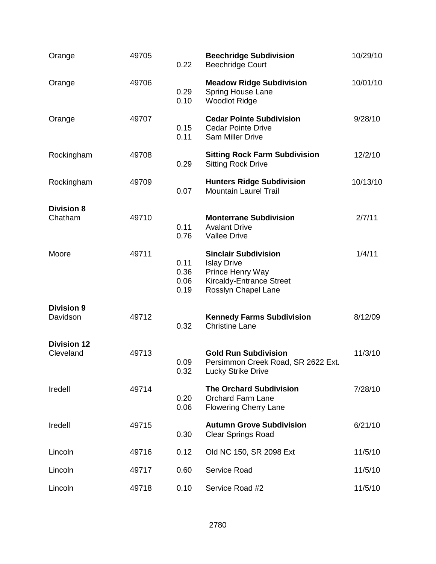| Orange                          | 49705 | 0.22                         | <b>Beechridge Subdivision</b><br><b>Beechridge Court</b>                                                                        | 10/29/10 |
|---------------------------------|-------|------------------------------|---------------------------------------------------------------------------------------------------------------------------------|----------|
| Orange                          | 49706 | 0.29<br>0.10                 | <b>Meadow Ridge Subdivision</b><br>Spring House Lane<br><b>Woodlot Ridge</b>                                                    | 10/01/10 |
| Orange                          | 49707 | 0.15<br>0.11                 | <b>Cedar Pointe Subdivision</b><br><b>Cedar Pointe Drive</b><br>Sam Miller Drive                                                | 9/28/10  |
| Rockingham                      | 49708 | 0.29                         | <b>Sitting Rock Farm Subdivision</b><br><b>Sitting Rock Drive</b>                                                               | 12/2/10  |
| Rockingham                      | 49709 | 0.07                         | <b>Hunters Ridge Subdivision</b><br><b>Mountain Laurel Trail</b>                                                                | 10/13/10 |
| <b>Division 8</b><br>Chatham    | 49710 | 0.11<br>0.76                 | <b>Monterrane Subdivision</b><br><b>Avalant Drive</b><br><b>Vallee Drive</b>                                                    | 2/7/11   |
| Moore                           | 49711 | 0.11<br>0.36<br>0.06<br>0.19 | <b>Sinclair Subdivision</b><br><b>Islay Drive</b><br>Prince Henry Way<br><b>Kircaldy-Entrance Street</b><br>Rosslyn Chapel Lane | 1/4/11   |
| <b>Division 9</b><br>Davidson   | 49712 | 0.32                         | <b>Kennedy Farms Subdivision</b><br><b>Christine Lane</b>                                                                       | 8/12/09  |
| <b>Division 12</b><br>Cleveland | 49713 | 0.09<br>0.32                 | <b>Gold Run Subdivision</b><br>Persimmon Creek Road, SR 2622 Ext.<br><b>Lucky Strike Drive</b>                                  | 11/3/10  |
| Iredell                         | 49714 | 0.20<br>0.06                 | <b>The Orchard Subdivision</b><br><b>Orchard Farm Lane</b><br><b>Flowering Cherry Lane</b>                                      | 7/28/10  |
| Iredell                         | 49715 | 0.30                         | <b>Autumn Grove Subdivision</b><br><b>Clear Springs Road</b>                                                                    | 6/21/10  |
| Lincoln                         | 49716 | 0.12                         | Old NC 150, SR 2098 Ext                                                                                                         | 11/5/10  |
| Lincoln                         | 49717 | 0.60                         | Service Road                                                                                                                    | 11/5/10  |
| Lincoln                         | 49718 | 0.10                         | Service Road #2                                                                                                                 | 11/5/10  |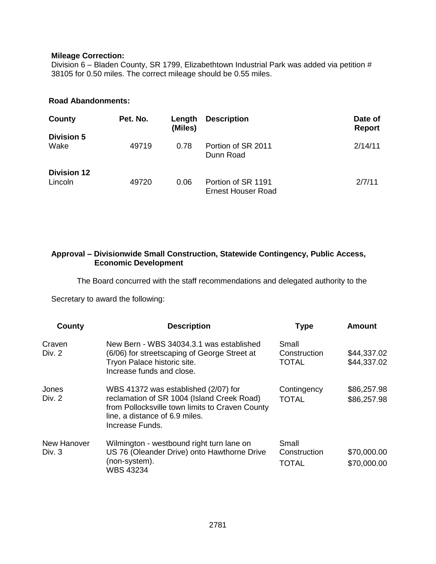## **Mileage Correction:**

Division 6 – Bladen County, SR 1799, Elizabethtown Industrial Park was added via petition # 38105 for 0.50 miles. The correct mileage should be 0.55 miles.

# **Road Abandonments:**

| County                        | Pet. No. | Length<br>(Miles) | <b>Description</b>                              | Date of<br><b>Report</b> |
|-------------------------------|----------|-------------------|-------------------------------------------------|--------------------------|
| <b>Division 5</b><br>Wake     | 49719    | 0.78              | Portion of SR 2011<br>Dunn Road                 | 2/14/11                  |
| <b>Division 12</b><br>Lincoln | 49720    | 0.06              | Portion of SR 1191<br><b>Ernest Houser Road</b> | 2/7/11                   |

# **Approval – Divisionwide Small Construction, Statewide Contingency, Public Access, Economic Development**

The Board concurred with the staff recommendations and delegated authority to the

Secretary to award the following:

| County                | <b>Description</b>                                                                                                                                                                         | <b>Type</b>                           | <b>Amount</b>              |
|-----------------------|--------------------------------------------------------------------------------------------------------------------------------------------------------------------------------------------|---------------------------------------|----------------------------|
| Craven<br>Div. 2      | New Bern - WBS 34034.3.1 was established<br>(6/06) for streetscaping of George Street at<br>Tryon Palace historic site.<br>Increase funds and close.                                       | Small<br>Construction<br><b>TOTAL</b> | \$44,337.02<br>\$44,337.02 |
| Jones<br>Div. 2       | WBS 41372 was established (2/07) for<br>reclamation of SR 1004 (Island Creek Road)<br>from Pollocksville town limits to Craven County<br>line, a distance of 6.9 miles.<br>Increase Funds. | Contingency<br><b>TOTAL</b>           | \$86,257.98<br>\$86,257.98 |
| New Hanover<br>Div. 3 | Wilmington - westbound right turn lane on<br>US 76 (Oleander Drive) onto Hawthorne Drive<br>(non-system).<br><b>WBS 43234</b>                                                              | Small<br>Construction<br><b>TOTAL</b> | \$70,000.00<br>\$70,000.00 |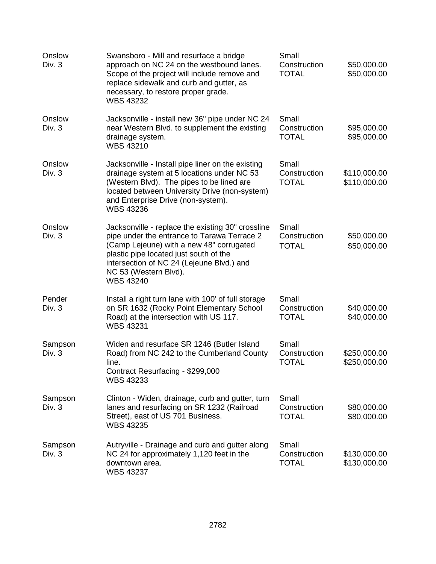| Onslow<br>Div. 3  | Swansboro - Mill and resurface a bridge<br>approach on NC 24 on the westbound lanes.<br>Scope of the project will include remove and<br>replace sidewalk and curb and gutter, as<br>necessary, to restore proper grade.<br><b>WBS 43232</b>                                      | Small<br>Construction<br><b>TOTAL</b> | \$50,000.00<br>\$50,000.00   |
|-------------------|----------------------------------------------------------------------------------------------------------------------------------------------------------------------------------------------------------------------------------------------------------------------------------|---------------------------------------|------------------------------|
| Onslow<br>Div. 3  | Jacksonville - install new 36" pipe under NC 24<br>near Western Blvd. to supplement the existing<br>drainage system.<br><b>WBS 43210</b>                                                                                                                                         | Small<br>Construction<br><b>TOTAL</b> | \$95,000.00<br>\$95,000.00   |
| Onslow<br>Div. 3  | Jacksonville - Install pipe liner on the existing<br>drainage system at 5 locations under NC 53<br>(Western Blvd). The pipes to be lined are<br>located between University Drive (non-system)<br>and Enterprise Drive (non-system).<br><b>WBS 43236</b>                          | Small<br>Construction<br><b>TOTAL</b> | \$110,000.00<br>\$110,000.00 |
| Onslow<br>Div. 3  | Jacksonville - replace the existing 30" crossline<br>pipe under the entrance to Tarawa Terrace 2<br>(Camp Lejeune) with a new 48" corrugated<br>plastic pipe located just south of the<br>intersection of NC 24 (Lejeune Blvd.) and<br>NC 53 (Western Blvd).<br><b>WBS 43240</b> | Small<br>Construction<br><b>TOTAL</b> | \$50,000.00<br>\$50,000.00   |
| Pender<br>Div. 3  | Install a right turn lane with 100' of full storage<br>on SR 1632 (Rocky Point Elementary School<br>Road) at the intersection with US 117.<br><b>WBS 43231</b>                                                                                                                   | Small<br>Construction<br><b>TOTAL</b> | \$40,000.00<br>\$40,000.00   |
| Sampson<br>Div. 3 | Widen and resurface SR 1246 (Butler Island<br>Road) from NC 242 to the Cumberland County<br>line.<br>Contract Resurfacing - \$299,000<br><b>WBS 43233</b>                                                                                                                        | Small<br>Construction<br><b>TOTAL</b> | \$250,000.00<br>\$250,000.00 |
| Sampson<br>Div. 3 | Clinton - Widen, drainage, curb and gutter, turn<br>lanes and resurfacing on SR 1232 (Railroad<br>Street), east of US 701 Business.<br><b>WBS 43235</b>                                                                                                                          | Small<br>Construction<br><b>TOTAL</b> | \$80,000.00<br>\$80,000.00   |
| Sampson<br>Div. 3 | Autryville - Drainage and curb and gutter along<br>NC 24 for approximately 1,120 feet in the<br>downtown area.<br><b>WBS 43237</b>                                                                                                                                               | Small<br>Construction<br><b>TOTAL</b> | \$130,000.00<br>\$130,000.00 |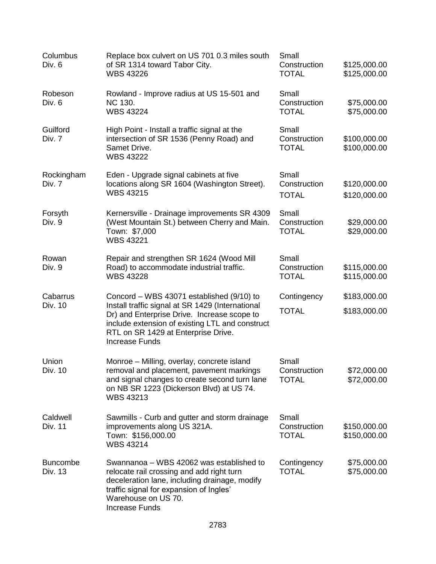| Columbus<br>Div. 6         | Replace box culvert on US 701 0.3 miles south<br>of SR 1314 toward Tabor City.<br><b>WBS 43226</b>                                                                                                                                | Small<br>Construction<br><b>TOTAL</b> | \$125,000.00<br>\$125,000.00 |
|----------------------------|-----------------------------------------------------------------------------------------------------------------------------------------------------------------------------------------------------------------------------------|---------------------------------------|------------------------------|
| Robeson<br>Div. 6          | Rowland - Improve radius at US 15-501 and<br><b>NC 130.</b><br><b>WBS 43224</b>                                                                                                                                                   | Small<br>Construction<br><b>TOTAL</b> | \$75,000.00<br>\$75,000.00   |
| Guilford<br>Div. 7         | High Point - Install a traffic signal at the<br>intersection of SR 1536 (Penny Road) and<br>Samet Drive.<br><b>WBS 43222</b>                                                                                                      | Small<br>Construction<br><b>TOTAL</b> | \$100,000.00<br>\$100,000.00 |
| Rockingham<br>Div. 7       | Eden - Upgrade signal cabinets at five<br>locations along SR 1604 (Washington Street).<br><b>WBS 43215</b>                                                                                                                        | Small<br>Construction<br><b>TOTAL</b> | \$120,000.00<br>\$120,000.00 |
| Forsyth<br>Div. 9          | Kernersville - Drainage improvements SR 4309<br>(West Mountain St.) between Cherry and Main.<br>Town: \$7,000<br><b>WBS 43221</b>                                                                                                 | Small<br>Construction<br><b>TOTAL</b> | \$29,000.00<br>\$29,000.00   |
| Rowan<br>Div. 9            | Repair and strengthen SR 1624 (Wood Mill<br>Road) to accommodate industrial traffic.<br><b>WBS 43228</b>                                                                                                                          | Small<br>Construction<br><b>TOTAL</b> | \$115,000.00<br>\$115,000.00 |
| Cabarrus                   | Concord – WBS 43071 established (9/10) to                                                                                                                                                                                         | Contingency                           | \$183,000.00                 |
| Div. 10                    | Install traffic signal at SR 1429 (International<br>Dr) and Enterprise Drive. Increase scope to<br>include extension of existing LTL and construct<br>RTL on SR 1429 at Enterprise Drive.<br><b>Increase Funds</b>                | <b>TOTAL</b>                          | \$183,000.00                 |
| Union<br>Div. 10           | Monroe - Milling, overlay, concrete island<br>removal and placement, pavement markings<br>and signal changes to create second turn lane<br>on NB SR 1223 (Dickerson Blvd) at US 74.<br><b>WBS 43213</b>                           | Small<br>Construction<br><b>TOTAL</b> | \$72,000.00<br>\$72,000.00   |
| Caldwell<br><b>Div. 11</b> | Sawmills - Curb and gutter and storm drainage<br>improvements along US 321A.<br>Town: \$156,000.00<br><b>WBS 43214</b>                                                                                                            | Small<br>Construction<br><b>TOTAL</b> | \$150,000.00<br>\$150,000.00 |
| <b>Buncombe</b><br>Div. 13 | Swannanoa – WBS 42062 was established to<br>relocate rail crossing and add right turn<br>deceleration lane, including drainage, modify<br>traffic signal for expansion of Ingles'<br>Warehouse on US 70.<br><b>Increase Funds</b> | Contingency<br><b>TOTAL</b>           | \$75,000.00<br>\$75,000.00   |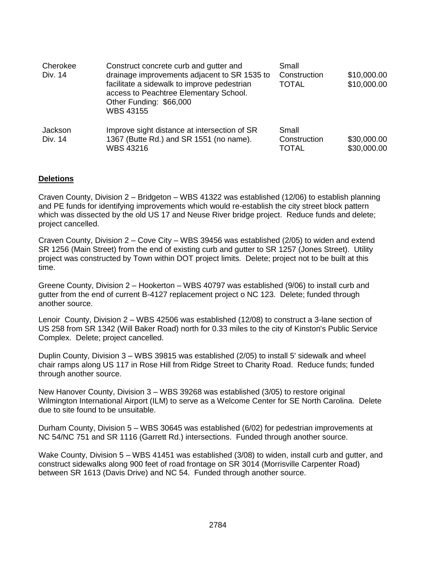| Cherokee<br>Div. 14 | Construct concrete curb and gutter and<br>drainage improvements adjacent to SR 1535 to<br>facilitate a sidewalk to improve pedestrian<br>access to Peachtree Elementary School.<br>Other Funding: \$66,000<br><b>WBS 43155</b> | Small<br>Construction<br><b>TOTAL</b> | \$10,000.00<br>\$10,000.00 |
|---------------------|--------------------------------------------------------------------------------------------------------------------------------------------------------------------------------------------------------------------------------|---------------------------------------|----------------------------|
| Jackson<br>Div. 14  | Improve sight distance at intersection of SR<br>1367 (Butte Rd.) and SR 1551 (no name).<br><b>WBS 43216</b>                                                                                                                    | Small<br>Construction<br>TOTAL        | \$30,000.00<br>\$30,000.00 |

# **Deletions**

Craven County, Division 2 – Bridgeton – WBS 41322 was established (12/06) to establish planning and PE funds for identifying improvements which would re-establish the city street block pattern which was dissected by the old US 17 and Neuse River bridge project. Reduce funds and delete; project cancelled.

Craven County, Division 2 – Cove City – WBS 39456 was established (2/05) to widen and extend SR 1256 (Main Street) from the end of existing curb and gutter to SR 1257 (Jones Street). Utility project was constructed by Town within DOT project limits. Delete; project not to be built at this time.

Greene County, Division 2 – Hookerton – WBS 40797 was established (9/06) to install curb and gutter from the end of current B-4127 replacement project o NC 123. Delete; funded through another source.

Lenoir County, Division 2 – WBS 42506 was established (12/08) to construct a 3-lane section of US 258 from SR 1342 (Will Baker Road) north for 0.33 miles to the city of Kinston's Public Service Complex. Delete; project cancelled.

Duplin County, Division 3 – WBS 39815 was established (2/05) to install 5' sidewalk and wheel chair ramps along US 117 in Rose Hill from Ridge Street to Charity Road. Reduce funds; funded through another source.

New Hanover County, Division 3 – WBS 39268 was established (3/05) to restore original Wilmington International Airport (ILM) to serve as a Welcome Center for SE North Carolina. Delete due to site found to be unsuitable.

Durham County, Division 5 – WBS 30645 was established (6/02) for pedestrian improvements at NC 54/NC 751 and SR 1116 (Garrett Rd.) intersections. Funded through another source.

Wake County, Division 5 – WBS 41451 was established (3/08) to widen, install curb and gutter, and construct sidewalks along 900 feet of road frontage on SR 3014 (Morrisville Carpenter Road) between SR 1613 (Davis Drive) and NC 54. Funded through another source.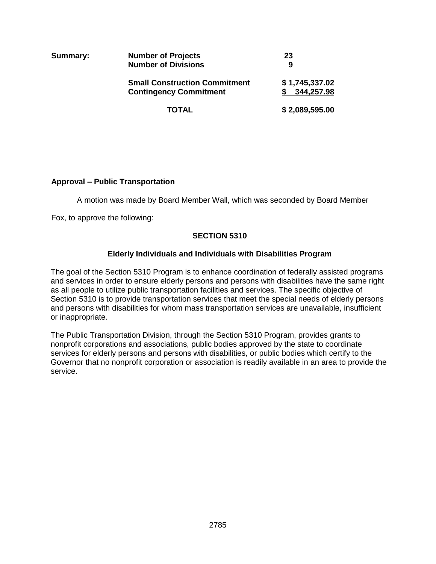| Summary: | <b>Number of Projects</b><br><b>Number of Divisions</b>               | 23<br>9                      |
|----------|-----------------------------------------------------------------------|------------------------------|
|          | <b>Small Construction Commitment</b><br><b>Contingency Commitment</b> | \$1,745,337.02<br>344,257.98 |
|          | TOTAL                                                                 | \$2,089,595.00               |

# **Approval – Public Transportation**

A motion was made by Board Member Wall, which was seconded by Board Member

Fox, to approve the following:

# **SECTION 5310**

# **Elderly Individuals and Individuals with Disabilities Program**

The goal of the Section 5310 Program is to enhance coordination of federally assisted programs and services in order to ensure elderly persons and persons with disabilities have the same right as all people to utilize public transportation facilities and services. The specific objective of Section 5310 is to provide transportation services that meet the special needs of elderly persons and persons with disabilities for whom mass transportation services are unavailable, insufficient or inappropriate.

The Public Transportation Division, through the Section 5310 Program, provides grants to nonprofit corporations and associations, public bodies approved by the state to coordinate services for elderly persons and persons with disabilities, or public bodies which certify to the Governor that no nonprofit corporation or association is readily available in an area to provide the service.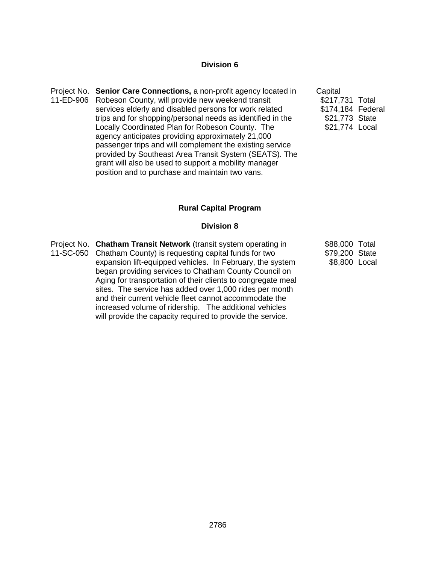# **Division 6**

Project No. **Senior Care Connections,** a non-profit agency located in 11-ED-906 Robeson County, will provide new weekend transit services elderly and disabled persons for work related trips and for shopping/personal needs as identified in the Locally Coordinated Plan for Robeson County. The agency anticipates providing approximately 21,000 passenger trips and will complement the existing service provided by Southeast Area Transit System (SEATS). The grant will also be used to support a mobility manager position and to purchase and maintain two vans.

**Capital** \$217,731 Total \$174,184 Federal \$21,773 State \$21,774 Local

# **Rural Capital Program**

#### **Division 8**

Project No. **Chatham Transit Network** (transit system operating in 11-SC-050 Chatham County) is requesting capital funds for two expansion lift-equipped vehicles. In February, the system began providing services to Chatham County Council on Aging for transportation of their clients to congregate meal sites. The service has added over 1,000 rides per month and their current vehicle fleet cannot accommodate the increased volume of ridership. The additional vehicles will provide the capacity required to provide the service. \$88,000 Total \$79,200 State \$8,800 Local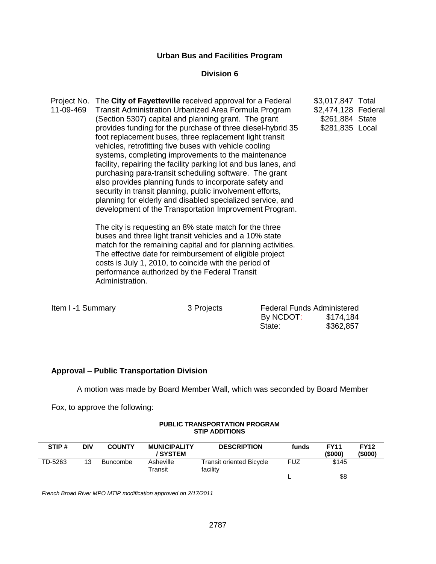# **Urban Bus and Facilities Program**

#### **Division 6**

Project No. The **City of Fayetteville** received approval for a Federal 11-09-469 Transit Administration Urbanized Area Formula Program (Section 5307) capital and planning grant. The grant provides funding for the purchase of three diesel-hybrid 35 foot replacement buses, three replacement light transit vehicles, retrofitting five buses with vehicle cooling systems, completing improvements to the maintenance facility, repairing the facility parking lot and bus lanes, and purchasing para-transit scheduling software. The grant also provides planning funds to incorporate safety and security in transit planning, public involvement efforts, planning for elderly and disabled specialized service, and development of the Transportation Improvement Program. \$3,017,847 Total \$2,474,128 Federal \$261,884 State \$281,835 Local

The city is requesting an 8% state match for the three buses and three light transit vehicles and a 10% state match for the remaining capital and for planning activities. The effective date for reimbursement of eligible project costs is July 1, 2010, to coincide with the period of performance authorized by the Federal Transit Administration.

| Item I -1 Summary | 3 Projects | <b>Federal Funds Administered</b> |           |
|-------------------|------------|-----------------------------------|-----------|
|                   |            | By NCDOT:                         | \$174,184 |
|                   |            | State:                            | \$362,857 |
|                   |            |                                   |           |

#### **Approval – Public Transportation Division**

A motion was made by Board Member Wall, which was seconded by Board Member

Fox, to approve the following:

| STIP#   | DIV | <b>COUNTY</b> | <b>MUNICIPALITY</b><br>/ SYSTEM                                                                                                                                                                                                                                                                                                                             | <b>DESCRIPTION</b>                          | funds      | <b>FY11</b><br>(\$000) | <b>FY12</b><br>$($ \$000) |
|---------|-----|---------------|-------------------------------------------------------------------------------------------------------------------------------------------------------------------------------------------------------------------------------------------------------------------------------------------------------------------------------------------------------------|---------------------------------------------|------------|------------------------|---------------------------|
| TD-5263 | 13  | Buncombe      | Asheville<br>Transit                                                                                                                                                                                                                                                                                                                                        | <b>Transit oriented Bicycle</b><br>facility | <b>FUZ</b> | \$145                  |                           |
|         |     |               |                                                                                                                                                                                                                                                                                                                                                             |                                             |            | \$8                    |                           |
|         |     |               | $\mathcal{L}$ $\mathcal{L}$ $\mathcal{L}$ $\mathcal{L}$ $\mathcal{L}$ $\mathcal{L}$ $\mathcal{L}$ $\mathcal{L}$ $\mathcal{L}$ $\mathcal{L}$ $\mathcal{L}$ $\mathcal{L}$ $\mathcal{L}$ $\mathcal{L}$ $\mathcal{L}$ $\mathcal{L}$ $\mathcal{L}$ $\mathcal{L}$ $\mathcal{L}$ $\mathcal{L}$ $\mathcal{L}$ $\mathcal{L}$ $\mathcal{L}$ $\mathcal{L}$ $\mathcal{$ |                                             |            |                        |                           |

#### **PUBLIC TRANSPORTATION PROGRAM STIP ADDITIONS**

*French Broad River MPO MTIP modification approved on 2/17/2011*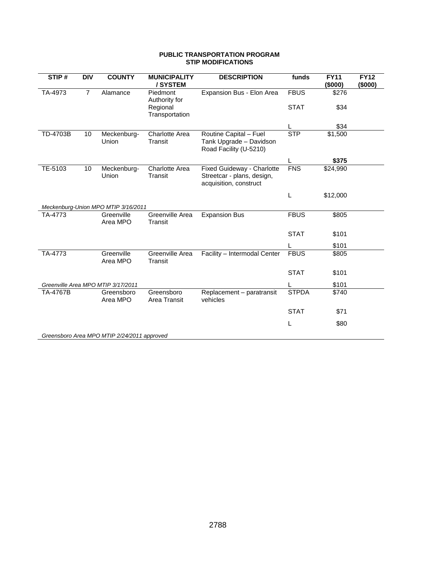| PUBLIC TRANSPORTATION PROGRAM |
|-------------------------------|
| <b>STIP MODIFICATIONS</b>     |

| STIP#    | <b>DIV</b>     | <b>COUNTY</b>                               | <b>MUNICIPALITY</b><br>/SYSTEM              | <b>DESCRIPTION</b>                                                                 | funds             | <b>FY11</b><br>(\$000) | <b>FY12</b><br>(\$000) |
|----------|----------------|---------------------------------------------|---------------------------------------------|------------------------------------------------------------------------------------|-------------------|------------------------|------------------------|
| TA-4973  | $\overline{7}$ | Alamance                                    | Piedmont                                    | Expansion Bus - Elon Area                                                          | <b>FBUS</b>       | \$276                  |                        |
|          |                |                                             | Authority for<br>Regional<br>Transportation |                                                                                    | <b>STAT</b>       | \$34                   |                        |
|          |                |                                             |                                             |                                                                                    |                   | \$34                   |                        |
| TD-4703B | 10             | Meckenburg-<br>Union                        | <b>Charlotte Area</b><br>Transit            | Routine Capital - Fuel<br>Tank Upgrade - Davidson<br>Road Facility (U-5210)        | STP               | \$1,500                |                        |
|          |                |                                             |                                             |                                                                                    | L                 | \$375                  |                        |
| TE-5103  | 10             | Meckenburg-<br>Union                        | Charlotte Area<br><b>Transit</b>            | Fixed Guideway - Charlotte<br>Streetcar - plans, design,<br>acquisition, construct | $\overline{F}$ NS | $\sqrt{$24,990}$       |                        |
|          |                |                                             |                                             |                                                                                    | L                 | \$12,000               |                        |
|          |                | Meckenburg-Union MPO MTIP 3/16/2011         |                                             |                                                                                    |                   |                        |                        |
| TA-4773  |                | Greenville<br>Area MPO                      | Greenville Area<br>Transit                  | <b>Expansion Bus</b>                                                               | <b>FBUS</b>       | \$805                  |                        |
|          |                |                                             |                                             |                                                                                    | <b>STAT</b>       | \$101                  |                        |
|          |                |                                             |                                             |                                                                                    |                   | \$101                  |                        |
| TA-4773  |                | Greenville<br>Area MPO                      | Greenville Area<br><b>Transit</b>           | Facility - Intermodal Center                                                       | <b>FBUS</b>       | \$805                  |                        |
|          |                |                                             |                                             |                                                                                    | <b>STAT</b>       | \$101                  |                        |
|          |                | Greenville Area MPO MTIP 3/17/2011          |                                             |                                                                                    |                   | \$101                  |                        |
| TA-4767B |                | Greensboro<br>Area MPO                      | Greensboro<br>Area Transit                  | Replacement - paratransit<br>vehicles                                              | <b>STPDA</b>      | \$740                  |                        |
|          |                |                                             |                                             |                                                                                    | <b>STAT</b>       | \$71                   |                        |
|          |                |                                             |                                             |                                                                                    | L                 | \$80                   |                        |
|          |                | Greensboro Area MPO MTIP 2/24/2011 approved |                                             |                                                                                    |                   |                        |                        |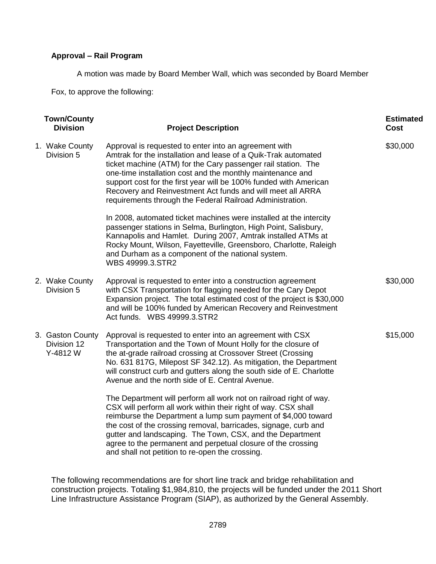# **Approval – Rail Program**

A motion was made by Board Member Wall, which was seconded by Board Member

Fox, to approve the following:

| <b>Town/County</b><br><b>Division</b>      | <b>Project Description</b>                                                                                                                                                                                                                                                                                                                                                                                                                               | <b>Estimated</b><br><b>Cost</b> |
|--------------------------------------------|----------------------------------------------------------------------------------------------------------------------------------------------------------------------------------------------------------------------------------------------------------------------------------------------------------------------------------------------------------------------------------------------------------------------------------------------------------|---------------------------------|
| 1. Wake County<br>Division 5               | Approval is requested to enter into an agreement with<br>Amtrak for the installation and lease of a Quik-Trak automated<br>ticket machine (ATM) for the Cary passenger rail station. The<br>one-time installation cost and the monthly maintenance and<br>support cost for the first year will be 100% funded with American<br>Recovery and Reinvestment Act funds and will meet all ARRA<br>requirements through the Federal Railroad Administration.   | \$30,000                        |
|                                            | In 2008, automated ticket machines were installed at the intercity<br>passenger stations in Selma, Burlington, High Point, Salisbury,<br>Kannapolis and Hamlet. During 2007, Amtrak installed ATMs at<br>Rocky Mount, Wilson, Fayetteville, Greensboro, Charlotte, Raleigh<br>and Durham as a component of the national system.<br>WBS 49999.3.STR2                                                                                                      |                                 |
| 2. Wake County<br>Division 5               | Approval is requested to enter into a construction agreement<br>with CSX Transportation for flagging needed for the Cary Depot<br>Expansion project. The total estimated cost of the project is \$30,000<br>and will be 100% funded by American Recovery and Reinvestment<br>Act funds. WBS 49999.3.STR2                                                                                                                                                 | \$30,000                        |
| 3. Gaston County<br>Division 12<br>Y-4812W | Approval is requested to enter into an agreement with CSX<br>Transportation and the Town of Mount Holly for the closure of<br>the at-grade railroad crossing at Crossover Street (Crossing<br>No. 631 817G, Milepost SF 342.12). As mitigation, the Department<br>will construct curb and gutters along the south side of E. Charlotte<br>Avenue and the north side of E. Central Avenue.                                                                | \$15,000                        |
|                                            | The Department will perform all work not on railroad right of way.<br>CSX will perform all work within their right of way. CSX shall<br>reimburse the Department a lump sum payment of \$4,000 toward<br>the cost of the crossing removal, barricades, signage, curb and<br>gutter and landscaping. The Town, CSX, and the Department<br>agree to the permanent and perpetual closure of the crossing<br>and shall not petition to re-open the crossing. |                                 |

The following recommendations are for short line track and bridge rehabilitation and construction projects. Totaling \$1,984,810, the projects will be funded under the 2011 Short Line Infrastructure Assistance Program (SIAP), as authorized by the General Assembly.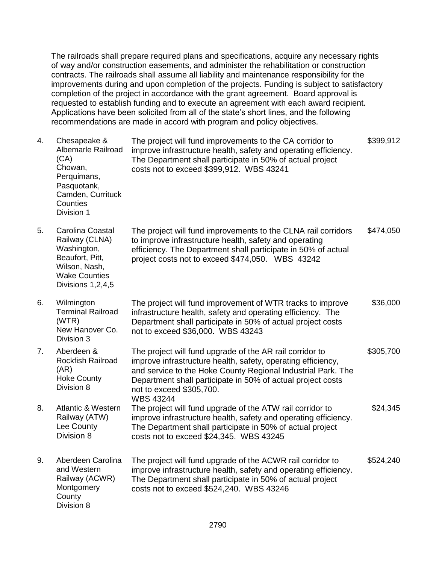The railroads shall prepare required plans and specifications, acquire any necessary rights of way and/or construction easements, and administer the rehabilitation or construction contracts. The railroads shall assume all liability and maintenance responsibility for the improvements during and upon completion of the projects. Funding is subject to satisfactory completion of the project in accordance with the grant agreement. Board approval is requested to establish funding and to execute an agreement with each award recipient. Applications have been solicited from all of the state's short lines, and the following recommendations are made in accord with program and policy objectives.

| 4. | Chesapeake &<br>Albemarle Railroad<br>(CA)<br>Chowan,<br>Perquimans,<br>Pasquotank,<br>Camden, Currituck<br>Counties<br>Division 1 | The project will fund improvements to the CA corridor to<br>improve infrastructure health, safety and operating efficiency.<br>The Department shall participate in 50% of actual project<br>costs not to exceed \$399,912. WBS 43241                                                                    | \$399,912 |
|----|------------------------------------------------------------------------------------------------------------------------------------|---------------------------------------------------------------------------------------------------------------------------------------------------------------------------------------------------------------------------------------------------------------------------------------------------------|-----------|
| 5. | Carolina Coastal<br>Railway (CLNA)<br>Washington,<br>Beaufort, Pitt,<br>Wilson, Nash,<br><b>Wake Counties</b><br>Divisions 1,2,4,5 | The project will fund improvements to the CLNA rail corridors<br>to improve infrastructure health, safety and operating<br>efficiency. The Department shall participate in 50% of actual<br>project costs not to exceed \$474,050. WBS 43242                                                            | \$474,050 |
| 6. | Wilmington<br><b>Terminal Railroad</b><br>(WTR)<br>New Hanover Co.<br>Division 3                                                   | The project will fund improvement of WTR tracks to improve<br>infrastructure health, safety and operating efficiency. The<br>Department shall participate in 50% of actual project costs<br>not to exceed \$36,000. WBS 43243                                                                           | \$36,000  |
| 7. | Aberdeen &<br><b>Rockfish Railroad</b><br>(AR)<br><b>Hoke County</b><br>Division 8                                                 | The project will fund upgrade of the AR rail corridor to<br>improve infrastructure health, safety, operating efficiency,<br>and service to the Hoke County Regional Industrial Park. The<br>Department shall participate in 50% of actual project costs<br>not to exceed \$305,700.<br><b>WBS 43244</b> | \$305,700 |
| 8. | <b>Atlantic &amp; Western</b><br>Railway (ATW)<br>Lee County<br>Division 8                                                         | The project will fund upgrade of the ATW rail corridor to<br>improve infrastructure health, safety and operating efficiency.<br>The Department shall participate in 50% of actual project<br>costs not to exceed \$24,345. WBS 43245                                                                    | \$24,345  |
| 9. | Aberdeen Carolina<br>and Western<br>Railway (ACWR)<br>Montgomery<br>County<br>Division 8                                           | The project will fund upgrade of the ACWR rail corridor to<br>improve infrastructure health, safety and operating efficiency.<br>The Department shall participate in 50% of actual project<br>costs not to exceed \$524,240. WBS 43246                                                                  | \$524,240 |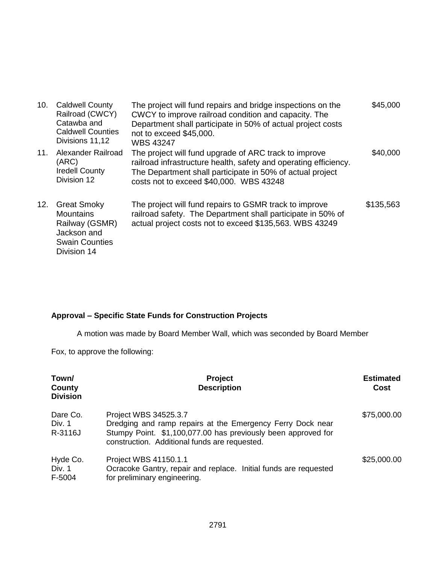| 10. | <b>Caldwell County</b><br>Railroad (CWCY)<br>Catawba and<br><b>Caldwell Counties</b><br>Divisions 11,12         | The project will fund repairs and bridge inspections on the<br>CWCY to improve railroad condition and capacity. The<br>Department shall participate in 50% of actual project costs<br>not to exceed \$45,000.<br><b>WBS 43247</b> | \$45,000  |
|-----|-----------------------------------------------------------------------------------------------------------------|-----------------------------------------------------------------------------------------------------------------------------------------------------------------------------------------------------------------------------------|-----------|
| 11. | Alexander Railroad<br>(ARC)<br><b>Iredell County</b><br>Division 12                                             | The project will fund upgrade of ARC track to improve<br>railroad infrastructure health, safety and operating efficiency.<br>The Department shall participate in 50% of actual project<br>costs not to exceed \$40,000. WBS 43248 | \$40,000  |
| 12. | <b>Great Smoky</b><br><b>Mountains</b><br>Railway (GSMR)<br>Jackson and<br><b>Swain Counties</b><br>Division 14 | The project will fund repairs to GSMR track to improve<br>railroad safety. The Department shall participate in 50% of<br>actual project costs not to exceed \$135,563. WBS 43249                                                  | \$135,563 |

# **Approval – Specific State Funds for Construction Projects**

A motion was made by Board Member Wall, which was seconded by Board Member

Fox, to approve the following:

| Town/<br>County<br><b>Division</b> | <b>Project</b><br><b>Description</b>                                                                                                                                                                  | <b>Estimated</b><br>Cost |
|------------------------------------|-------------------------------------------------------------------------------------------------------------------------------------------------------------------------------------------------------|--------------------------|
| Dare Co.<br>Div. 1<br>R-3116J      | Project WBS 34525.3.7<br>Dredging and ramp repairs at the Emergency Ferry Dock near<br>Stumpy Point. \$1,100,077.00 has previously been approved for<br>construction. Additional funds are requested. | \$75,000.00              |
| Hyde Co.<br>Div. 1<br>F-5004       | Project WBS 41150.1.1<br>Ocracoke Gantry, repair and replace. Initial funds are requested<br>for preliminary engineering.                                                                             | \$25,000.00              |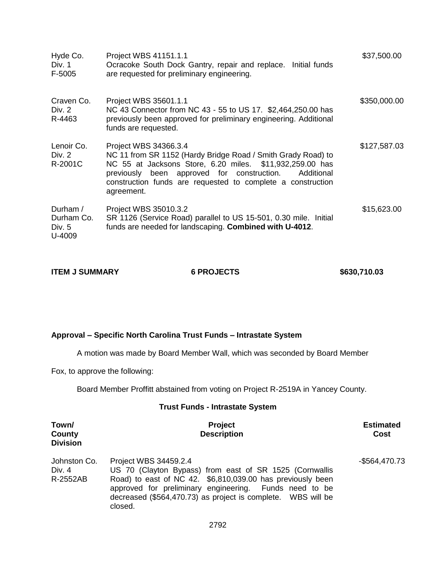| Hyde Co.<br>Div. 1<br>F-5005               | Project WBS 41151.1.1<br>Ocracoke South Dock Gantry, repair and replace. Initial funds<br>are requested for preliminary engineering.                                                                                                                                                       | \$37,500.00  |
|--------------------------------------------|--------------------------------------------------------------------------------------------------------------------------------------------------------------------------------------------------------------------------------------------------------------------------------------------|--------------|
| Craven Co.<br>Div. 2<br>R-4463             | Project WBS 35601.1.1<br>NC 43 Connector from NC 43 - 55 to US 17. \$2,464,250.00 has<br>previously been approved for preliminary engineering. Additional<br>funds are requested.                                                                                                          | \$350,000.00 |
| Lenoir Co.<br>Div. 2<br>R-2001C            | Project WBS 34366.3.4<br>NC 11 from SR 1152 (Hardy Bridge Road / Smith Grady Road) to<br>NC 55 at Jacksons Store, 6.20 miles. \$11,932,259.00 has<br>previously been approved for construction.<br>Additional<br>construction funds are requested to complete a construction<br>agreement. | \$127,587.03 |
| Durham /<br>Durham Co.<br>Div. 5<br>U-4009 | Project WBS 35010.3.2<br>SR 1126 (Service Road) parallel to US 15-501, 0.30 mile. Initial<br>funds are needed for landscaping. Combined with U-4012.                                                                                                                                       | \$15,623.00  |

| <b>ITEM J SUMMARY</b> | <b>6 PROJECTS</b> | \$630,710.03 |
|-----------------------|-------------------|--------------|
|                       |                   |              |

## **Approval – Specific North Carolina Trust Funds – Intrastate System**

A motion was made by Board Member Wall, which was seconded by Board Member

Fox, to approve the following:

Board Member Proffitt abstained from voting on Project R-2519A in Yancey County.

#### **Trust Funds - Intrastate System**

| Town/<br>County<br><b>Division</b> | <b>Project</b><br><b>Description</b>                                                                                                                                                                                                                                                | <b>Estimated</b><br>Cost |
|------------------------------------|-------------------------------------------------------------------------------------------------------------------------------------------------------------------------------------------------------------------------------------------------------------------------------------|--------------------------|
| Johnston Co.<br>Div. 4<br>R-2552AB | Project WBS 34459.2.4<br>US 70 (Clayton Bypass) from east of SR 1525 (Cornwallis<br>Road) to east of NC 42. \$6,810,039.00 has previously been<br>approved for preliminary engineering. Funds need to be<br>decreased (\$564,470.73) as project is complete. WBS will be<br>closed. | $-$564,470.73$           |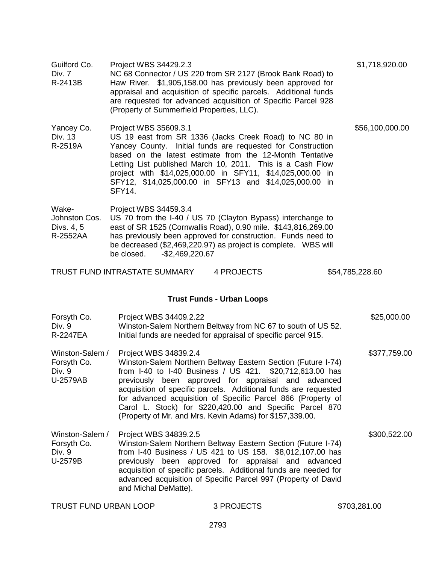| Guilford Co.<br>Div. 7<br>R-2413B                              | Project WBS 34429.2.3<br>(Property of Summerfield Properties, LLC). | NC 68 Connector / US 220 from SR 2127 (Brook Bank Road) to<br>Haw River. \$1,905,158.00 has previously been approved for<br>appraisal and acquisition of specific parcels. Additional funds<br>are requested for advanced acquisition of Specific Parcel 928                                                                                                                                                                               | \$1,718,920.00  |
|----------------------------------------------------------------|---------------------------------------------------------------------|--------------------------------------------------------------------------------------------------------------------------------------------------------------------------------------------------------------------------------------------------------------------------------------------------------------------------------------------------------------------------------------------------------------------------------------------|-----------------|
| Yancey Co.<br>Div. 13<br>R-2519A                               | Project WBS 35609.3.1<br>SFY14.                                     | US 19 east from SR 1336 (Jacks Creek Road) to NC 80 in<br>Yancey County. Initial funds are requested for Construction<br>based on the latest estimate from the 12-Month Tentative<br>Letting List published March 10, 2011. This is a Cash Flow<br>project with \$14,025,000.00 in SFY11, \$14,025,000.00 in<br>SFY12, \$14,025,000.00 in SFY13 and \$14,025,000.00 in                                                                     | \$56,100,000.00 |
| Wake-<br>Johnston Cos.<br>Divs. 4, 5<br>R-2552AA               | Project WBS 34459.3.4<br>$-$2,469,220.67$<br>be closed.             | US 70 from the I-40 / US 70 (Clayton Bypass) interchange to<br>east of SR 1525 (Cornwallis Road), 0.90 mile. \$143,816,269.00<br>has previously been approved for construction. Funds need to<br>be decreased (\$2,469,220.97) as project is complete. WBS will                                                                                                                                                                            |                 |
| TRUST FUND INTRASTATE SUMMARY<br>4 PROJECTS<br>\$54,785,228.60 |                                                                     |                                                                                                                                                                                                                                                                                                                                                                                                                                            |                 |
|                                                                |                                                                     | <b>Trust Funds - Urban Loops</b>                                                                                                                                                                                                                                                                                                                                                                                                           |                 |
| Forsyth Co.<br>Div. 9<br>R-2247EA                              | Project WBS 34409.2.22                                              | Winston-Salem Northern Beltway from NC 67 to south of US 52.<br>Initial funds are needed for appraisal of specific parcel 915.                                                                                                                                                                                                                                                                                                             | \$25,000.00     |
| Winston-Salem /<br>Forsyth Co.<br>Div. 9<br>U-2579AB           | Project WBS 34839.2.4                                               | Winston-Salem Northern Beltway Eastern Section (Future I-74)<br>from I-40 to I-40 Business / US 421. \$20,712,613.00 has<br>previously been approved for appraisal and advanced<br>acquisition of specific parcels. Additional funds are requested<br>for advanced acquisition of Specific Parcel 866 (Property of<br>Carol L. Stock) for \$220,420.00 and Specific Parcel 870<br>(Property of Mr. and Mrs. Kevin Adams) for \$157,339.00. | \$377,759.00    |
| Winston-Salem /<br>Forsyth Co.<br>Div. 9<br>U-2579B            | Project WBS 34839.2.5<br>and Michal DeMatte).                       | Winston-Salem Northern Beltway Eastern Section (Future I-74)<br>from I-40 Business / US 421 to US 158. \$8,012,107.00 has<br>previously been approved for appraisal and advanced<br>acquisition of specific parcels. Additional funds are needed for<br>advanced acquisition of Specific Parcel 997 (Property of David                                                                                                                     | \$300,522.00    |
| TRUST FUND URBAN LOOP                                          |                                                                     | 3 PROJECTS                                                                                                                                                                                                                                                                                                                                                                                                                                 | \$703,281.00    |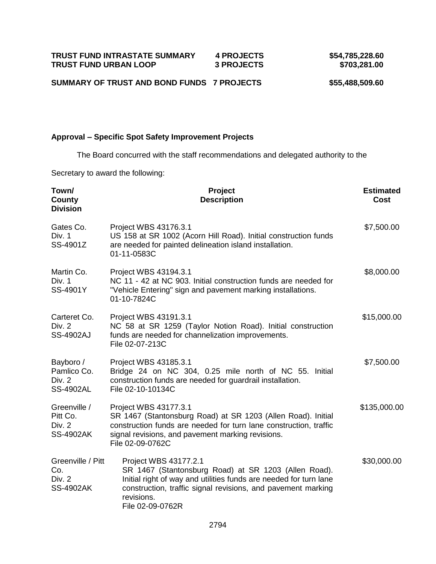#### **SUMMARY OF TRUST AND BOND FUNDS 7 PROJECTS \$55,488,509.60**

#### **Approval – Specific Spot Safety Improvement Projects**

The Board concurred with the staff recommendations and delegated authority to the

Secretary to award the following:

| Town/<br>County<br><b>Division</b>                       | Project<br><b>Description</b>                                                                                                                                                                                                                        | <b>Estimated</b><br>Cost |
|----------------------------------------------------------|------------------------------------------------------------------------------------------------------------------------------------------------------------------------------------------------------------------------------------------------------|--------------------------|
| Gates Co.<br>Div. 1<br>SS-4901Z                          | Project WBS 43176.3.1<br>US 158 at SR 1002 (Acorn Hill Road). Initial construction funds<br>are needed for painted delineation island installation.<br>01-11-0583C                                                                                   | \$7,500.00               |
| Martin Co.<br>Div. 1<br>SS-4901Y                         | Project WBS 43194.3.1<br>NC 11 - 42 at NC 903. Initial construction funds are needed for<br>"Vehicle Entering" sign and pavement marking installations.<br>01-10-7824C                                                                               | \$8,000.00               |
| Carteret Co.<br><b>Div. 2</b><br><b>SS-4902AJ</b>        | Project WBS 43191.3.1<br>NC 58 at SR 1259 (Taylor Notion Road). Initial construction<br>funds are needed for channelization improvements.<br>File 02-07-213C                                                                                         | \$15,000.00              |
| Bayboro /<br>Pamlico Co.<br>Div. $2$<br><b>SS-4902AL</b> | Project WBS 43185.3.1<br>Bridge 24 on NC 304, 0.25 mile north of NC 55. Initial<br>construction funds are needed for guardrail installation.<br>File 02-10-10134C                                                                                    | \$7,500.00               |
| Greenville /<br>Pitt Co.<br>Div. 2<br><b>SS-4902AK</b>   | Project WBS 43177.3.1<br>SR 1467 (Stantonsburg Road) at SR 1203 (Allen Road). Initial<br>construction funds are needed for turn lane construction, traffic<br>signal revisions, and pavement marking revisions.<br>File 02-09-0762C                  | \$135,000.00             |
| Greenville / Pitt<br>Co.<br>Div. 2<br><b>SS-4902AK</b>   | Project WBS 43177.2.1<br>SR 1467 (Stantonsburg Road) at SR 1203 (Allen Road).<br>Initial right of way and utilities funds are needed for turn lane<br>construction, traffic signal revisions, and pavement marking<br>revisions.<br>File 02-09-0762R | \$30,000.00              |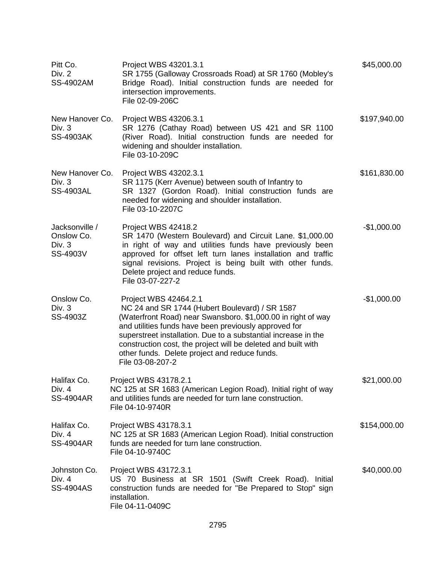| Pitt Co.<br>Div. 2<br>SS-4902AM                    | Project WBS 43201.3.1<br>SR 1755 (Galloway Crossroads Road) at SR 1760 (Mobley's<br>Bridge Road). Initial construction funds are needed for<br>intersection improvements.<br>File 02-09-206C                                                                                                                                                                                                             | \$45,000.00  |
|----------------------------------------------------|----------------------------------------------------------------------------------------------------------------------------------------------------------------------------------------------------------------------------------------------------------------------------------------------------------------------------------------------------------------------------------------------------------|--------------|
| New Hanover Co.<br>Div. 3<br><b>SS-4903AK</b>      | Project WBS 43206.3.1<br>SR 1276 (Cathay Road) between US 421 and SR 1100<br>(River Road). Initial construction funds are needed for<br>widening and shoulder installation.<br>File 03-10-209C                                                                                                                                                                                                           | \$197,940.00 |
| New Hanover Co.<br>Div. 3<br>SS-4903AL             | Project WBS 43202.3.1<br>SR 1175 (Kerr Avenue) between south of Infantry to<br>SR 1327 (Gordon Road). Initial construction funds are<br>needed for widening and shoulder installation.<br>File 03-10-2207C                                                                                                                                                                                               | \$161,830.00 |
| Jacksonville /<br>Onslow Co.<br>Div. 3<br>SS-4903V | Project WBS 42418.2<br>SR 1470 (Western Boulevard) and Circuit Lane. \$1,000.00<br>in right of way and utilities funds have previously been<br>approved for offset left turn lanes installation and traffic<br>signal revisions. Project is being built with other funds.<br>Delete project and reduce funds.<br>File 03-07-227-2                                                                        | $-$1,000.00$ |
| Onslow Co.<br>Div. $3$<br>SS-4903Z                 | Project WBS 42464.2.1<br>NC 24 and SR 1744 (Hubert Boulevard) / SR 1587<br>(Waterfront Road) near Swansboro. \$1,000.00 in right of way<br>and utilities funds have been previously approved for<br>superstreet installation. Due to a substantial increase in the<br>construction cost, the project will be deleted and built with<br>other funds. Delete project and reduce funds.<br>File 03-08-207-2 | $-$1,000.00$ |
| Halifax Co.<br>Div. $4$<br><b>SS-4904AR</b>        | Project WBS 43178.2.1<br>NC 125 at SR 1683 (American Legion Road). Initial right of way<br>and utilities funds are needed for turn lane construction.<br>File 04-10-9740R                                                                                                                                                                                                                                | \$21,000.00  |
| Halifax Co.<br>Div. 4<br><b>SS-4904AR</b>          | Project WBS 43178.3.1<br>NC 125 at SR 1683 (American Legion Road). Initial construction<br>funds are needed for turn lane construction.<br>File 04-10-9740C                                                                                                                                                                                                                                              | \$154,000.00 |
| Johnston Co.<br>Div. 4<br>SS-4904AS                | Project WBS 43172.3.1<br>US 70 Business at SR 1501 (Swift Creek Road). Initial<br>construction funds are needed for "Be Prepared to Stop" sign<br>installation.<br>File 04-11-0409C                                                                                                                                                                                                                      | \$40,000.00  |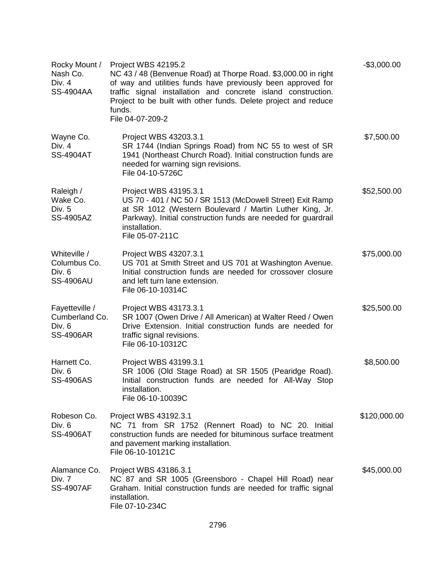| Rocky Mount /<br>Nash Co.<br>Div. $4$<br><b>SS-4904AA</b>      | Project WBS 42195.2<br>NC 43 / 48 (Benvenue Road) at Thorpe Road. \$3,000.00 in right<br>of way and utilities funds have previously been approved for<br>traffic signal installation and concrete island construction.<br>Project to be built with other funds. Delete project and reduce<br>funds.<br>File 04-07-209-2 | $-$3,000.00$ |
|----------------------------------------------------------------|-------------------------------------------------------------------------------------------------------------------------------------------------------------------------------------------------------------------------------------------------------------------------------------------------------------------------|--------------|
| Wayne Co.<br>Div. $4$<br><b>SS-4904AT</b>                      | Project WBS 43203.3.1<br>SR 1744 (Indian Springs Road) from NC 55 to west of SR<br>1941 (Northeast Church Road). Initial construction funds are<br>needed for warning sign revisions.<br>File 04-10-5726C                                                                                                               | \$7,500.00   |
| Raleigh /<br>Wake Co.<br>Div. 5<br>SS-4905AZ                   | Project WBS 43195.3.1<br>US 70 - 401 / NC 50 / SR 1513 (McDowell Street) Exit Ramp<br>at SR 1012 (Western Boulevard / Martin Luther King, Jr.<br>Parkway). Initial construction funds are needed for guardrail<br>installation.<br>File 05-07-211C                                                                      | \$52,500.00  |
| Whiteville /<br>Columbus Co.<br>Div. 6<br><b>SS-4906AU</b>     | Project WBS 43207.3.1<br>US 701 at Smith Street and US 701 at Washington Avenue.<br>Initial construction funds are needed for crossover closure<br>and left turn lane extension.<br>File 06-10-10314C                                                                                                                   | \$75,000.00  |
| Fayetteville /<br>Cumberland Co.<br>Div. 6<br><b>SS-4906AR</b> | Project WBS 43173.3.1<br>SR 1007 (Owen Drive / All American) at Walter Reed / Owen<br>Drive Extension. Initial construction funds are needed for<br>traffic signal revisions.<br>File 06-10-10312C                                                                                                                      | \$25,500.00  |
| Harnett Co.<br>Div. 6<br><b>SS-4906AS</b>                      | Project WBS 43199.3.1<br>SR 1006 (Old Stage Road) at SR 1505 (Pearidge Road).<br>Initial construction funds are needed for All-Way Stop<br>installation.<br>File 06-10-10039C                                                                                                                                           | \$8,500.00   |
| Robeson Co.<br>Div. 6<br><b>SS-4906AT</b>                      | Project WBS 43192.3.1<br>NC 71 from SR 1752 (Rennert Road) to NC 20. Initial<br>construction funds are needed for bituminous surface treatment<br>and pavement marking installation.<br>File 06-10-10121C                                                                                                               | \$120,000.00 |
| Alamance Co.<br>Div. 7<br><b>SS-4907AF</b>                     | Project WBS 43186.3.1<br>NC 87 and SR 1005 (Greensboro - Chapel Hill Road) near<br>Graham. Initial construction funds are needed for traffic signal<br>installation.<br>File 07-10-234C                                                                                                                                 | \$45,000.00  |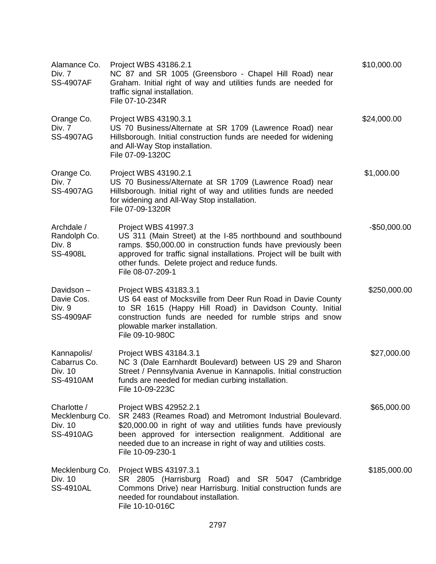| Alamance Co.<br>Div. 7<br><b>SS-4907AF</b>                    | Project WBS 43186.2.1<br>NC 87 and SR 1005 (Greensboro - Chapel Hill Road) near<br>Graham. Initial right of way and utilities funds are needed for<br>traffic signal installation.<br>File 07-10-234R                                                                                                     | \$10,000.00     |
|---------------------------------------------------------------|-----------------------------------------------------------------------------------------------------------------------------------------------------------------------------------------------------------------------------------------------------------------------------------------------------------|-----------------|
| Orange Co.<br>Div. 7<br><b>SS-4907AG</b>                      | Project WBS 43190.3.1<br>US 70 Business/Alternate at SR 1709 (Lawrence Road) near<br>Hillsborough. Initial construction funds are needed for widening<br>and All-Way Stop installation.<br>File 07-09-1320C                                                                                               | \$24,000.00     |
| Orange Co.<br>Div. 7<br><b>SS-4907AG</b>                      | Project WBS 43190.2.1<br>US 70 Business/Alternate at SR 1709 (Lawrence Road) near<br>Hillsborough. Initial right of way and utilities funds are needed<br>for widening and All-Way Stop installation.<br>File 07-09-1320R                                                                                 | \$1,000.00      |
| Archdale /<br>Randolph Co.<br>Div. 8<br>SS-4908L              | Project WBS 41997.3<br>US 311 (Main Street) at the I-85 northbound and southbound<br>ramps. \$50,000.00 in construction funds have previously been<br>approved for traffic signal installations. Project will be built with<br>other funds. Delete project and reduce funds.<br>File 08-07-209-1          | $-$ \$50,000.00 |
| Davidson-<br>Davie Cos.<br>Div. 9<br><b>SS-4909AF</b>         | Project WBS 43183.3.1<br>US 64 east of Mocksville from Deer Run Road in Davie County<br>to SR 1615 (Happy Hill Road) in Davidson County. Initial<br>construction funds are needed for rumble strips and snow<br>plowable marker installation.<br>File 09-10-980C                                          | \$250,000.00    |
| Kannapolis/<br>Cabarrus Co.<br>Div. 10<br>SS-4910AM           | Project WBS 43184.3.1<br>NC 3 (Dale Earnhardt Boulevard) between US 29 and Sharon<br>Street / Pennsylvania Avenue in Kannapolis. Initial construction<br>funds are needed for median curbing installation.<br>File 10-09-223C                                                                             | \$27,000.00     |
| Charlotte /<br>Mecklenburg Co.<br>Div. 10<br><b>SS-4910AG</b> | Project WBS 42952.2.1<br>SR 2483 (Reames Road) and Metromont Industrial Boulevard.<br>\$20,000.00 in right of way and utilities funds have previously<br>been approved for intersection realignment. Additional are<br>needed due to an increase in right of way and utilities costs.<br>File 10-09-230-1 | \$65,000.00     |
| Mecklenburg Co.<br>Div. 10<br><b>SS-4910AL</b>                | Project WBS 43197.3.1<br>SR 2805 (Harrisburg Road) and SR 5047 (Cambridge<br>Commons Drive) near Harrisburg. Initial construction funds are<br>needed for roundabout installation.<br>File 10-10-016C                                                                                                     | \$185,000.00    |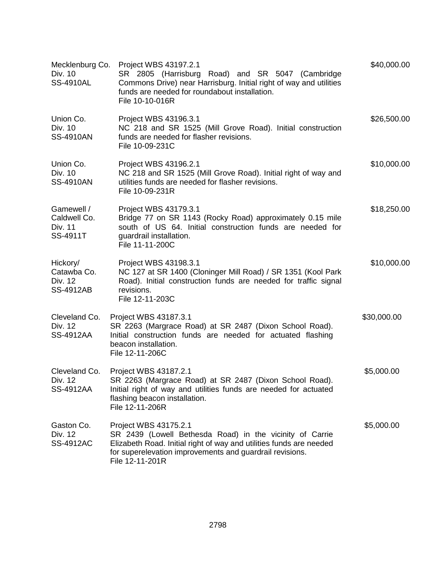| Mecklenburg Co.<br>Div. 10<br><b>SS-4910AL</b>         | Project WBS 43197.2.1<br>SR 2805 (Harrisburg Road) and SR 5047 (Cambridge<br>Commons Drive) near Harrisburg. Initial right of way and utilities<br>funds are needed for roundabout installation.<br>File 10-10-016R                     | \$40,000.00 |
|--------------------------------------------------------|-----------------------------------------------------------------------------------------------------------------------------------------------------------------------------------------------------------------------------------------|-------------|
| Union Co.<br>Div. 10<br>SS-4910AN                      | Project WBS 43196.3.1<br>NC 218 and SR 1525 (Mill Grove Road). Initial construction<br>funds are needed for flasher revisions.<br>File 10-09-231C                                                                                       | \$26,500.00 |
| Union Co.<br>Div. 10<br>SS-4910AN                      | Project WBS 43196.2.1<br>NC 218 and SR 1525 (Mill Grove Road). Initial right of way and<br>utilities funds are needed for flasher revisions.<br>File 10-09-231R                                                                         | \$10,000.00 |
| Gamewell /<br>Caldwell Co.<br>Div. 11<br>SS-4911T      | Project WBS 43179.3.1<br>Bridge 77 on SR 1143 (Rocky Road) approximately 0.15 mile<br>south of US 64. Initial construction funds are needed for<br>guardrail installation.<br>File 11-11-200C                                           | \$18,250.00 |
| Hickory/<br>Catawba Co.<br>Div. 12<br><b>SS-4912AB</b> | Project WBS 43198.3.1<br>NC 127 at SR 1400 (Cloninger Mill Road) / SR 1351 (Kool Park<br>Road). Initial construction funds are needed for traffic signal<br>revisions.<br>File 12-11-203C                                               | \$10,000.00 |
| Cleveland Co.<br>Div. 12<br>SS-4912AA                  | Project WBS 43187.3.1<br>SR 2263 (Margrace Road) at SR 2487 (Dixon School Road).<br>Initial construction funds are needed for actuated flashing<br>beacon installation.<br>File 12-11-206C                                              | \$30,000.00 |
| Cleveland Co.<br>Div. 12<br>SS-4912AA                  | Project WBS 43187.2.1<br>SR 2263 (Margrace Road) at SR 2487 (Dixon School Road).<br>Initial right of way and utilities funds are needed for actuated<br>flashing beacon installation.<br>File 12-11-206R                                | \$5,000.00  |
| Gaston Co.<br>Div. 12<br><b>SS-4912AC</b>              | Project WBS 43175.2.1<br>SR 2439 (Lowell Bethesda Road) in the vicinity of Carrie<br>Elizabeth Road. Initial right of way and utilities funds are needed<br>for superelevation improvements and guardrail revisions.<br>File 12-11-201R | \$5,000.00  |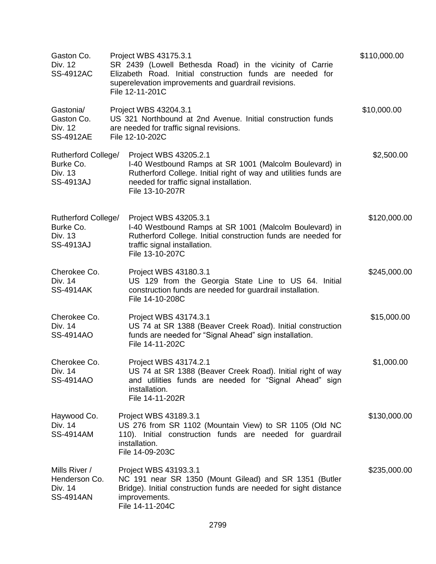| Gaston Co.<br>Div. 12<br><b>SS-4912AC</b>                              | Project WBS 43175.3.1<br>SR 2439 (Lowell Bethesda Road) in the vicinity of Carrie<br>Elizabeth Road. Initial construction funds are needed for<br>superelevation improvements and guardrail revisions.<br>File 12-11-201C | \$110,000.00 |
|------------------------------------------------------------------------|---------------------------------------------------------------------------------------------------------------------------------------------------------------------------------------------------------------------------|--------------|
| Gastonia/<br>Gaston Co.<br>Div. 12<br><b>SS-4912AE</b>                 | Project WBS 43204.3.1<br>US 321 Northbound at 2nd Avenue. Initial construction funds<br>are needed for traffic signal revisions.<br>File 12-10-202C                                                                       | \$10,000.00  |
| Rutherford College/<br>Burke Co.<br>Div. 13<br>SS-4913AJ               | Project WBS 43205.2.1<br>I-40 Westbound Ramps at SR 1001 (Malcolm Boulevard) in<br>Rutherford College. Initial right of way and utilities funds are<br>needed for traffic signal installation.<br>File 13-10-207R         | \$2,500.00   |
| <b>Rutherford College/</b><br>Burke Co.<br>Div. 13<br><b>SS-4913AJ</b> | Project WBS 43205.3.1<br>I-40 Westbound Ramps at SR 1001 (Malcolm Boulevard) in<br>Rutherford College. Initial construction funds are needed for<br>traffic signal installation.<br>File 13-10-207C                       | \$120,000.00 |
| Cherokee Co.<br>Div. 14<br><b>SS-4914AK</b>                            | Project WBS 43180.3.1<br>US 129 from the Georgia State Line to US 64. Initial<br>construction funds are needed for guardrail installation.<br>File 14-10-208C                                                             | \$245,000.00 |
| Cherokee Co.<br>Div. 14<br>SS-4914AO                                   | Project WBS 43174.3.1<br>US 74 at SR 1388 (Beaver Creek Road). Initial construction<br>funds are needed for "Signal Ahead" sign installation.<br>File 14-11-202C                                                          | \$15,000.00  |
| Cherokee Co.<br>Div. 14<br><b>SS-4914AO</b>                            | Project WBS 43174.2.1<br>US 74 at SR 1388 (Beaver Creek Road). Initial right of way<br>and utilities funds are needed for "Signal Ahead" sign<br>installation.<br>File 14-11-202R                                         | \$1,000.00   |
| Haywood Co.<br>Div. 14<br><b>SS-4914AM</b>                             | Project WBS 43189.3.1<br>US 276 from SR 1102 (Mountain View) to SR 1105 (Old NC<br>110). Initial construction funds are needed for guardrail<br>installation.<br>File 14-09-203C                                          | \$130,000.00 |
| Mills River /<br>Henderson Co.<br>Div. 14<br>SS-4914AN                 | Project WBS 43193.3.1<br>NC 191 near SR 1350 (Mount Gilead) and SR 1351 (Butler<br>Bridge). Initial construction funds are needed for sight distance<br>improvements.<br>File 14-11-204C                                  | \$235,000.00 |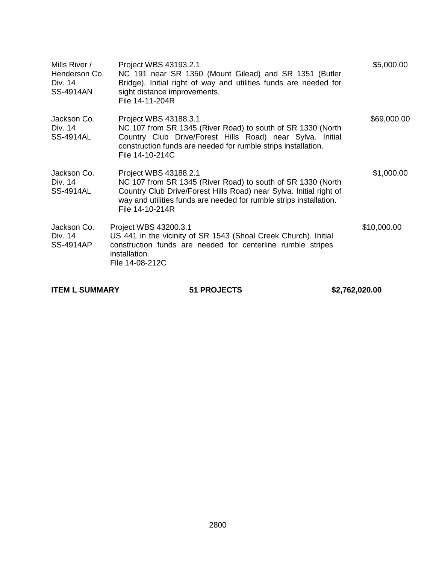| Mills River /<br>Henderson Co.<br>Div. 14<br><b>SS-4914AN</b> | Project WBS 43193.2.1<br>NC 191 near SR 1350 (Mount Gilead) and SR 1351 (Butler<br>Bridge). Initial right of way and utilities funds are needed for<br>sight distance improvements.<br>File 14-11-204R                                              | \$5,000.00  |
|---------------------------------------------------------------|-----------------------------------------------------------------------------------------------------------------------------------------------------------------------------------------------------------------------------------------------------|-------------|
| Jackson Co.<br>Div. 14<br><b>SS-4914AL</b>                    | Project WBS 43188.3.1<br>NC 107 from SR 1345 (River Road) to south of SR 1330 (North<br>Country Club Drive/Forest Hills Road) near Sylva. Initial<br>construction funds are needed for rumble strips installation.<br>File 14-10-214C               | \$69,000.00 |
| Jackson Co.<br>Div. 14<br><b>SS-4914AL</b>                    | Project WBS 43188.2.1<br>NC 107 from SR 1345 (River Road) to south of SR 1330 (North<br>Country Club Drive/Forest Hills Road) near Sylva. Initial right of<br>way and utilities funds are needed for rumble strips installation.<br>File 14-10-214R | \$1,000.00  |
| Jackson Co.<br>Div. 14<br><b>SS-4914AP</b>                    | Project WBS 43200.3.1<br>US 441 in the vicinity of SR 1543 (Shoal Creek Church). Initial<br>construction funds are needed for centerline rumble stripes<br>installation.<br>File 14-08-212C                                                         | \$10,000.00 |

**ITEM L SUMMARY 51 PROJECTS** \$2,762,020.00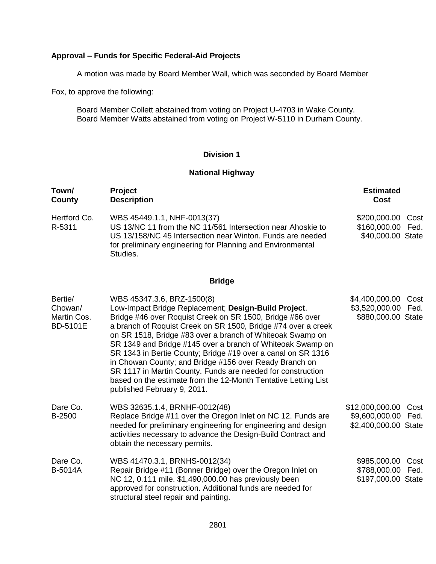#### **Approval – Funds for Specific Federal-Aid Projects**

A motion was made by Board Member Wall, which was seconded by Board Member

Fox, to approve the following:

Board Member Collett abstained from voting on Project U-4703 in Wake County. Board Member Watts abstained from voting on Project W-5110 in Durham County.

#### **Division 1**

#### **National Highway**

| Town/<br>County                                      | Project<br><b>Description</b>                                                                                                                                                                                                                                                                                                                                                                                                                                                                                                                                                                                                         | <b>Estimated</b><br>Cost                                                  |
|------------------------------------------------------|---------------------------------------------------------------------------------------------------------------------------------------------------------------------------------------------------------------------------------------------------------------------------------------------------------------------------------------------------------------------------------------------------------------------------------------------------------------------------------------------------------------------------------------------------------------------------------------------------------------------------------------|---------------------------------------------------------------------------|
| Hertford Co.<br>R-5311                               | WBS 45449.1.1, NHF-0013(37)<br>US 13/NC 11 from the NC 11/561 Intersection near Ahoskie to<br>US 13/158/NC 45 Intersection near Winton. Funds are needed<br>for preliminary engineering for Planning and Environmental<br>Studies.                                                                                                                                                                                                                                                                                                                                                                                                    | \$200,000.00<br>Cost<br>\$160,000.00<br>Fed.<br>\$40,000.00 State         |
|                                                      | <b>Bridge</b>                                                                                                                                                                                                                                                                                                                                                                                                                                                                                                                                                                                                                         |                                                                           |
| Bertie/<br>Chowan/<br>Martin Cos.<br><b>BD-5101E</b> | WBS 45347.3.6, BRZ-1500(8)<br>Low-Impact Bridge Replacement; Design-Build Project.<br>Bridge #46 over Roquist Creek on SR 1500, Bridge #66 over<br>a branch of Roquist Creek on SR 1500, Bridge #74 over a creek<br>on SR 1518, Bridge #83 over a branch of Whiteoak Swamp on<br>SR 1349 and Bridge #145 over a branch of Whiteoak Swamp on<br>SR 1343 in Bertie County; Bridge #19 over a canal on SR 1316<br>in Chowan County; and Bridge #156 over Ready Branch on<br>SR 1117 in Martin County. Funds are needed for construction<br>based on the estimate from the 12-Month Tentative Letting List<br>published February 9, 2011. | \$4,400,000.00<br>Cost<br>\$3,520,000.00<br>Fed.<br>\$880,000.00 State    |
| Dare Co.<br>B-2500                                   | WBS 32635.1.4, BRNHF-0012(48)<br>Replace Bridge #11 over the Oregon Inlet on NC 12. Funds are<br>needed for preliminary engineering for engineering and design<br>activities necessary to advance the Design-Build Contract and<br>obtain the necessary permits.                                                                                                                                                                                                                                                                                                                                                                      | \$12,000,000.00<br>Cost<br>\$9,600,000.00<br>Fed.<br>\$2,400,000.00 State |
| Dare Co.<br><b>B-5014A</b>                           | WBS 41470.3.1, BRNHS-0012(34)<br>Repair Bridge #11 (Bonner Bridge) over the Oregon Inlet on<br>NC 12, 0.111 mile. \$1,490,000.00 has previously been<br>approved for construction. Additional funds are needed for<br>structural steel repair and painting.                                                                                                                                                                                                                                                                                                                                                                           | \$985,000.00<br>Cost<br>\$788,000.00<br>Fed.<br>\$197,000.00 State        |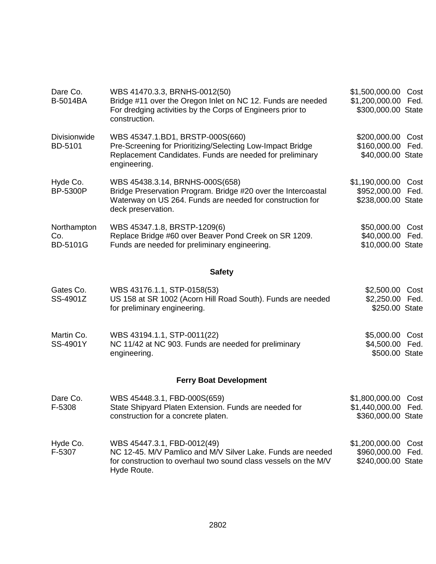| Dare Co.<br><b>B-5014BA</b>           | WBS 41470.3.3, BRNHS-0012(50)<br>Bridge #11 over the Oregon Inlet on NC 12. Funds are needed<br>For dredging activities by the Corps of Engineers prior to<br>construction.         | \$1,500,000.00 Cost<br>\$1,200,000.00 Fed.<br>\$300,000.00 State |              |
|---------------------------------------|-------------------------------------------------------------------------------------------------------------------------------------------------------------------------------------|------------------------------------------------------------------|--------------|
| <b>Divisionwide</b><br>BD-5101        | WBS 45347.1.BD1, BRSTP-000S(660)<br>Pre-Screening for Prioritizing/Selecting Low-Impact Bridge<br>Replacement Candidates. Funds are needed for preliminary<br>engineering.          | \$200,000.00 Cost<br>\$160,000.00 Fed.<br>\$40,000.00 State      |              |
| Hyde Co.<br><b>BP-5300P</b>           | WBS 45438.3.14, BRNHS-000S(658)<br>Bridge Preservation Program. Bridge #20 over the Intercoastal<br>Waterway on US 264. Funds are needed for construction for<br>deck preservation. | \$1,190,000.00 Cost<br>\$952,000.00<br>\$238,000.00 State        | Fed.         |
| Northampton<br>Co.<br><b>BD-5101G</b> | WBS 45347.1.8, BRSTP-1209(6)<br>Replace Bridge #60 over Beaver Pond Creek on SR 1209.<br>Funds are needed for preliminary engineering.                                              | \$50,000.00 Cost<br>\$40,000.00 Fed.<br>\$10,000.00 State        |              |
|                                       | <b>Safety</b>                                                                                                                                                                       |                                                                  |              |
| Gates Co.<br>SS-4901Z                 | WBS 43176.1.1, STP-0158(53)<br>US 158 at SR 1002 (Acorn Hill Road South). Funds are needed<br>for preliminary engineering.                                                          | \$2,500.00 Cost<br>\$2,250.00 Fed.<br>\$250.00 State             |              |
| Martin Co.<br>SS-4901Y                | WBS 43194.1.1, STP-0011(22)<br>NC 11/42 at NC 903. Funds are needed for preliminary<br>engineering.                                                                                 | \$5,000.00 Cost<br>\$4,500.00 Fed.<br>\$500.00 State             |              |
|                                       | <b>Ferry Boat Development</b>                                                                                                                                                       |                                                                  |              |
| Dare Co.<br>F-5308                    | WBS 45448.3.1, FBD-000S(659)<br>State Shipyard Platen Extension. Funds are needed for<br>construction for a concrete platen.                                                        | \$1,800,000.00 Cost<br>\$1,440,000.00 Fed.<br>\$360,000.00 State |              |
| Hyde Co.<br>F-5307                    | WBS 45447.3.1, FBD-0012(49)<br>NC 12-45. M/V Pamlico and M/V Silver Lake. Funds are needed<br>for construction to overhaul two sound class vessels on the M/V<br>Hyde Route.        | \$1,200,000.00<br>\$960,000.00<br>\$240,000.00 State             | Cost<br>Fed. |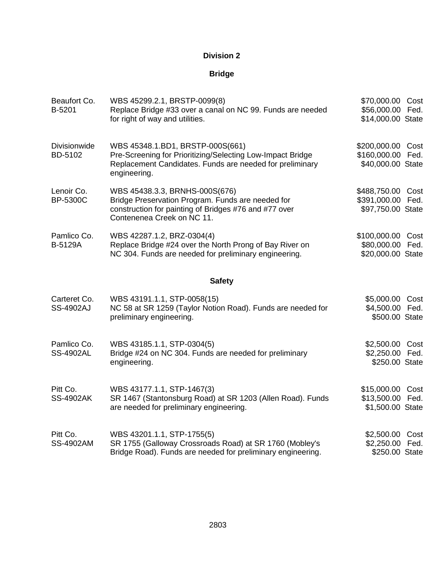| Beaufort Co.<br>B-5201           | WBS 45299.2.1, BRSTP-0099(8)<br>Replace Bridge #33 over a canal on NC 99. Funds are needed<br>for right of way and utilities.                                              | \$70,000.00 Cost<br>\$56,000.00 Fed.<br>\$14,000.00 State   |      |
|----------------------------------|----------------------------------------------------------------------------------------------------------------------------------------------------------------------------|-------------------------------------------------------------|------|
| Divisionwide<br>BD-5102          | WBS 45348.1.BD1, BRSTP-000S(661)<br>Pre-Screening for Prioritizing/Selecting Low-Impact Bridge<br>Replacement Candidates. Funds are needed for preliminary<br>engineering. | \$200,000.00<br>\$160,000.00 Fed.<br>\$40,000.00 State      | Cost |
| Lenoir Co.<br><b>BP-5300C</b>    | WBS 45438.3.3, BRNHS-000S(676)<br>Bridge Preservation Program. Funds are needed for<br>construction for painting of Bridges #76 and #77 over<br>Contenenea Creek on NC 11. | \$488,750.00 Cost<br>\$391,000.00 Fed.<br>\$97,750.00 State |      |
| Pamlico Co.<br>B-5129A           | WBS 42287.1.2, BRZ-0304(4)<br>Replace Bridge #24 over the North Prong of Bay River on<br>NC 304. Funds are needed for preliminary engineering.                             | \$100,000.00 Cost<br>\$80,000.00 Fed.<br>\$20,000.00 State  |      |
|                                  | <b>Safety</b>                                                                                                                                                              |                                                             |      |
| Carteret Co.<br><b>SS-4902AJ</b> | WBS 43191.1.1, STP-0058(15)<br>NC 58 at SR 1259 (Taylor Notion Road). Funds are needed for<br>preliminary engineering.                                                     | \$5,000.00 Cost<br>\$4,500.00 Fed.<br>\$500.00 State        |      |
| Pamlico Co.<br><b>SS-4902AL</b>  | WBS 43185.1.1, STP-0304(5)<br>Bridge #24 on NC 304. Funds are needed for preliminary<br>engineering.                                                                       | \$2,500.00 Cost<br>\$2,250.00 Fed.<br>\$250.00 State        |      |
| Pitt Co.<br><b>SS-4902AK</b>     | WBS 43177.1.1, STP-1467(3)<br>SR 1467 (Stantonsburg Road) at SR 1203 (Allen Road). Funds<br>are needed for preliminary engineering.                                        | \$15,000.00 Cost<br>\$13,500.00 Fed.<br>\$1,500.00 State    |      |
| Pitt Co.<br>SS-4902AM            | WBS 43201.1.1, STP-1755(5)<br>SR 1755 (Galloway Crossroads Road) at SR 1760 (Mobley's<br>Bridge Road). Funds are needed for preliminary engineering.                       | \$2,500.00 Cost<br>\$2,250.00 Fed.<br>\$250.00 State        |      |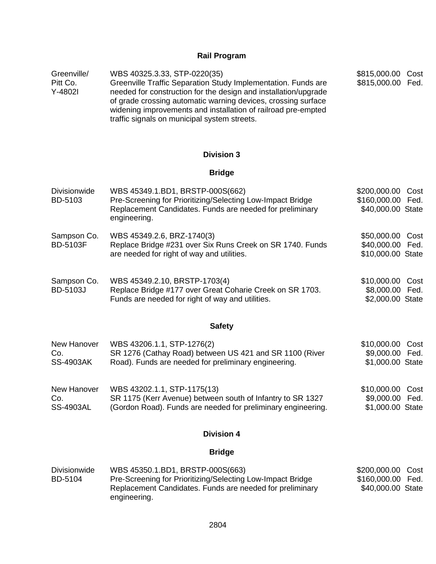| Greenville/         | WBS 40325.3.33, STP-0220(35)                                                                                                                                                                                                                                                                                       | \$815,000.00 Cost |  |
|---------------------|--------------------------------------------------------------------------------------------------------------------------------------------------------------------------------------------------------------------------------------------------------------------------------------------------------------------|-------------------|--|
| Pitt Co.<br>Y-4802I | Greenville Traffic Separation Study Implementation. Funds are<br>needed for construction for the design and installation/upgrade<br>of grade crossing automatic warning devices, crossing surface<br>widening improvements and installation of railroad pre-empted<br>traffic signals on municipal system streets. | \$815,000.00 Fed. |  |
|                     |                                                                                                                                                                                                                                                                                                                    |                   |  |

## **Division 3**

| <b>Divisionwide</b><br>BD-5103         | WBS 45349.1.BD1, BRSTP-000S(662)<br>Pre-Screening for Prioritizing/Selecting Low-Impact Bridge<br>Replacement Candidates. Funds are needed for preliminary<br>engineering. | \$200,000.00<br>\$160,000.00<br>\$40,000.00 State  | Cost<br>Fed. |
|----------------------------------------|----------------------------------------------------------------------------------------------------------------------------------------------------------------------------|----------------------------------------------------|--------------|
| Sampson Co.<br><b>BD-5103F</b>         | WBS 45349.2.6, BRZ-1740(3)<br>Replace Bridge #231 over Six Runs Creek on SR 1740. Funds<br>are needed for right of way and utilities.                                      | \$50,000.00<br>\$40,000.00<br>\$10,000.00 State    | Cost<br>Fed. |
| Sampson Co.<br>BD-5103J                | WBS 45349.2.10, BRSTP-1703(4)<br>Replace Bridge #177 over Great Coharie Creek on SR 1703.<br>Funds are needed for right of way and utilities.                              | \$10,000.00<br>\$8,000.00 Fed.<br>\$2,000.00 State | Cost         |
|                                        | <b>Safety</b>                                                                                                                                                              |                                                    |              |
| New Hanover<br>Co.<br><b>SS-4903AK</b> | WBS 43206.1.1, STP-1276(2)<br>SR 1276 (Cathay Road) between US 421 and SR 1100 (River<br>Road). Funds are needed for preliminary engineering.                              | \$10,000.00<br>\$9,000.00<br>\$1,000.00 State      | Cost<br>Fed. |
| New Hanover<br>Co.<br><b>SS-4903AL</b> | WBS 43202.1.1, STP-1175(13)<br>SR 1175 (Kerr Avenue) between south of Infantry to SR 1327<br>(Gordon Road). Funds are needed for preliminary engineering.                  | \$10,000.00<br>\$9,000.00<br>\$1,000.00 State      | Cost<br>Fed. |
|                                        | <b>Division 4</b>                                                                                                                                                          |                                                    |              |
|                                        | <b>Bridge</b>                                                                                                                                                              |                                                    |              |
| <b>Divisionwide</b><br><b>BD-5104</b>  | WBS 45350.1.BD1, BRSTP-000S(663)<br>Pre-Screening for Prioritizing/Selecting Low-Impact Bridge<br>Replacement Candidates. Funds are needed for preliminary<br>engineering. | \$200,000.00<br>\$160,000.00<br>\$40,000.00 State  | Cost<br>Fed. |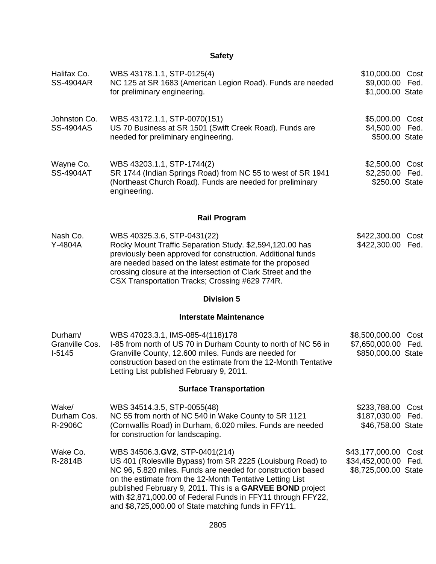# **Safety**

| Halifax Co.<br><b>SS-4904AR</b>       | WBS 43178.1.1, STP-0125(4)<br>NC 125 at SR 1683 (American Legion Road). Funds are needed<br>for preliminary engineering.                                                                                                                                                                                                                                                                                      | \$10,000.00 Cost<br>\$9,000.00 Fed.<br>\$1,000.00 State    |              |
|---------------------------------------|---------------------------------------------------------------------------------------------------------------------------------------------------------------------------------------------------------------------------------------------------------------------------------------------------------------------------------------------------------------------------------------------------------------|------------------------------------------------------------|--------------|
| Johnston Co.<br><b>SS-4904AS</b>      | WBS 43172.1.1, STP-0070(151)<br>US 70 Business at SR 1501 (Swift Creek Road). Funds are<br>needed for preliminary engineering.                                                                                                                                                                                                                                                                                | \$5,000.00<br>\$4,500.00<br>\$500.00 State                 | Cost<br>Fed. |
| Wayne Co.<br><b>SS-4904AT</b>         | WBS 43203.1.1, STP-1744(2)<br>SR 1744 (Indian Springs Road) from NC 55 to west of SR 1941<br>(Northeast Church Road). Funds are needed for preliminary<br>engineering.                                                                                                                                                                                                                                        | \$2,500.00 Cost<br>\$2,250.00 Fed.<br>\$250.00 State       |              |
|                                       | <b>Rail Program</b>                                                                                                                                                                                                                                                                                                                                                                                           |                                                            |              |
| Nash Co.<br>Y-4804A                   | WBS 40325.3.6, STP-0431(22)<br>Rocky Mount Traffic Separation Study. \$2,594,120.00 has<br>previously been approved for construction. Additional funds<br>are needed based on the latest estimate for the proposed<br>crossing closure at the intersection of Clark Street and the<br>CSX Transportation Tracks; Crossing #629 774R.                                                                          | \$422,300.00<br>\$422,300.00 Fed.                          | Cost         |
|                                       | <b>Division 5</b>                                                                                                                                                                                                                                                                                                                                                                                             |                                                            |              |
|                                       | <b>Interstate Maintenance</b>                                                                                                                                                                                                                                                                                                                                                                                 |                                                            |              |
| Durham/<br>Granville Cos.<br>$I-5145$ | WBS 47023.3.1, IMS-085-4(118)178<br>I-85 from north of US 70 in Durham County to north of NC 56 in<br>Granville County, 12.600 miles. Funds are needed for<br>construction based on the estimate from the 12-Month Tentative<br>Letting List published February 9, 2011.                                                                                                                                      | \$8,500,000.00<br>\$7,650,000.00<br>\$850,000.00 State     | Cost<br>Fed. |
|                                       | <b>Surface Transportation</b>                                                                                                                                                                                                                                                                                                                                                                                 |                                                            |              |
| Wake/<br>Durham Cos.<br>R-2906C       | WBS 34514.3.5, STP-0055(48)<br>NC 55 from north of NC 540 in Wake County to SR 1121<br>(Cornwallis Road) in Durham, 6.020 miles. Funds are needed<br>for construction for landscaping.                                                                                                                                                                                                                        | \$233,788.00<br>\$187,030.00<br>\$46,758.00 State          | Cost<br>Fed. |
| Wake Co.<br>R-2814B                   | WBS 34506.3.GV2, STP-0401(214)<br>US 401 (Rolesville Bypass) from SR 2225 (Louisburg Road) to<br>NC 96, 5.820 miles. Funds are needed for construction based<br>on the estimate from the 12-Month Tentative Letting List<br>published February 9, 2011. This is a GARVEE BOND project<br>with \$2,871,000.00 of Federal Funds in FFY11 through FFY22,<br>and \$8,725,000.00 of State matching funds in FFY11. | \$43,177,000.00<br>\$34,452,000.00<br>\$8,725,000.00 State | Cost<br>Fed. |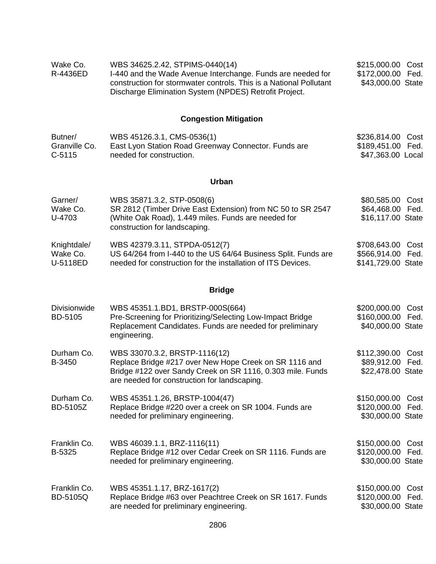| Wake Co.<br>R-4436ED                 | WBS 34625.2.42, STPIMS-0440(14)<br>I-440 and the Wade Avenue Interchange. Funds are needed for<br>construction for stormwater controls. This is a National Pollutant<br>Discharge Elimination System (NPDES) Retrofit Project. | \$215,000.00 Cost<br>\$172,000.00<br>Fed.<br>\$43,000.00 State    |
|--------------------------------------|--------------------------------------------------------------------------------------------------------------------------------------------------------------------------------------------------------------------------------|-------------------------------------------------------------------|
|                                      | <b>Congestion Mitigation</b>                                                                                                                                                                                                   |                                                                   |
| Butner/<br>Granville Co.<br>$C-5115$ | WBS 45126.3.1, CMS-0536(1)<br>East Lyon Station Road Greenway Connector. Funds are<br>needed for construction.                                                                                                                 | \$236,814.00<br>Cost<br>\$189,451.00 Fed.<br>\$47,363.00 Local    |
|                                      | <b>Urban</b>                                                                                                                                                                                                                   |                                                                   |
| Garner/<br>Wake Co.<br>U-4703        | WBS 35871.3.2, STP-0508(6)<br>SR 2812 (Timber Drive East Extension) from NC 50 to SR 2547<br>(White Oak Road), 1.449 miles. Funds are needed for<br>construction for landscaping.                                              | \$80,585.00 Cost<br>\$64,468.00<br>Fed.<br>\$16,117.00 State      |
| Knightdale/<br>Wake Co.<br>U-5118ED  | WBS 42379.3.11, STPDA-0512(7)<br>US 64/264 from I-440 to the US 64/64 Business Split. Funds are<br>needed for construction for the installation of ITS Devices.                                                                | \$708,643.00 Cost<br>\$566,914.00<br>Fed.<br>\$141,729.00 State   |
|                                      | <b>Bridge</b>                                                                                                                                                                                                                  |                                                                   |
| <b>Divisionwide</b><br>BD-5105       | WBS 45351.1.BD1, BRSTP-000S(664)<br>Pre-Screening for Prioritizing/Selecting Low-Impact Bridge<br>Replacement Candidates. Funds are needed for preliminary<br>engineering.                                                     | \$200,000.00<br>Cost<br>\$160,000.00<br>Fed.<br>\$40,000.00 State |
| Durham Co.<br>B-3450                 | WBS 33070.3.2, BRSTP-1116(12)<br>Replace Bridge #217 over New Hope Creek on SR 1116 and<br>Bridge #122 over Sandy Creek on SR 1116, 0.303 mile. Funds<br>are needed for construction for landscaping.                          | \$112,390.00 Cost<br>\$89,912.00<br>Fed.<br>\$22,478.00 State     |
| Durham Co.<br>BD-5105Z               | WBS 45351.1.26, BRSTP-1004(47)<br>Replace Bridge #220 over a creek on SR 1004. Funds are<br>needed for preliminary engineering.                                                                                                | \$150,000.00<br>Cost<br>\$120,000.00 Fed.<br>\$30,000.00 State    |
| Franklin Co.<br>B-5325               | WBS 46039.1.1, BRZ-1116(11)<br>Replace Bridge #12 over Cedar Creek on SR 1116. Funds are<br>needed for preliminary engineering.                                                                                                | \$150,000.00 Cost<br>\$120,000.00 Fed.<br>\$30,000.00 State       |
| Franklin Co.<br>BD-5105Q             | WBS 45351.1.17, BRZ-1617(2)<br>Replace Bridge #63 over Peachtree Creek on SR 1617. Funds<br>are needed for preliminary engineering.                                                                                            | \$150,000.00 Cost<br>\$120,000.00<br>Fed.<br>\$30,000.00 State    |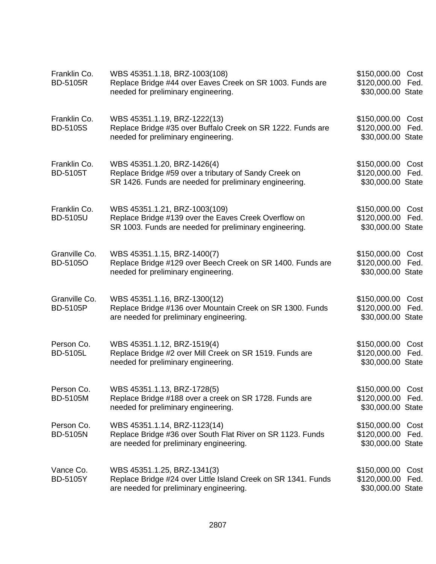| Franklin Co.<br><b>BD-5105R</b>  | WBS 45351.1.18, BRZ-1003(108)<br>Replace Bridge #44 over Eaves Creek on SR 1003. Funds are<br>needed for preliminary engineering.               | \$150,000.00<br>\$120,000.00<br>\$30,000.00 State      | Cost<br>Fed. |
|----------------------------------|-------------------------------------------------------------------------------------------------------------------------------------------------|--------------------------------------------------------|--------------|
| Franklin Co.<br><b>BD-5105S</b>  | WBS 45351.1.19, BRZ-1222(13)<br>Replace Bridge #35 over Buffalo Creek on SR 1222. Funds are<br>needed for preliminary engineering.              | \$150,000.00 Cost<br>\$120,000.00<br>\$30,000.00 State | Fed.         |
| Franklin Co.<br><b>BD-5105T</b>  | WBS 45351.1.20, BRZ-1426(4)<br>Replace Bridge #59 over a tributary of Sandy Creek on<br>SR 1426. Funds are needed for preliminary engineering.  | \$150,000.00<br>\$120,000.00<br>\$30,000.00 State      | Cost<br>Fed. |
| Franklin Co.<br><b>BD-5105U</b>  | WBS 45351.1.21, BRZ-1003(109)<br>Replace Bridge #139 over the Eaves Creek Overflow on<br>SR 1003. Funds are needed for preliminary engineering. | \$150,000.00 Cost<br>\$120,000.00<br>\$30,000.00 State | Fed.         |
| Granville Co.<br>BD-5105O        | WBS 45351.1.15, BRZ-1400(7)<br>Replace Bridge #129 over Beech Creek on SR 1400. Funds are<br>needed for preliminary engineering.                | \$150,000.00<br>\$120,000.00<br>\$30,000.00 State      | Cost<br>Fed. |
| Granville Co.<br><b>BD-5105P</b> | WBS 45351.1.16, BRZ-1300(12)<br>Replace Bridge #136 over Mountain Creek on SR 1300. Funds<br>are needed for preliminary engineering.            | \$150,000.00<br>\$120,000.00<br>\$30,000.00 State      | Cost<br>Fed. |
| Person Co.<br><b>BD-5105L</b>    | WBS 45351.1.12, BRZ-1519(4)<br>Replace Bridge #2 over Mill Creek on SR 1519. Funds are<br>needed for preliminary engineering.                   | \$150,000.00<br>\$120,000.00<br>\$30,000.00 State      | Cost<br>Fed. |
| Person Co.<br><b>BD-5105M</b>    | WBS 45351.1.13, BRZ-1728(5)<br>Replace Bridge #188 over a creek on SR 1728. Funds are<br>needed for preliminary engineering.                    | \$150,000.00 Cost<br>\$120,000.00<br>\$30,000.00 State | Fed.         |
| Person Co.<br><b>BD-5105N</b>    | WBS 45351.1.14, BRZ-1123(14)<br>Replace Bridge #36 over South Flat River on SR 1123. Funds<br>are needed for preliminary engineering.           | \$150,000.00<br>\$120,000.00<br>\$30,000.00 State      | Cost<br>Fed. |
| Vance Co.<br><b>BD-5105Y</b>     | WBS 45351.1.25, BRZ-1341(3)<br>Replace Bridge #24 over Little Island Creek on SR 1341. Funds<br>are needed for preliminary engineering.         | \$150,000.00<br>\$120,000.00<br>\$30,000.00 State      | Cost<br>Fed. |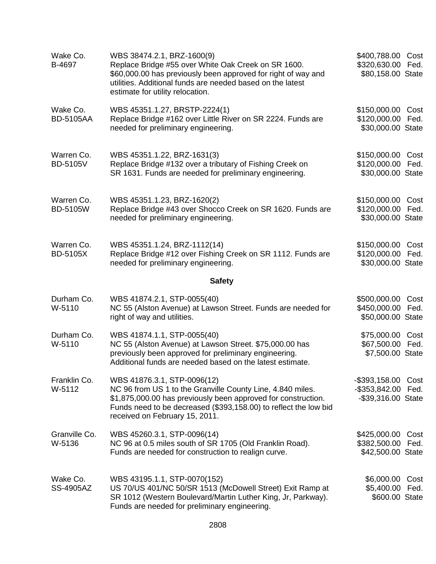| Wake Co.<br>B-4697            | WBS 38474.2.1, BRZ-1600(9)<br>Replace Bridge #55 over White Oak Creek on SR 1600.<br>\$60,000.00 has previously been approved for right of way and<br>utilities. Additional funds are needed based on the latest<br>estimate for utility relocation.             | \$400,788.00<br>\$320,630.00<br>\$80,158.00 State           | Cost<br>Fed. |
|-------------------------------|------------------------------------------------------------------------------------------------------------------------------------------------------------------------------------------------------------------------------------------------------------------|-------------------------------------------------------------|--------------|
| Wake Co.<br><b>BD-5105AA</b>  | WBS 45351.1.27, BRSTP-2224(1)<br>Replace Bridge #162 over Little River on SR 2224. Funds are<br>needed for preliminary engineering.                                                                                                                              | \$150,000.00 Cost<br>\$120,000.00<br>\$30,000.00 State      | Fed.         |
| Warren Co.<br><b>BD-5105V</b> | WBS 45351.1.22, BRZ-1631(3)<br>Replace Bridge #132 over a tributary of Fishing Creek on<br>SR 1631. Funds are needed for preliminary engineering.                                                                                                                | \$150,000.00<br>\$120,000.00<br>\$30,000.00 State           | Cost<br>Fed. |
| Warren Co.<br><b>BD-5105W</b> | WBS 45351.1.23, BRZ-1620(2)<br>Replace Bridge #43 over Shocco Creek on SR 1620. Funds are<br>needed for preliminary engineering.                                                                                                                                 | \$150,000.00 Cost<br>\$120,000.00 Fed.<br>\$30,000.00 State |              |
| Warren Co.<br><b>BD-5105X</b> | WBS 45351.1.24, BRZ-1112(14)<br>Replace Bridge #12 over Fishing Creek on SR 1112. Funds are<br>needed for preliminary engineering.                                                                                                                               | \$150,000.00 Cost<br>\$120,000.00<br>\$30,000.00 State      | Fed.         |
|                               | <b>Safety</b>                                                                                                                                                                                                                                                    |                                                             |              |
| Durham Co.<br>W-5110          | WBS 41874.2.1, STP-0055(40)<br>NC 55 (Alston Avenue) at Lawson Street. Funds are needed for<br>right of way and utilities.                                                                                                                                       | \$500,000.00<br>\$450,000.00<br>\$50,000.00 State           | Cost<br>Fed. |
| Durham Co.<br>W-5110          | WBS 41874.1.1, STP-0055(40)<br>NC 55 (Alston Avenue) at Lawson Street. \$75,000.00 has<br>previously been approved for preliminary engineering.<br>Additional funds are needed based on the latest estimate.                                                     | \$75,000.00<br>\$67,500.00<br>\$7,500.00 State              | Cost<br>Fed. |
| Franklin Co.<br>W-5112        | WBS 41876.3.1, STP-0096(12)<br>NC 96 from US 1 to the Granville County Line, 4.840 miles.<br>\$1,875,000.00 has previously been approved for construction.<br>Funds need to be decreased (\$393,158.00) to reflect the low bid<br>received on February 15, 2011. | $-$ \$393,158.00<br>$-$ \$353,842.00<br>-\$39,316.00 State  | Cost<br>Fed. |
| Granville Co.<br>W-5136       | WBS 45260.3.1, STP-0096(14)<br>NC 96 at 0.5 miles south of SR 1705 (Old Franklin Road).<br>Funds are needed for construction to realign curve.                                                                                                                   | \$425,000.00<br>\$382,500.00<br>\$42,500.00 State           | Cost<br>Fed. |
| Wake Co.<br>SS-4905AZ         | WBS 43195.1.1, STP-0070(152)<br>US 70/US 401/NC 50/SR 1513 (McDowell Street) Exit Ramp at<br>SR 1012 (Western Boulevard/Martin Luther King, Jr, Parkway).<br>Funds are needed for preliminary engineering.                                                       | \$6,000.00<br>\$5,400.00<br>\$600.00 State                  | Cost<br>Fed. |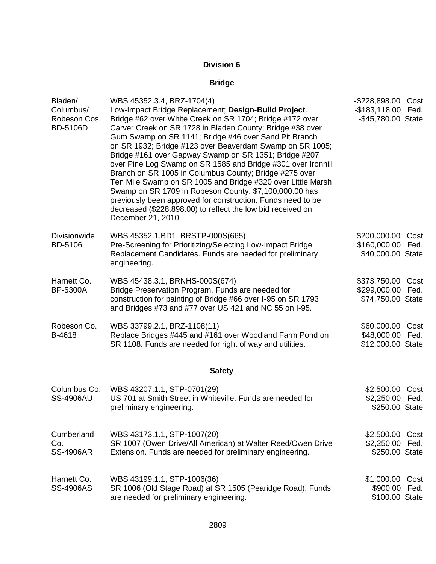| Bladen/<br>Columbus/<br>Robeson Cos.<br><b>BD-5106D</b> | WBS 45352.3.4, BRZ-1704(4)<br>Low-Impact Bridge Replacement; Design-Build Project.<br>Bridge #62 over White Creek on SR 1704; Bridge #172 over<br>Carver Creek on SR 1728 in Bladen County; Bridge #38 over<br>Gum Swamp on SR 1141; Bridge #46 over Sand Pit Branch<br>on SR 1932; Bridge #123 over Beaverdam Swamp on SR 1005;<br>Bridge #161 over Gapway Swamp on SR 1351; Bridge #207<br>over Pine Log Swamp on SR 1585 and Bridge #301 over Ironhill<br>Branch on SR 1005 in Columbus County; Bridge #275 over<br>Ten Mile Swamp on SR 1005 and Bridge #320 over Little Marsh<br>Swamp on SR 1709 in Robeson County. \$7,100,000.00 has<br>previously been approved for construction. Funds need to be<br>decreased (\$228,898.00) to reflect the low bid received on<br>December 21, 2010. | $-$ \$228,898.00<br>$-$183,118.00$<br>-\$45,780.00 State | Cost<br>Fed. |
|---------------------------------------------------------|--------------------------------------------------------------------------------------------------------------------------------------------------------------------------------------------------------------------------------------------------------------------------------------------------------------------------------------------------------------------------------------------------------------------------------------------------------------------------------------------------------------------------------------------------------------------------------------------------------------------------------------------------------------------------------------------------------------------------------------------------------------------------------------------------|----------------------------------------------------------|--------------|
| <b>Divisionwide</b><br><b>BD-5106</b>                   | WBS 45352.1.BD1, BRSTP-000S(665)<br>Pre-Screening for Prioritizing/Selecting Low-Impact Bridge<br>Replacement Candidates. Funds are needed for preliminary<br>engineering.                                                                                                                                                                                                                                                                                                                                                                                                                                                                                                                                                                                                                       | \$200,000.00<br>\$160,000.00<br>\$40,000.00 State        | Cost<br>Fed. |
| Harnett Co.<br><b>BP-5300A</b>                          | WBS 45438.3.1, BRNHS-000S(674)<br>Bridge Preservation Program. Funds are needed for<br>construction for painting of Bridge #66 over I-95 on SR 1793<br>and Bridges #73 and #77 over US 421 and NC 55 on I-95.                                                                                                                                                                                                                                                                                                                                                                                                                                                                                                                                                                                    | \$373,750.00<br>\$299,000.00 Fed.<br>\$74,750.00 State   | Cost         |
| Robeson Co.<br>B-4618                                   | WBS 33799.2.1, BRZ-1108(11)<br>Replace Bridges #445 and #161 over Woodland Farm Pond on<br>SR 1108. Funds are needed for right of way and utilities.                                                                                                                                                                                                                                                                                                                                                                                                                                                                                                                                                                                                                                             | \$60,000.00<br>\$48,000.00<br>\$12,000.00 State          | Cost<br>Fed. |
|                                                         | <b>Safety</b>                                                                                                                                                                                                                                                                                                                                                                                                                                                                                                                                                                                                                                                                                                                                                                                    |                                                          |              |
| Columbus Co.<br><b>SS-4906AU</b>                        | WBS 43207.1.1, STP-0701(29)<br>US 701 at Smith Street in Whiteville. Funds are needed for<br>preliminary engineering.                                                                                                                                                                                                                                                                                                                                                                                                                                                                                                                                                                                                                                                                            | \$2,500.00<br>\$2,250.00 Fed.<br>\$250.00 State          | Cost         |
| Cumberland<br>Co.<br><b>SS-4906AR</b>                   | WBS 43173.1.1, STP-1007(20)<br>SR 1007 (Owen Drive/All American) at Walter Reed/Owen Drive<br>Extension. Funds are needed for preliminary engineering.                                                                                                                                                                                                                                                                                                                                                                                                                                                                                                                                                                                                                                           | \$2,500.00<br>\$2,250.00<br>\$250.00 State               | Cost<br>Fed. |
| Harnett Co.<br><b>SS-4906AS</b>                         | WBS 43199.1.1, STP-1006(36)<br>SR 1006 (Old Stage Road) at SR 1505 (Pearidge Road). Funds<br>are needed for preliminary engineering.                                                                                                                                                                                                                                                                                                                                                                                                                                                                                                                                                                                                                                                             | \$1,000.00<br>\$900.00 Fed.<br>\$100.00 State            | Cost         |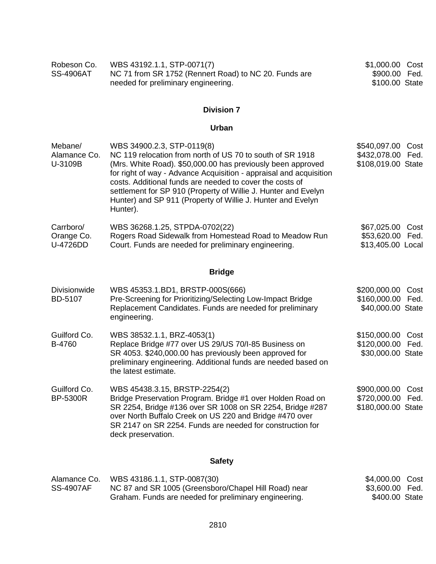| Robeson Co.<br><b>SS-4906AT</b>     | WBS 43192.1.1, STP-0071(7)<br>NC 71 from SR 1752 (Rennert Road) to NC 20. Funds are<br>needed for preliminary engineering.                                                                                                                                                                                                                                                                                                            | \$1,000.00 Cost<br>\$900.00 Fed.<br>\$100.00 State                |
|-------------------------------------|---------------------------------------------------------------------------------------------------------------------------------------------------------------------------------------------------------------------------------------------------------------------------------------------------------------------------------------------------------------------------------------------------------------------------------------|-------------------------------------------------------------------|
|                                     | <b>Division 7</b>                                                                                                                                                                                                                                                                                                                                                                                                                     |                                                                   |
|                                     | Urban                                                                                                                                                                                                                                                                                                                                                                                                                                 |                                                                   |
| Mebane/<br>Alamance Co.<br>U-3109B  | WBS 34900.2.3, STP-0119(8)<br>NC 119 relocation from north of US 70 to south of SR 1918<br>(Mrs. White Road). \$50,000.00 has previously been approved<br>for right of way - Advance Acquisition - appraisal and acquisition<br>costs. Additional funds are needed to cover the costs of<br>settlement for SP 910 (Property of Willie J. Hunter and Evelyn<br>Hunter) and SP 911 (Property of Willie J. Hunter and Evelyn<br>Hunter). | \$540,097.00 Cost<br>\$432,078.00 Fed.<br>\$108,019.00 State      |
| Carrboro/<br>Orange Co.<br>U-4726DD | WBS 36268.1.25, STPDA-0702(22)<br>Rogers Road Sidewalk from Homestead Road to Meadow Run<br>Court. Funds are needed for preliminary engineering.                                                                                                                                                                                                                                                                                      | \$67,025.00 Cost<br>\$53,620.00 Fed.<br>\$13,405.00 Local         |
|                                     | <b>Bridge</b>                                                                                                                                                                                                                                                                                                                                                                                                                         |                                                                   |
| <b>Divisionwide</b><br>BD-5107      | WBS 45353.1.BD1, BRSTP-000S(666)<br>Pre-Screening for Prioritizing/Selecting Low-Impact Bridge<br>Replacement Candidates. Funds are needed for preliminary<br>engineering.                                                                                                                                                                                                                                                            | \$200,000.00<br>Cost<br>\$160,000.00 Fed.<br>\$40,000.00 State    |
| Guilford Co.<br>B-4760              | WBS 38532.1.1, BRZ-4053(1)<br>Replace Bridge #77 over US 29/US 70/I-85 Business on<br>SR 4053. \$240,000.00 has previously been approved for<br>preliminary engineering. Additional funds are needed based on<br>the latest estimate.                                                                                                                                                                                                 | \$150,000.00<br>Cost<br>\$120,000.00<br>Fed.<br>\$30,000.00 State |
| Guilford Co.<br><b>BP-5300R</b>     | WBS 45438.3.15, BRSTP-2254(2)<br>Bridge Preservation Program. Bridge #1 over Holden Road on<br>SR 2254, Bridge #136 over SR 1008 on SR 2254, Bridge #287<br>over North Buffalo Creek on US 220 and Bridge #470 over<br>SR 2147 on SR 2254. Funds are needed for construction for<br>deck preservation.                                                                                                                                | \$900,000.00 Cost<br>\$720,000.00 Fed.<br>\$180,000.00 State      |
|                                     | <b>Safety</b>                                                                                                                                                                                                                                                                                                                                                                                                                         |                                                                   |
| Alamance Co.<br><b>SS-4907AF</b>    | WBS 43186.1.1, STP-0087(30)<br>NC 87 and SR 1005 (Greensboro/Chapel Hill Road) near                                                                                                                                                                                                                                                                                                                                                   | \$4,000.00 Cost<br>\$3,600.00 Fed.                                |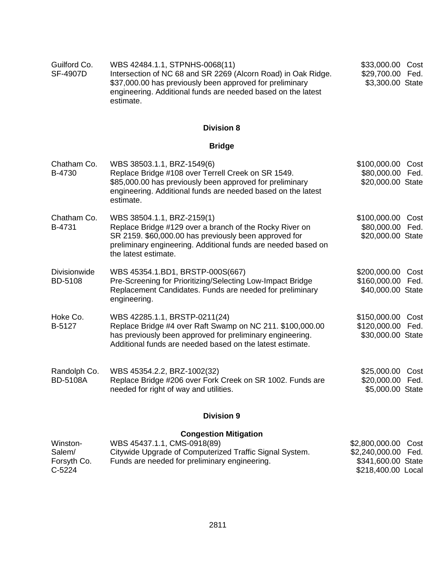| Guilford Co.<br>SF-4907D | WBS 42484.1.1, STPNHS-0068(11)<br>Intersection of NC 68 and SR 2269 (Alcorn Road) in Oak Ridge.<br>\$37,000.00 has previously been approved for preliminary<br>engineering. Additional funds are needed based on the latest | \$33,000.00 Cost<br>\$29,700.00 Fed.<br>\$3,300.00 State |  |
|--------------------------|-----------------------------------------------------------------------------------------------------------------------------------------------------------------------------------------------------------------------------|----------------------------------------------------------|--|
|                          | estimate.                                                                                                                                                                                                                   |                                                          |  |

## **Bridge**

| Chatham Co.<br>B-4730           | WBS 38503.1.1, BRZ-1549(6)<br>Replace Bridge #108 over Terrell Creek on SR 1549.<br>\$85,000.00 has previously been approved for preliminary<br>engineering. Additional funds are needed based on the latest<br>estimate.               | \$100,000.00 Cost<br>\$80,000.00 Fed.<br>\$20,000.00 State     |  |
|---------------------------------|-----------------------------------------------------------------------------------------------------------------------------------------------------------------------------------------------------------------------------------------|----------------------------------------------------------------|--|
| Chatham Co.<br>B-4731           | WBS 38504.1.1, BRZ-2159(1)<br>Replace Bridge #129 over a branch of the Rocky River on<br>SR 2159. \$60,000.00 has previously been approved for<br>preliminary engineering. Additional funds are needed based on<br>the latest estimate. | \$100,000.00 Cost<br>\$80,000.00 Fed.<br>\$20,000.00 State     |  |
| <b>Divisionwide</b><br>BD-5108  | WBS 45354.1.BD1, BRSTP-000S(667)<br>Pre-Screening for Prioritizing/Selecting Low-Impact Bridge<br>Replacement Candidates. Funds are needed for preliminary<br>engineering.                                                              | \$200,000.00<br>Cost<br>\$160,000.00 Fed.<br>\$40,000.00 State |  |
| Hoke Co.<br>B-5127              | WBS 42285.1.1, BRSTP-0211(24)<br>Replace Bridge #4 over Raft Swamp on NC 211. \$100,000.00<br>has previously been approved for preliminary engineering.<br>Additional funds are needed based on the latest estimate.                    | \$150,000.00 Cost<br>\$120,000.00 Fed.<br>\$30,000.00 State    |  |
| Randolph Co.<br><b>BD-5108A</b> | WBS 45354.2.2, BRZ-1002(32)<br>Replace Bridge #206 over Fork Creek on SR 1002. Funds are<br>needed for right of way and utilities.                                                                                                      | \$25,000.00<br>Cost<br>\$20,000.00 Fed.<br>\$5,000.00 State    |  |
|                                 | <b>Division 9</b>                                                                                                                                                                                                                       |                                                                |  |
| Winston-<br>Salem/              | <b>Congestion Mitigation</b><br>WBS 45437.1.1, CMS-0918(89)<br>Citywide Upgrade of Computerized Traffic Signal System.                                                                                                                  | \$2,800,000.00<br>Cost<br>\$2,240,000.00<br>Fed.               |  |

\$341,600.00 State \$218,400.00 Local

Funds are needed for preliminary engineering.

Forsyth Co. C-5224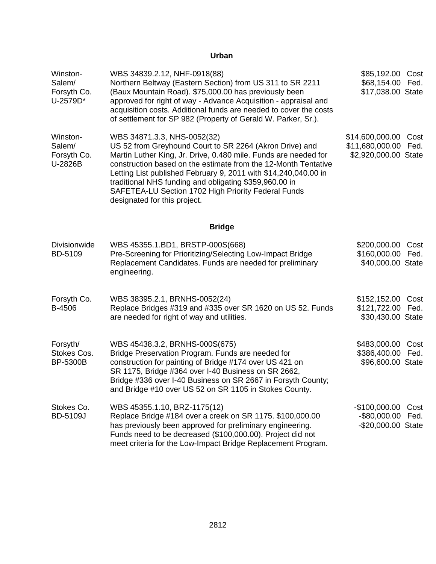#### **Urban**

| Winston-<br>Salem/<br>Forsyth Co.<br>U-2579D* | WBS 34839.2.12, NHF-0918(88)<br>Northern Beltway (Eastern Section) from US 311 to SR 2211<br>(Baux Mountain Road). \$75,000.00 has previously been<br>approved for right of way - Advance Acquisition - appraisal and<br>acquisition costs. Additional funds are needed to cover the costs<br>of settlement for SP 982 (Property of Gerald W. Parker, Sr.).                                                                                     | \$85,192.00 Cost<br>\$68,154.00 Fed.<br>\$17,038.00 State                  |
|-----------------------------------------------|-------------------------------------------------------------------------------------------------------------------------------------------------------------------------------------------------------------------------------------------------------------------------------------------------------------------------------------------------------------------------------------------------------------------------------------------------|----------------------------------------------------------------------------|
| Winston-<br>Salem/<br>Forsyth Co.<br>U-2826B  | WBS 34871.3.3, NHS-0052(32)<br>US 52 from Greyhound Court to SR 2264 (Akron Drive) and<br>Martin Luther King, Jr. Drive, 0.480 mile. Funds are needed for<br>construction based on the estimate from the 12-Month Tentative<br>Letting List published February 9, 2011 with \$14,240,040.00 in<br>traditional NHS funding and obligating \$359,960.00 in<br>SAFETEA-LU Section 1702 High Priority Federal Funds<br>designated for this project. | \$14,600,000.00<br>Cost<br>\$11,680,000.00<br>Fed.<br>\$2,920,000.00 State |
|                                               | <b>Bridge</b>                                                                                                                                                                                                                                                                                                                                                                                                                                   |                                                                            |
| Divisionwide<br>BD-5109                       | WBS 45355.1.BD1, BRSTP-000S(668)<br>Pre-Screening for Prioritizing/Selecting Low-Impact Bridge<br>Replacement Candidates. Funds are needed for preliminary<br>engineering.                                                                                                                                                                                                                                                                      | \$200,000.00<br>Cost<br>\$160,000.00<br>Fed.<br>\$40,000.00 State          |
| Forsyth Co.<br>B-4506                         | WBS 38395.2.1, BRNHS-0052(24)<br>Replace Bridges #319 and #335 over SR 1620 on US 52. Funds<br>are needed for right of way and utilities.                                                                                                                                                                                                                                                                                                       | \$152,152.00 Cost<br>\$121,722.00 Fed.<br>\$30,430.00 State                |
| Forsyth/<br>Stokes Cos.<br><b>BP-5300B</b>    | WBS 45438.3.2, BRNHS-000S(675)<br>Bridge Preservation Program. Funds are needed for<br>construction for painting of Bridge #174 over US 421 on<br>SR 1175, Bridge #364 over I-40 Business on SR 2662,<br>Bridge #336 over I-40 Business on SR 2667 in Forsyth County;<br>and Bridge #10 over US 52 on SR 1105 in Stokes County.                                                                                                                 | \$483,000.00<br>Cost<br>\$386,400.00<br>Fed.<br>\$96,600.00 State          |
| Stokes Co.<br><b>BD-5109J</b>                 | WBS 45355.1.10, BRZ-1175(12)<br>Replace Bridge #184 over a creek on SR 1175. \$100,000.00<br>has previously been approved for preliminary engineering.<br>Funds need to be decreased (\$100,000.00). Project did not<br>meet criteria for the Low-Impact Bridge Replacement Program.                                                                                                                                                            | $-$100,000.00$<br>Cost<br>$-$ \$80,000.00<br>Fed.<br>-\$20,000.00 State    |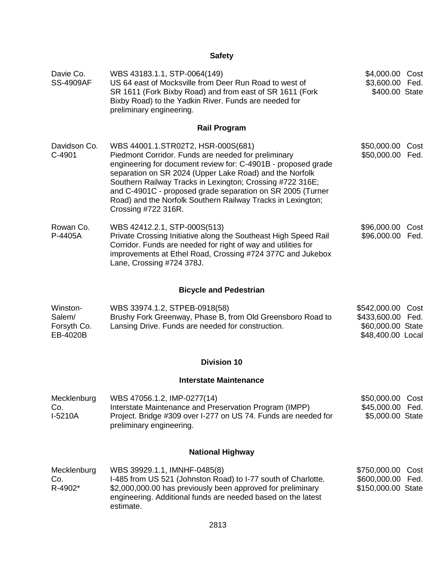# **Safety**

| Davie Co.<br><b>SS-4909AF</b>                 | WBS 43183.1.1, STP-0064(149)<br>US 64 east of Mocksville from Deer Run Road to west of<br>SR 1611 (Fork Bixby Road) and from east of SR 1611 (Fork<br>Bixby Road) to the Yadkin River. Funds are needed for<br>preliminary engineering.                                                                                                                                                                                                | \$4,000.00 Cost<br>\$3,600.00 Fed.<br>\$400.00 State                                |
|-----------------------------------------------|----------------------------------------------------------------------------------------------------------------------------------------------------------------------------------------------------------------------------------------------------------------------------------------------------------------------------------------------------------------------------------------------------------------------------------------|-------------------------------------------------------------------------------------|
|                                               | <b>Rail Program</b>                                                                                                                                                                                                                                                                                                                                                                                                                    |                                                                                     |
| Davidson Co.<br>C-4901                        | WBS 44001.1.STR02T2, HSR-000S(681)<br>Piedmont Corridor. Funds are needed for preliminary<br>engineering for document review for: C-4901B - proposed grade<br>separation on SR 2024 (Upper Lake Road) and the Norfolk<br>Southern Railway Tracks in Lexington; Crossing #722 316E;<br>and C-4901C - proposed grade separation on SR 2005 (Turner<br>Road) and the Norfolk Southern Railway Tracks in Lexington;<br>Crossing #722 316R. | \$50,000.00<br>Cost<br>\$50,000.00 Fed.                                             |
| Rowan Co.<br>P-4405A                          | WBS 42412.2.1, STP-000S(513)<br>Private Crossing Initiative along the Southeast High Speed Rail<br>Corridor. Funds are needed for right of way and utilities for<br>improvements at Ethel Road, Crossing #724 377C and Jukebox<br>Lane, Crossing #724 378J.                                                                                                                                                                            | \$96,000.00<br>Cost<br>\$96,000.00<br>Fed.                                          |
|                                               | <b>Bicycle and Pedestrian</b>                                                                                                                                                                                                                                                                                                                                                                                                          |                                                                                     |
| Winston-<br>Salem/<br>Forsyth Co.<br>EB-4020B | WBS 33974.1.2, STPEB-0918(58)<br>Brushy Fork Greenway, Phase B, from Old Greensboro Road to<br>Lansing Drive. Funds are needed for construction.                                                                                                                                                                                                                                                                                       | \$542,000.00<br>Cost<br>\$433,600.00 Fed.<br>\$60,000.00 State<br>\$48,400.00 Local |
|                                               | <b>Division 10</b>                                                                                                                                                                                                                                                                                                                                                                                                                     |                                                                                     |
|                                               | <b>Interstate Maintenance</b>                                                                                                                                                                                                                                                                                                                                                                                                          |                                                                                     |
| Mecklenburg<br>Co.<br>I-5210A                 | WBS 47056.1.2, IMP-0277(14)<br>Interstate Maintenance and Preservation Program (IMPP)<br>Project. Bridge #309 over I-277 on US 74. Funds are needed for<br>preliminary engineering.                                                                                                                                                                                                                                                    | \$50,000.00<br>Cost<br>\$45,000.00 Fed.<br>\$5,000.00 State                         |
|                                               | <b>National Highway</b>                                                                                                                                                                                                                                                                                                                                                                                                                |                                                                                     |
| Mecklenburg<br>Co.<br>R-4902*                 | WBS 39929.1.1, IMNHF-0485(8)<br>I-485 from US 521 (Johnston Road) to I-77 south of Charlotte.<br>\$2,000,000.00 has previously been approved for preliminary<br>engineering. Additional funds are needed based on the latest<br>estimate.                                                                                                                                                                                              | \$750,000.00<br>Cost<br>\$600,000.00<br>Fed.<br>\$150,000.00 State                  |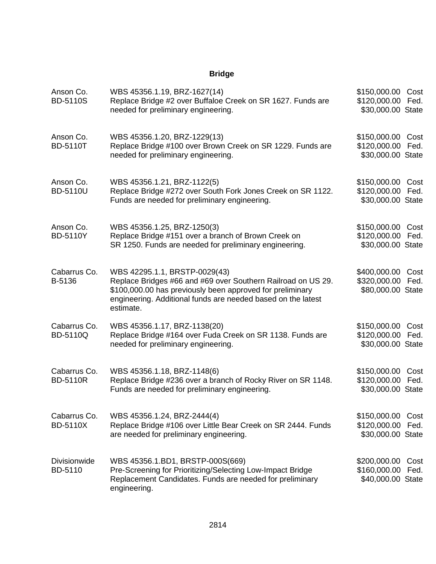| Anson Co.<br><b>BD-5110S</b>    | WBS 45356.1.19, BRZ-1627(14)<br>Replace Bridge #2 over Buffaloe Creek on SR 1627. Funds are<br>needed for preliminary engineering.                                                                                                      | \$150,000.00<br>\$120,000.00<br>\$30,000.00 State      | Cost<br>Fed. |
|---------------------------------|-----------------------------------------------------------------------------------------------------------------------------------------------------------------------------------------------------------------------------------------|--------------------------------------------------------|--------------|
| Anson Co.<br><b>BD-5110T</b>    | WBS 45356.1.20, BRZ-1229(13)<br>Replace Bridge #100 over Brown Creek on SR 1229. Funds are<br>needed for preliminary engineering.                                                                                                       | \$150,000.00 Cost<br>\$120,000.00<br>\$30,000.00 State | Fed.         |
| Anson Co.<br><b>BD-5110U</b>    | WBS 45356.1.21, BRZ-1122(5)<br>Replace Bridge #272 over South Fork Jones Creek on SR 1122.<br>Funds are needed for preliminary engineering.                                                                                             | \$150,000.00<br>\$120,000.00<br>\$30,000.00 State      | Cost<br>Fed. |
| Anson Co.<br><b>BD-5110Y</b>    | WBS 45356.1.25, BRZ-1250(3)<br>Replace Bridge #151 over a branch of Brown Creek on<br>SR 1250. Funds are needed for preliminary engineering.                                                                                            | \$150,000.00 Cost<br>\$120,000.00<br>\$30,000.00 State | Fed.         |
| Cabarrus Co.<br>B-5136          | WBS 42295.1.1, BRSTP-0029(43)<br>Replace Bridges #66 and #69 over Southern Railroad on US 29.<br>\$100,000.00 has previously been approved for preliminary<br>engineering. Additional funds are needed based on the latest<br>estimate. | \$400,000.00<br>\$320,000.00<br>\$80,000.00 State      | Cost<br>Fed. |
| Cabarrus Co.<br><b>BD-5110Q</b> | WBS 45356.1.17, BRZ-1138(20)<br>Replace Bridge #164 over Fuda Creek on SR 1138. Funds are<br>needed for preliminary engineering.                                                                                                        | \$150,000.00<br>\$120,000.00<br>\$30,000.00 State      | Cost<br>Fed. |
| Cabarrus Co.<br><b>BD-5110R</b> | WBS 45356.1.18, BRZ-1148(6)<br>Replace Bridge #236 over a branch of Rocky River on SR 1148.<br>Funds are needed for preliminary engineering.                                                                                            | \$150,000.00 Cost<br>\$120,000.00<br>\$30,000.00 State | Fed.         |
| Cabarrus Co.<br><b>BD-5110X</b> | WBS 45356.1.24, BRZ-2444(4)<br>Replace Bridge #106 over Little Bear Creek on SR 2444. Funds<br>are needed for preliminary engineering.                                                                                                  | \$150,000.00<br>\$120,000.00<br>\$30,000.00 State      | Cost<br>Fed. |
| Divisionwide<br><b>BD-5110</b>  | WBS 45356.1.BD1, BRSTP-000S(669)<br>Pre-Screening for Prioritizing/Selecting Low-Impact Bridge<br>Replacement Candidates. Funds are needed for preliminary<br>engineering.                                                              | \$200,000.00<br>\$160,000.00<br>\$40,000.00 State      | Cost<br>Fed. |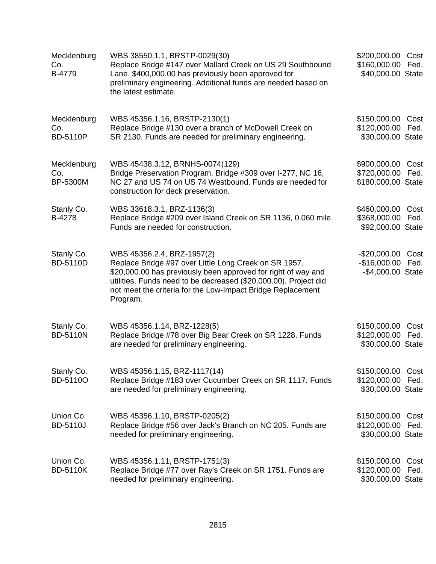| Mecklenburg<br>Co.<br>B-4779          | WBS 38550.1.1, BRSTP-0029(30)<br>Replace Bridge #147 over Mallard Creek on US 29 Southbound<br>Lane. \$400,000.00 has previously been approved for<br>preliminary engineering. Additional funds are needed based on<br>the latest estimate.                                                         | \$200,000.00<br>Cost<br>\$160,000.00<br>Fed.<br>\$40,000.00 State   |
|---------------------------------------|-----------------------------------------------------------------------------------------------------------------------------------------------------------------------------------------------------------------------------------------------------------------------------------------------------|---------------------------------------------------------------------|
| Mecklenburg<br>Co.<br><b>BD-5110P</b> | WBS 45356.1.16, BRSTP-2130(1)<br>Replace Bridge #130 over a branch of McDowell Creek on<br>SR 2130. Funds are needed for preliminary engineering.                                                                                                                                                   | \$150,000.00 Cost<br>\$120,000.00<br>Fed.<br>\$30,000.00 State      |
| Mecklenburg<br>Co.<br>BP-5300M        | WBS 45438.3.12, BRNHS-0074(129)<br>Bridge Preservation Program. Bridge #309 over I-277, NC 16,<br>NC 27 and US 74 on US 74 Westbound. Funds are needed for<br>construction for deck preservation.                                                                                                   | \$900,000.00<br>Cost<br>\$720,000.00<br>Fed.<br>\$180,000.00 State  |
| Stanly Co.<br>B-4278                  | WBS 33618.3.1, BRZ-1136(3)<br>Replace Bridge #209 over Island Creek on SR 1136, 0.060 mile.<br>Funds are needed for construction.                                                                                                                                                                   | \$460,000.00<br>Cost<br>\$368,000.00<br>Fed.<br>\$92,000.00 State   |
| Stanly Co.<br><b>BD-5110D</b>         | WBS 45356.2.4, BRZ-1957(2)<br>Replace Bridge #97 over Little Long Creek on SR 1957.<br>\$20,000.00 has previously been approved for right of way and<br>utilities. Funds need to be decreased (\$20,000.00). Project did<br>not meet the criteria for the Low-Impact Bridge Replacement<br>Program. | $-$20,000.00$<br>Cost<br>$-$16,000.00$<br>Fed.<br>-\$4,000.00 State |
| Stanly Co.<br><b>BD-5110N</b>         | WBS 45356.1.14, BRZ-1228(5)<br>Replace Bridge #78 over Big Bear Creek on SR 1228. Funds<br>are needed for preliminary engineering.                                                                                                                                                                  | \$150,000.00<br>Cost<br>\$120,000.00<br>Fed.<br>\$30,000.00 State   |
| Stanly Co.<br><b>BD-5110O</b>         | WBS 45356.1.15, BRZ-1117(14)<br>Replace Bridge #183 over Cucumber Creek on SR 1117. Funds<br>are needed for preliminary engineering.                                                                                                                                                                | \$150,000.00 Cost<br>\$120,000.00 Fed.<br>\$30,000.00 State         |
| Union Co.<br><b>BD-5110J</b>          | WBS 45356.1.10, BRSTP-0205(2)<br>Replace Bridge #56 over Jack's Branch on NC 205. Funds are<br>needed for preliminary engineering.                                                                                                                                                                  | \$150,000.00<br>Cost<br>\$120,000.00<br>Fed.<br>\$30,000.00 State   |
| Union Co.<br><b>BD-5110K</b>          | WBS 45356.1.11, BRSTP-1751(3)<br>Replace Bridge #77 over Ray's Creek on SR 1751. Funds are<br>needed for preliminary engineering.                                                                                                                                                                   | \$150,000.00<br>Cost<br>\$120,000.00<br>Fed.<br>\$30,000.00 State   |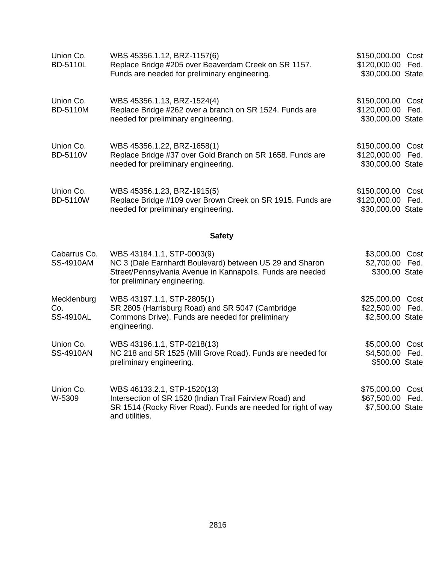| Union Co.<br><b>BD-5110L</b>           | WBS 45356.1.12, BRZ-1157(6)<br>Replace Bridge #205 over Beaverdam Creek on SR 1157.<br>Funds are needed for preliminary engineering.                                                 | \$150,000.00 Cost<br>\$120,000.00 Fed.<br>\$30,000.00 State |  |
|----------------------------------------|--------------------------------------------------------------------------------------------------------------------------------------------------------------------------------------|-------------------------------------------------------------|--|
| Union Co.<br><b>BD-5110M</b>           | WBS 45356.1.13, BRZ-1524(4)<br>Replace Bridge #262 over a branch on SR 1524. Funds are<br>needed for preliminary engineering.                                                        | \$150,000.00 Cost<br>\$120,000.00 Fed.<br>\$30,000.00 State |  |
| Union Co.<br><b>BD-5110V</b>           | WBS 45356.1.22, BRZ-1658(1)<br>Replace Bridge #37 over Gold Branch on SR 1658. Funds are<br>needed for preliminary engineering.                                                      | \$150,000.00 Cost<br>\$120,000.00 Fed.<br>\$30,000.00 State |  |
| Union Co.<br><b>BD-5110W</b>           | WBS 45356.1.23, BRZ-1915(5)<br>Replace Bridge #109 over Brown Creek on SR 1915. Funds are<br>needed for preliminary engineering.                                                     | \$150,000.00 Cost<br>\$120,000.00 Fed.<br>\$30,000.00 State |  |
|                                        | <b>Safety</b>                                                                                                                                                                        |                                                             |  |
| Cabarrus Co.<br>SS-4910AM              | WBS 43184.1.1, STP-0003(9)<br>NC 3 (Dale Earnhardt Boulevard) between US 29 and Sharon<br>Street/Pennsylvania Avenue in Kannapolis. Funds are needed<br>for preliminary engineering. | \$3,000.00 Cost<br>\$2,700.00 Fed.<br>\$300.00 State        |  |
| Mecklenburg<br>Co.<br><b>SS-4910AL</b> | WBS 43197.1.1, STP-2805(1)<br>SR 2805 (Harrisburg Road) and SR 5047 (Cambridge<br>Commons Drive). Funds are needed for preliminary<br>engineering.                                   | \$25,000.00 Cost<br>\$22,500.00 Fed.<br>\$2,500.00 State    |  |
| Union Co.<br>SS-4910AN                 | WBS 43196.1.1, STP-0218(13)<br>NC 218 and SR 1525 (Mill Grove Road). Funds are needed for<br>preliminary engineering.                                                                | \$5,000.00 Cost<br>\$4,500.00 Fed.<br>\$500.00 State        |  |
| Union Co.<br>W-5309                    | WBS 46133.2.1, STP-1520(13)<br>Intersection of SR 1520 (Indian Trail Fairview Road) and<br>SR 1514 (Rocky River Road). Funds are needed for right of way<br>and utilities.           | \$75,000.00 Cost<br>\$67,500.00 Fed.<br>\$7,500.00 State    |  |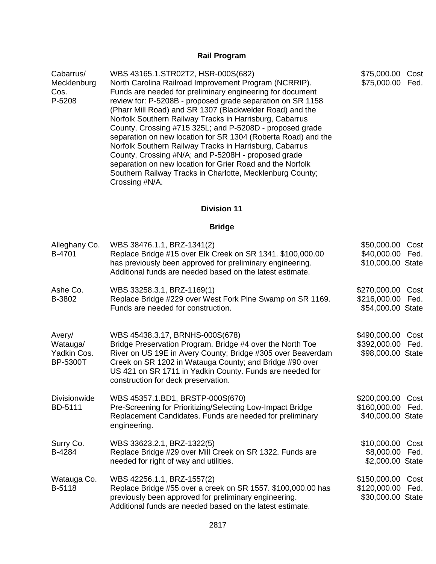| Cabarrus/   | WBS 43165.1.STR02T2, HSR-000S(682)                            | \$75,000.00      | Cost |
|-------------|---------------------------------------------------------------|------------------|------|
| Mecklenburg | North Carolina Railroad Improvement Program (NCRRIP).         | \$75,000.00 Fed. |      |
| Cos.        | Funds are needed for preliminary engineering for document     |                  |      |
| P-5208      | review for: P-5208B - proposed grade separation on SR 1158    |                  |      |
|             | (Pharr Mill Road) and SR 1307 (Blackwelder Road) and the      |                  |      |
|             | Norfolk Southern Railway Tracks in Harrisburg, Cabarrus       |                  |      |
|             | County, Crossing #715 325L; and P-5208D - proposed grade      |                  |      |
|             | separation on new location for SR 1304 (Roberta Road) and the |                  |      |
|             | Norfolk Southern Railway Tracks in Harrisburg, Cabarrus       |                  |      |
|             | County, Crossing #N/A; and P-5208H - proposed grade           |                  |      |
|             | separation on new location for Grier Road and the Norfolk     |                  |      |
|             | Southern Railway Tracks in Charlotte, Mecklenburg County;     |                  |      |
|             | Crossing #N/A.                                                |                  |      |

## **Division 11**

| Alleghany Co.<br>B-4701                              | WBS 38476.1.1, BRZ-1341(2)<br>Replace Bridge #15 over Elk Creek on SR 1341. \$100,000.00<br>has previously been approved for preliminary engineering.<br>Additional funds are needed based on the latest estimate.                                                                                                        | \$50,000.00<br>\$40,000.00<br>\$10,000.00 State   | Cost<br>Fed. |
|------------------------------------------------------|---------------------------------------------------------------------------------------------------------------------------------------------------------------------------------------------------------------------------------------------------------------------------------------------------------------------------|---------------------------------------------------|--------------|
| Ashe Co.<br>B-3802                                   | WBS 33258.3.1, BRZ-1169(1)<br>Replace Bridge #229 over West Fork Pine Swamp on SR 1169.<br>Funds are needed for construction.                                                                                                                                                                                             | \$270,000.00<br>\$216,000.00<br>\$54,000.00 State | Cost<br>Fed. |
| Avery/<br>Watauga/<br>Yadkin Cos.<br><b>BP-5300T</b> | WBS 45438.3.17, BRNHS-000S(678)<br>Bridge Preservation Program. Bridge #4 over the North Toe<br>River on US 19E in Avery County; Bridge #305 over Beaverdam<br>Creek on SR 1202 in Watauga County; and Bridge #90 over<br>US 421 on SR 1711 in Yadkin County. Funds are needed for<br>construction for deck preservation. | \$490,000.00<br>\$392,000.00<br>\$98,000.00 State | Cost<br>Fed. |
| <b>Divisionwide</b><br><b>BD-5111</b>                | WBS 45357.1.BD1, BRSTP-000S(670)<br>Pre-Screening for Prioritizing/Selecting Low-Impact Bridge<br>Replacement Candidates. Funds are needed for preliminary<br>engineering.                                                                                                                                                | \$200,000.00<br>\$160,000.00<br>\$40,000.00 State | Cost<br>Fed. |
| Surry Co.<br>B-4284                                  | WBS 33623.2.1, BRZ-1322(5)<br>Replace Bridge #29 over Mill Creek on SR 1322. Funds are<br>needed for right of way and utilities.                                                                                                                                                                                          | \$10,000.00<br>\$8,000.00<br>\$2,000.00 State     | Cost<br>Fed. |
| Watauga Co.<br>B-5118                                | WBS 42256.1.1, BRZ-1557(2)<br>Replace Bridge #55 over a creek on SR 1557. \$100,000.00 has<br>previously been approved for preliminary engineering.<br>Additional funds are needed based on the latest estimate.                                                                                                          | \$150,000.00<br>\$120,000.00<br>\$30,000.00 State | Cost<br>Fed. |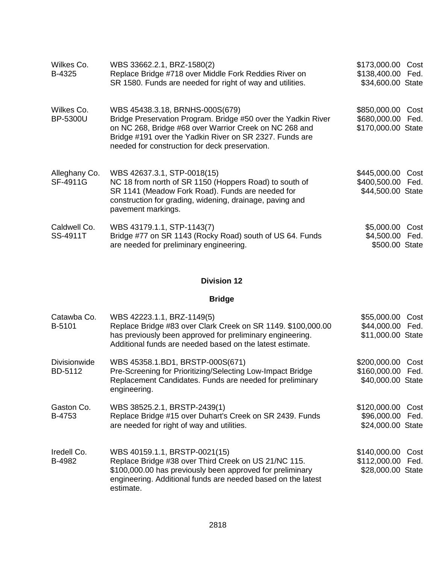| Wilkes Co.<br>B-4325          | WBS 33662.2.1, BRZ-1580(2)<br>Replace Bridge #718 over Middle Fork Reddies River on<br>SR 1580. Funds are needed for right of way and utilities.                                                                                                                        | \$173,000.00 Cost<br>\$138,400.00 Fed.<br>\$34,600.00 State  |
|-------------------------------|-------------------------------------------------------------------------------------------------------------------------------------------------------------------------------------------------------------------------------------------------------------------------|--------------------------------------------------------------|
| Wilkes Co.<br><b>BP-5300U</b> | WBS 45438.3.18, BRNHS-000S(679)<br>Bridge Preservation Program. Bridge #50 over the Yadkin River<br>on NC 268, Bridge #68 over Warrior Creek on NC 268 and<br>Bridge #191 over the Yadkin River on SR 2327. Funds are<br>needed for construction for deck preservation. | \$850,000.00 Cost<br>\$680,000.00 Fed.<br>\$170,000.00 State |
| Alleghany Co.<br>SF-4911G     | WBS 42637.3.1, STP-0018(15)<br>NC 18 from north of SR 1150 (Hoppers Road) to south of<br>SR 1141 (Meadow Fork Road). Funds are needed for<br>construction for grading, widening, drainage, paving and<br>pavement markings.                                             | \$445,000.00 Cost<br>\$400,500.00 Fed.<br>\$44,500.00 State  |
| Caldwell Co.<br>SS-4911T      | WBS 43179.1.1, STP-1143(7)<br>Bridge #77 on SR 1143 (Rocky Road) south of US 64. Funds<br>are needed for preliminary engineering.                                                                                                                                       | \$5,000.00<br>Cost<br>\$4,500.00 Fed.<br>\$500.00 State      |

| Catawba Co.<br>B-5101          | WBS 42223.1.1, BRZ-1149(5)<br>Replace Bridge #83 over Clark Creek on SR 1149. \$100,000.00<br>has previously been approved for preliminary engineering.<br>Additional funds are needed based on the latest estimate.            | \$55,000.00<br>Cost<br>\$44,000.00 Fed.<br>\$11,000.00 State   |
|--------------------------------|---------------------------------------------------------------------------------------------------------------------------------------------------------------------------------------------------------------------------------|----------------------------------------------------------------|
| <b>Divisionwide</b><br>BD-5112 | WBS 45358.1.BD1, BRSTP-000S(671)<br>Pre-Screening for Prioritizing/Selecting Low-Impact Bridge<br>Replacement Candidates. Funds are needed for preliminary<br>engineering.                                                      | \$200,000.00<br>Cost<br>\$160,000.00 Fed.<br>\$40,000.00 State |
| Gaston Co.<br>B-4753           | WBS 38525.2.1, BRSTP-2439(1)<br>Replace Bridge #15 over Duhart's Creek on SR 2439. Funds<br>are needed for right of way and utilities.                                                                                          | \$120,000.00<br>Cost<br>\$96,000.00 Fed.<br>\$24,000.00 State  |
| Iredell Co.<br>B-4982          | WBS 40159.1.1, BRSTP-0021(15)<br>Replace Bridge #38 over Third Creek on US 21/NC 115.<br>\$100,000.00 has previously been approved for preliminary<br>engineering. Additional funds are needed based on the latest<br>estimate. | \$140,000.00<br>Cost<br>\$112,000.00 Fed.<br>\$28,000.00 State |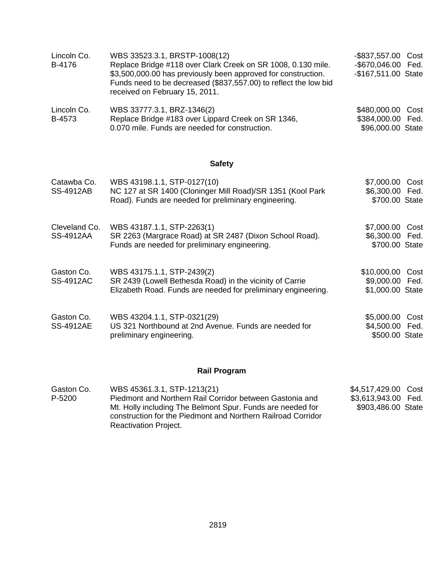| Lincoln Co.<br>B-4176             | WBS 33523.3.1, BRSTP-1008(12)<br>Replace Bridge #118 over Clark Creek on SR 1008, 0.130 mile.<br>\$3,500,000.00 has previously been approved for construction.<br>Funds need to be decreased (\$837,557.00) to reflect the low bid<br>received on February 15, 2011. | -\$837,557.00<br>Cost<br>-\$670,046.00 Fed.<br>-\$167,511.00 State |  |
|-----------------------------------|----------------------------------------------------------------------------------------------------------------------------------------------------------------------------------------------------------------------------------------------------------------------|--------------------------------------------------------------------|--|
| Lincoln Co.<br>B-4573             | WBS 33777.3.1, BRZ-1346(2)<br>Replace Bridge #183 over Lippard Creek on SR 1346,<br>0.070 mile. Funds are needed for construction.                                                                                                                                   | \$480,000.00<br>Cost<br>\$384,000.00<br>Fed.<br>\$96,000.00 State  |  |
|                                   | <b>Safety</b>                                                                                                                                                                                                                                                        |                                                                    |  |
| Catawba Co.<br><b>SS-4912AB</b>   | WBS 43198.1.1, STP-0127(10)<br>NC 127 at SR 1400 (Cloninger Mill Road)/SR 1351 (Kool Park<br>Road). Funds are needed for preliminary engineering.                                                                                                                    | \$7,000.00<br>Cost<br>\$6,300.00 Fed.<br>\$700.00 State            |  |
| Cleveland Co.<br><b>SS-4912AA</b> | WBS 43187.1.1, STP-2263(1)<br>SR 2263 (Margrace Road) at SR 2487 (Dixon School Road).<br>Funds are needed for preliminary engineering.                                                                                                                               | \$7,000.00<br>Cost<br>\$6,300.00 Fed.<br>\$700.00 State            |  |
| Gaston Co.<br><b>SS-4912AC</b>    | WBS 43175.1.1, STP-2439(2)<br>SR 2439 (Lowell Bethesda Road) in the vicinity of Carrie<br>Elizabeth Road. Funds are needed for preliminary engineering.                                                                                                              | \$10,000.00 Cost<br>\$9,000.00 Fed.<br>\$1,000.00 State            |  |
| Gaston Co.<br><b>SS-4912AE</b>    | WBS 43204.1.1, STP-0321(29)<br>US 321 Northbound at 2nd Avenue. Funds are needed for<br>preliminary engineering.                                                                                                                                                     | \$5,000.00<br>Cost<br>\$4,500.00 Fed.<br>\$500.00 State            |  |

| Gaston Co. | WBS 45361.3.1, STP-1213(21)                                  | \$4,517,429.00 Cost |  |
|------------|--------------------------------------------------------------|---------------------|--|
| P-5200     | Piedmont and Northern Rail Corridor between Gastonia and     | \$3,613,943.00 Fed. |  |
|            | Mt. Holly including The Belmont Spur. Funds are needed for   | \$903,486.00 State  |  |
|            | construction for the Piedmont and Northern Railroad Corridor |                     |  |
|            | <b>Reactivation Project.</b>                                 |                     |  |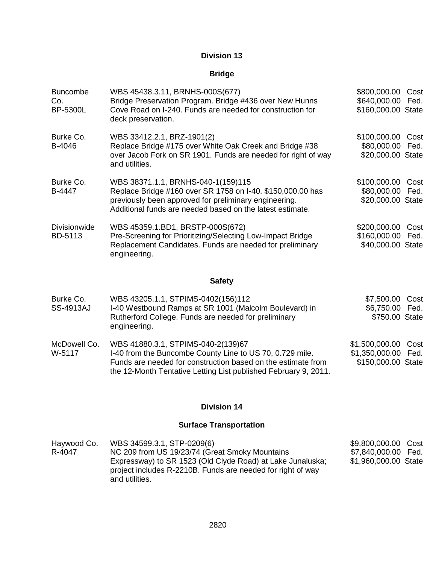### **Bridge**

| <b>Buncombe</b><br>Co.<br><b>BP-5300L</b> | WBS 45438.3.11, BRNHS-000S(677)<br>Bridge Preservation Program. Bridge #436 over New Hunns<br>Cove Road on I-240. Funds are needed for construction for<br>deck preservation.                                          | \$800,000.00<br>Cost<br>\$640,000.00 Fed.<br>\$160,000.00 State |
|-------------------------------------------|------------------------------------------------------------------------------------------------------------------------------------------------------------------------------------------------------------------------|-----------------------------------------------------------------|
| Burke Co.<br>B-4046                       | WBS 33412.2.1, BRZ-1901(2)<br>Replace Bridge #175 over White Oak Creek and Bridge #38<br>over Jacob Fork on SR 1901. Funds are needed for right of way<br>and utilities.                                               | \$100,000.00<br>Cost<br>\$80,000.00 Fed.<br>\$20,000.00 State   |
| Burke Co.<br>B-4447                       | WBS 38371.1.1, BRNHS-040-1(159)115<br>Replace Bridge #160 over SR 1758 on I-40. \$150,000.00 has<br>previously been approved for preliminary engineering.<br>Additional funds are needed based on the latest estimate. | \$100,000.00<br>Cost<br>\$80,000.00 Fed.<br>\$20,000.00 State   |
| <b>Divisionwide</b><br>BD-5113            | WBS 45359.1.BD1, BRSTP-000S(672)<br>Pre-Screening for Prioritizing/Selecting Low-Impact Bridge<br>Replacement Candidates. Funds are needed for preliminary<br>engineering.                                             | \$200,000.00<br>Cost<br>\$160,000.00 Fed.<br>\$40,000.00 State  |
|                                           | <b>Safety</b>                                                                                                                                                                                                          |                                                                 |
| Burke Co.                                 | WBS 43205.1.1, STPIMS-0402(156)112                                                                                                                                                                                     | \$7,500.00 Cost                                                 |

| DUING OU.<br><b>SS-4913AJ</b> | <b>WDO 40200.T.T, OTF INIO-0402(TOOTT IZ</b><br>I-40 Westbound Ramps at SR 1001 (Malcolm Boulevard) in<br>Rutherford College. Funds are needed for preliminary<br>engineering.                                                    | www.but.uu<br>\$6,750.00 Fed.<br>\$750.00 State                  |  |
|-------------------------------|-----------------------------------------------------------------------------------------------------------------------------------------------------------------------------------------------------------------------------------|------------------------------------------------------------------|--|
| McDowell Co.<br>W-5117        | WBS 41880.3.1, STPIMS-040-2(139)67<br>I-40 from the Buncombe County Line to US 70, 0.729 mile.<br>Funds are needed for construction based on the estimate from<br>the 12-Month Tentative Letting List published February 9, 2011. | \$1,500,000.00 Cost<br>\$1,350,000.00 Fed.<br>\$150,000.00 State |  |

# **Division 14**

# **Surface Transportation**

| Haywood Co. | WBS 34599.3.1, STP-0209(6)                                  | \$9,800,000.00 Cost  |  |
|-------------|-------------------------------------------------------------|----------------------|--|
| R-4047      | NC 209 from US 19/23/74 (Great Smoky Mountains              | \$7,840,000.00 Fed.  |  |
|             | Expressway) to SR 1523 (Old Clyde Road) at Lake Junaluska;  | \$1,960,000.00 State |  |
|             | project includes R-2210B. Funds are needed for right of way |                      |  |
|             | and utilities.                                              |                      |  |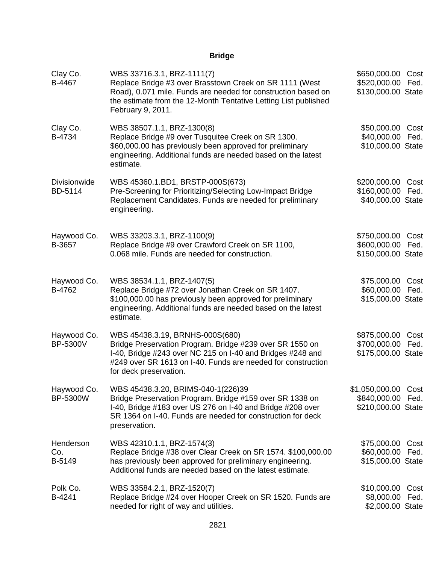| Clay Co.<br>B-4467             | WBS 33716.3.1, BRZ-1111(7)<br>Replace Bridge #3 over Brasstown Creek on SR 1111 (West<br>Road), 0.071 mile. Funds are needed for construction based on<br>the estimate from the 12-Month Tentative Letting List published<br>February 9, 2011.      | \$650,000.00<br>\$520,000.00 Fed.<br>\$130,000.00 State        | Cost         |
|--------------------------------|-----------------------------------------------------------------------------------------------------------------------------------------------------------------------------------------------------------------------------------------------------|----------------------------------------------------------------|--------------|
| Clay Co.<br>B-4734             | WBS 38507.1.1, BRZ-1300(8)<br>Replace Bridge #9 over Tusquitee Creek on SR 1300.<br>\$60,000.00 has previously been approved for preliminary<br>engineering. Additional funds are needed based on the latest<br>estimate.                           | \$50,000.00 Cost<br>\$40,000.00<br>\$10,000.00 State           | Fed.         |
| <b>Divisionwide</b><br>BD-5114 | WBS 45360.1.BD1, BRSTP-000S(673)<br>Pre-Screening for Prioritizing/Selecting Low-Impact Bridge<br>Replacement Candidates. Funds are needed for preliminary<br>engineering.                                                                          | \$200,000.00<br>\$160,000.00<br>\$40,000.00 State              | Cost<br>Fed. |
| Haywood Co.<br>B-3657          | WBS 33203.3.1, BRZ-1100(9)<br>Replace Bridge #9 over Crawford Creek on SR 1100,<br>0.068 mile. Funds are needed for construction.                                                                                                                   | \$750,000.00 Cost<br>\$600,000.00 Fed.<br>\$150,000.00 State   |              |
| Haywood Co.<br>B-4762          | WBS 38534.1.1, BRZ-1407(5)<br>Replace Bridge #72 over Jonathan Creek on SR 1407.<br>\$100,000.00 has previously been approved for preliminary<br>engineering. Additional funds are needed based on the latest<br>estimate.                          | \$75,000.00 Cost<br>\$60,000.00<br>\$15,000.00 State           | Fed.         |
| Haywood Co.<br><b>BP-5300V</b> | WBS 45438.3.19, BRNHS-000S(680)<br>Bridge Preservation Program. Bridge #239 over SR 1550 on<br>I-40, Bridge #243 over NC 215 on I-40 and Bridges #248 and<br>#249 over SR 1613 on I-40. Funds are needed for construction<br>for deck preservation. | \$875,000.00<br>\$700,000.00<br>\$175,000.00 State             | Cost<br>Fed. |
| Haywood Co.<br><b>BP-5300W</b> | WBS 45438.3.20, BRIMS-040-1(226)39<br>Bridge Preservation Program. Bridge #159 over SR 1338 on<br>I-40, Bridge #183 over US 276 on I-40 and Bridge #208 over<br>SR 1364 on I-40. Funds are needed for construction for deck<br>preservation.        | \$1,050,000.00 Cost<br>\$840,000.00 Fed.<br>\$210,000.00 State |              |
| Henderson<br>Co.<br>B-5149     | WBS 42310.1.1, BRZ-1574(3)<br>Replace Bridge #38 over Clear Creek on SR 1574. \$100,000.00<br>has previously been approved for preliminary engineering.<br>Additional funds are needed based on the latest estimate.                                | \$75,000.00<br>\$60,000.00<br>\$15,000.00 State                | Cost<br>Fed. |
| Polk Co.<br>B-4241             | WBS 33584.2.1, BRZ-1520(7)<br>Replace Bridge #24 over Hooper Creek on SR 1520. Funds are<br>needed for right of way and utilities.                                                                                                                  | \$10,000.00<br>\$8,000.00<br>\$2,000.00 State                  | Cost<br>Fed. |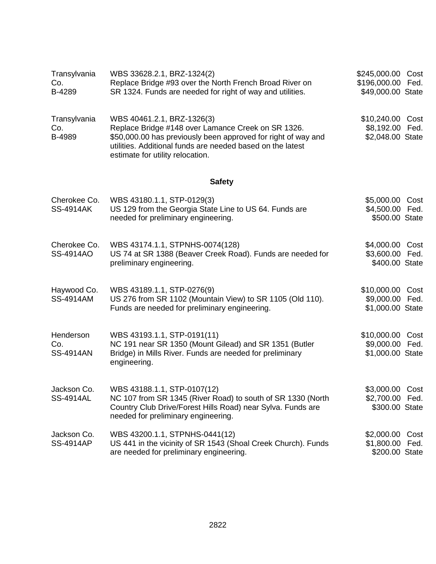| Transylvania<br>Co.<br>B-4289        | WBS 33628.2.1, BRZ-1324(2)<br>Replace Bridge #93 over the North French Broad River on<br>SR 1324. Funds are needed for right of way and utilities.                                                                                                  | \$245,000.00 Cost<br>\$196,000.00 Fed.<br>\$49,000.00 State |              |
|--------------------------------------|-----------------------------------------------------------------------------------------------------------------------------------------------------------------------------------------------------------------------------------------------------|-------------------------------------------------------------|--------------|
| Transylvania<br>Co.<br>B-4989        | WBS 40461.2.1, BRZ-1326(3)<br>Replace Bridge #148 over Lamance Creek on SR 1326.<br>\$50,000.00 has previously been approved for right of way and<br>utilities. Additional funds are needed based on the latest<br>estimate for utility relocation. | \$10,240.00 Cost<br>\$8,192.00 Fed.<br>\$2,048.00 State     |              |
|                                      | <b>Safety</b>                                                                                                                                                                                                                                       |                                                             |              |
| Cherokee Co.<br><b>SS-4914AK</b>     | WBS 43180.1.1, STP-0129(3)<br>US 129 from the Georgia State Line to US 64. Funds are<br>needed for preliminary engineering.                                                                                                                         | \$5,000.00 Cost<br>\$4,500.00 Fed.<br>\$500.00 State        |              |
| Cherokee Co.<br>SS-4914AO            | WBS 43174.1.1, STPNHS-0074(128)<br>US 74 at SR 1388 (Beaver Creek Road). Funds are needed for<br>preliminary engineering.                                                                                                                           | \$4,000.00 Cost<br>\$3,600.00 Fed.<br>\$400.00 State        |              |
| Haywood Co.<br>SS-4914AM             | WBS 43189.1.1, STP-0276(9)<br>US 276 from SR 1102 (Mountain View) to SR 1105 (Old 110).<br>Funds are needed for preliminary engineering.                                                                                                            | \$10,000.00 Cost<br>\$9,000.00 Fed.<br>\$1,000.00 State     |              |
| Henderson<br>Co.<br><b>SS-4914AN</b> | WBS 43193.1.1, STP-0191(11)<br>NC 191 near SR 1350 (Mount Gilead) and SR 1351 (Butler<br>Bridge) in Mills River. Funds are needed for preliminary<br>engineering.                                                                                   | \$10,000.00<br>\$9,000.00<br>\$1,000.00 State               | Cost<br>Fed. |
| Jackson Co.<br><b>SS-4914AL</b>      | WBS 43188.1.1, STP-0107(12)<br>NC 107 from SR 1345 (River Road) to south of SR 1330 (North<br>Country Club Drive/Forest Hills Road) near Sylva. Funds are<br>needed for preliminary engineering.                                                    | \$3,000.00 Cost<br>\$2,700.00 Fed.<br>\$300.00 State        |              |
| Jackson Co.<br><b>SS-4914AP</b>      | WBS 43200.1.1, STPNHS-0441(12)<br>US 441 in the vicinity of SR 1543 (Shoal Creek Church). Funds<br>are needed for preliminary engineering.                                                                                                          | \$2,000.00<br>\$1,800.00<br>\$200.00 State                  | Cost<br>Fed. |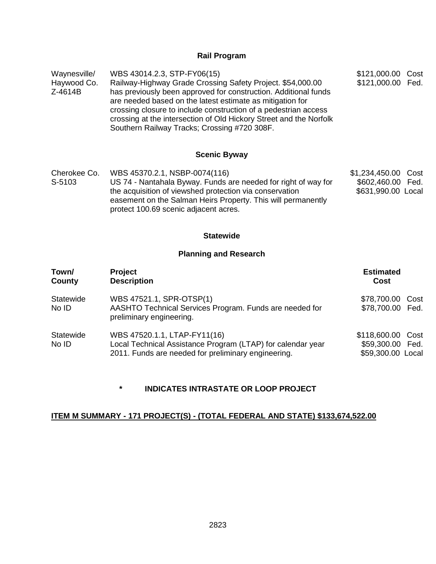| Waynesville/           | WBS 43014.2.3, STP-FY06(15)                                                                                                                                                                                                                                                                                                                                                         | \$121,000.00 Cost |  |
|------------------------|-------------------------------------------------------------------------------------------------------------------------------------------------------------------------------------------------------------------------------------------------------------------------------------------------------------------------------------------------------------------------------------|-------------------|--|
| Haywood Co.<br>Z-4614B | Railway-Highway Grade Crossing Safety Project. \$54,000.00<br>has previously been approved for construction. Additional funds<br>are needed based on the latest estimate as mitigation for<br>crossing closure to include construction of a pedestrian access<br>crossing at the intersection of Old Hickory Street and the Norfolk<br>Southern Railway Tracks; Crossing #720 308F. | \$121,000.00 Fed. |  |
|                        | <b>Scenic Byway</b>                                                                                                                                                                                                                                                                                                                                                                 |                   |  |

Cherokee Co. WBS 45370.2.1, NSBP-0074(116) S-5103 US 74 - Nantahala Byway. Funds are needed for right of way for the acquisition of viewshed protection via conservation easement on the Salman Heirs Property. This will permanently protect 100.69 scenic adjacent acres. \$1,234,450.00 Cost \$602,460.00 Fed. \$631,990.00 Local

#### **Statewide**

#### **Planning and Research**

| Town/<br>County    | <b>Project</b><br><b>Description</b>                                                                                                               | <b>Estimated</b><br>Cost                              |      |
|--------------------|----------------------------------------------------------------------------------------------------------------------------------------------------|-------------------------------------------------------|------|
| Statewide<br>No ID | WBS 47521.1, SPR-OTSP(1)<br>AASHTO Technical Services Program. Funds are needed for<br>preliminary engineering.                                    | \$78,700.00<br>\$78,700.00 Fed.                       | Cost |
| Statewide<br>No ID | WBS 47520.1.1, LTAP-FY11(16)<br>Local Technical Assistance Program (LTAP) for calendar year<br>2011. Funds are needed for preliminary engineering. | \$118,600.00<br>\$59,300.00 Fed.<br>\$59,300.00 Local | Cost |

#### **\* INDICATES INTRASTATE OR LOOP PROJECT**

#### **ITEM M SUMMARY - 171 PROJECT(S) - (TOTAL FEDERAL AND STATE) \$133,674,522.00**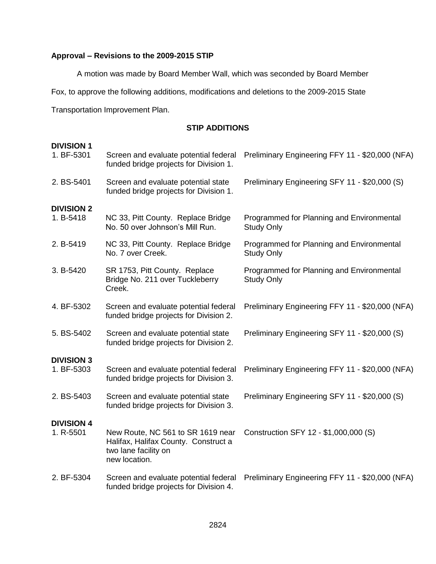#### **Approval – Revisions to the 2009-2015 STIP**

A motion was made by Board Member Wall, which was seconded by Board Member

Fox, to approve the following additions, modifications and deletions to the 2009-2015 State

Transportation Improvement Plan.

#### **STIP ADDITIONS**

| <b>DIVISION 1</b> |                                                                                                                    |                                                                |
|-------------------|--------------------------------------------------------------------------------------------------------------------|----------------------------------------------------------------|
| 1. BF-5301        | Screen and evaluate potential federal<br>funded bridge projects for Division 1.                                    | Preliminary Engineering FFY 11 - \$20,000 (NFA)                |
| 2. BS-5401        | Screen and evaluate potential state<br>funded bridge projects for Division 1.                                      | Preliminary Engineering SFY 11 - \$20,000 (S)                  |
| <b>DIVISION 2</b> |                                                                                                                    |                                                                |
| 1. B-5418         | NC 33, Pitt County. Replace Bridge<br>No. 50 over Johnson's Mill Run.                                              | Programmed for Planning and Environmental<br><b>Study Only</b> |
| 2. B-5419         | NC 33, Pitt County. Replace Bridge<br>No. 7 over Creek.                                                            | Programmed for Planning and Environmental<br><b>Study Only</b> |
| 3. B-5420         | SR 1753, Pitt County. Replace<br>Bridge No. 211 over Tuckleberry<br>Creek.                                         | Programmed for Planning and Environmental<br><b>Study Only</b> |
| 4. BF-5302        | Screen and evaluate potential federal<br>funded bridge projects for Division 2.                                    | Preliminary Engineering FFY 11 - \$20,000 (NFA)                |
| 5. BS-5402        | Screen and evaluate potential state<br>funded bridge projects for Division 2.                                      | Preliminary Engineering SFY 11 - \$20,000 (S)                  |
| <b>DIVISION 3</b> |                                                                                                                    |                                                                |
| 1. BF-5303        | Screen and evaluate potential federal<br>funded bridge projects for Division 3.                                    | Preliminary Engineering FFY 11 - \$20,000 (NFA)                |
| 2. BS-5403        | Screen and evaluate potential state<br>funded bridge projects for Division 3.                                      | Preliminary Engineering SFY 11 - \$20,000 (S)                  |
| <b>DIVISION 4</b> |                                                                                                                    |                                                                |
| 1. R-5501         | New Route, NC 561 to SR 1619 near<br>Halifax, Halifax County. Construct a<br>two lane facility on<br>new location. | Construction SFY 12 - \$1,000,000 (S)                          |
| 2. BF-5304        | Screen and evaluate potential federal<br>funded bridge projects for Division 4.                                    | Preliminary Engineering FFY 11 - \$20,000 (NFA)                |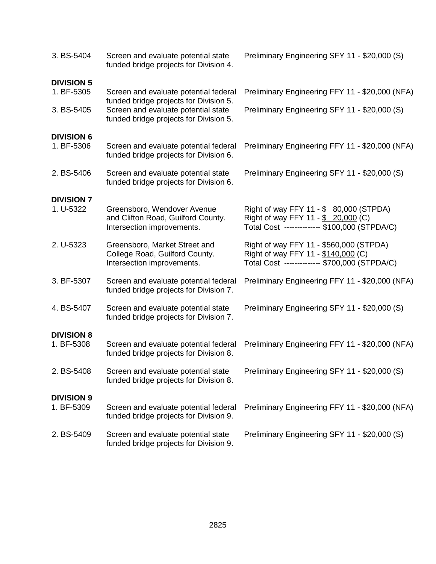| 3. BS-5404                      | Screen and evaluate potential state<br>funded bridge projects for Division 4.                   | Preliminary Engineering SFY 11 - \$20,000 (S)                                                                                  |
|---------------------------------|-------------------------------------------------------------------------------------------------|--------------------------------------------------------------------------------------------------------------------------------|
| <b>DIVISION 5</b><br>1. BF-5305 | Screen and evaluate potential federal                                                           | Preliminary Engineering FFY 11 - \$20,000 (NFA)                                                                                |
|                                 | funded bridge projects for Division 5.                                                          |                                                                                                                                |
| 3. BS-5405                      | Screen and evaluate potential state<br>funded bridge projects for Division 5.                   | Preliminary Engineering SFY 11 - \$20,000 (S)                                                                                  |
| <b>DIVISION 6</b>               |                                                                                                 |                                                                                                                                |
| 1. BF-5306                      | Screen and evaluate potential federal<br>funded bridge projects for Division 6.                 | Preliminary Engineering FFY 11 - \$20,000 (NFA)                                                                                |
| 2. BS-5406                      | Screen and evaluate potential state<br>funded bridge projects for Division 6.                   | Preliminary Engineering SFY 11 - \$20,000 (S)                                                                                  |
| <b>DIVISION 7</b>               |                                                                                                 |                                                                                                                                |
| 1. U-5322                       | Greensboro, Wendover Avenue<br>and Clifton Road, Guilford County.<br>Intersection improvements. | Right of way FFY 11 - \$ 80,000 (STPDA)<br>Right of way FFY 11 - \$ 20,000 (C)<br>Total Cost ------------- \$100,000 (STPDA/C) |
| 2. U-5323                       | Greensboro, Market Street and<br>College Road, Guilford County.<br>Intersection improvements.   | Right of way FFY 11 - \$560,000 (STPDA)<br>Right of way FFY 11 - \$140,000 (C)<br>Total Cost ------------- \$700,000 (STPDA/C) |
| 3. BF-5307                      | Screen and evaluate potential federal<br>funded bridge projects for Division 7.                 | Preliminary Engineering FFY 11 - \$20,000 (NFA)                                                                                |
| 4. BS-5407                      | Screen and evaluate potential state<br>funded bridge projects for Division 7.                   | Preliminary Engineering SFY 11 - \$20,000 (S)                                                                                  |
| <b>DIVISION 8</b>               |                                                                                                 |                                                                                                                                |
| 1. BF-5308                      | Screen and evaluate potential federal<br>funded bridge projects for Division 8.                 | Preliminary Engineering FFY 11 - \$20,000 (NFA)                                                                                |
| 2. BS-5408                      | Screen and evaluate potential state<br>funded bridge projects for Division 8.                   | Preliminary Engineering SFY 11 - \$20,000 (S)                                                                                  |
| <b>DIVISION 9</b>               |                                                                                                 |                                                                                                                                |
| 1. BF-5309                      | Screen and evaluate potential federal<br>funded bridge projects for Division 9.                 | Preliminary Engineering FFY 11 - \$20,000 (NFA)                                                                                |
| 2. BS-5409                      | Screen and evaluate potential state<br>funded bridge projects for Division 9.                   | Preliminary Engineering SFY 11 - \$20,000 (S)                                                                                  |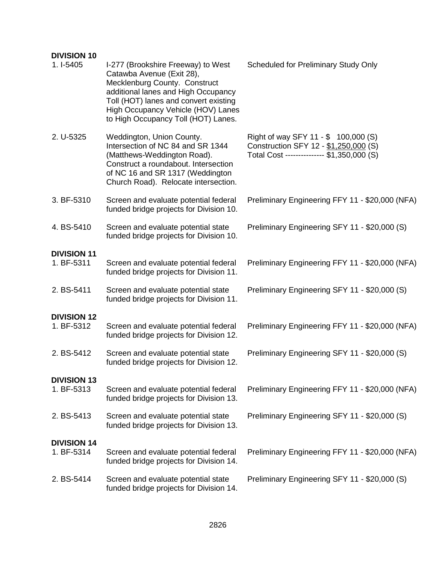| <b>DIVISION 10</b><br>1. I-5405  | I-277 (Brookshire Freeway) to West<br>Catawba Avenue (Exit 28),<br>Mecklenburg County. Construct<br>additional lanes and High Occupancy<br>Toll (HOT) lanes and convert existing<br>High Occupancy Vehicle (HOV) Lanes<br>to High Occupancy Toll (HOT) Lanes. | Scheduled for Preliminary Study Only                                                                                       |
|----------------------------------|---------------------------------------------------------------------------------------------------------------------------------------------------------------------------------------------------------------------------------------------------------------|----------------------------------------------------------------------------------------------------------------------------|
| 2. U-5325                        | Weddington, Union County.<br>Intersection of NC 84 and SR 1344<br>(Matthews-Weddington Road).<br>Construct a roundabout. Intersection<br>of NC 16 and SR 1317 (Weddington<br>Church Road). Relocate intersection.                                             | Right of way SFY 11 - \$ 100,000 (S)<br>Construction SFY 12 - \$1,250,000 (S)<br>Total Cost -------------- \$1,350,000 (S) |
| 3. BF-5310                       | Screen and evaluate potential federal<br>funded bridge projects for Division 10.                                                                                                                                                                              | Preliminary Engineering FFY 11 - \$20,000 (NFA)                                                                            |
| 4. BS-5410                       | Screen and evaluate potential state<br>funded bridge projects for Division 10.                                                                                                                                                                                | Preliminary Engineering SFY 11 - \$20,000 (S)                                                                              |
| <b>DIVISION 11</b><br>1. BF-5311 | Screen and evaluate potential federal<br>funded bridge projects for Division 11.                                                                                                                                                                              | Preliminary Engineering FFY 11 - \$20,000 (NFA)                                                                            |
| 2. BS-5411                       | Screen and evaluate potential state<br>funded bridge projects for Division 11.                                                                                                                                                                                | Preliminary Engineering SFY 11 - \$20,000 (S)                                                                              |
| <b>DIVISION 12</b><br>1. BF-5312 | Screen and evaluate potential federal<br>funded bridge projects for Division 12.                                                                                                                                                                              | Preliminary Engineering FFY 11 - \$20,000 (NFA)                                                                            |
| 2. BS-5412                       | Screen and evaluate potential state<br>funded bridge projects for Division 12.                                                                                                                                                                                | Preliminary Engineering SFY 11 - \$20,000 (S)                                                                              |
| <b>DIVISION 13</b><br>1. BF-5313 | Screen and evaluate potential federal<br>funded bridge projects for Division 13.                                                                                                                                                                              | Preliminary Engineering FFY 11 - \$20,000 (NFA)                                                                            |
| 2. BS-5413                       | Screen and evaluate potential state<br>funded bridge projects for Division 13.                                                                                                                                                                                | Preliminary Engineering SFY 11 - \$20,000 (S)                                                                              |
| <b>DIVISION 14</b><br>1. BF-5314 | Screen and evaluate potential federal<br>funded bridge projects for Division 14.                                                                                                                                                                              | Preliminary Engineering FFY 11 - \$20,000 (NFA)                                                                            |
| 2. BS-5414                       | Screen and evaluate potential state<br>funded bridge projects for Division 14.                                                                                                                                                                                | Preliminary Engineering SFY 11 - \$20,000 (S)                                                                              |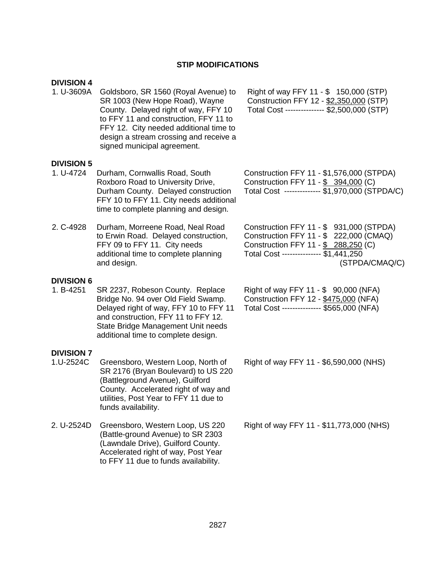# **STIP MODIFICATIONS**

| <b>DIVISION 4</b><br>1. U-3609A | Goldsboro, SR 1560 (Royal Avenue) to<br>SR 1003 (New Hope Road), Wayne<br>County. Delayed right of way, FFY 10<br>to FFY 11 and construction, FFY 11 to<br>FFY 12. City needed additional time to<br>design a stream crossing and receive a<br>signed municipal agreement. | Right of way FFY 11 - \$ 150,000 (STP)<br>Construction FFY 12 - \$2,350,000 (STP)<br>Total Cost -------------- \$2,500,000 (STP)                                                       |
|---------------------------------|----------------------------------------------------------------------------------------------------------------------------------------------------------------------------------------------------------------------------------------------------------------------------|----------------------------------------------------------------------------------------------------------------------------------------------------------------------------------------|
| <b>DIVISION 5</b><br>1. U-4724  | Durham, Cornwallis Road, South<br>Roxboro Road to University Drive,<br>Durham County. Delayed construction<br>FFY 10 to FFY 11. City needs additional<br>time to complete planning and design.                                                                             | Construction FFY 11 - \$1,576,000 (STPDA)<br>Construction FFY 11 - \$ 394,000 (C)<br>Total Cost ------------- \$1,970,000 (STPDA/C)                                                    |
| 2. C-4928                       | Durham, Morreene Road, Neal Road<br>to Erwin Road. Delayed construction,<br>FFY 09 to FFY 11. City needs<br>additional time to complete planning<br>and design.                                                                                                            | Construction FFY 11 - \$ 931,000 (STPDA)<br>Construction FFY 11 - \$ 222,000 (CMAQ)<br>Construction FFY 11 - \$ 288,250 (C)<br>Total Cost -------------- \$1,441,250<br>(STPDA/CMAQ/C) |
| <b>DIVISION 6</b><br>1. B-4251  | SR 2237, Robeson County. Replace<br>Bridge No. 94 over Old Field Swamp.<br>Delayed right of way, FFY 10 to FFY 11<br>and construction, FFY 11 to FFY 12.<br>State Bridge Management Unit needs<br>additional time to complete design.                                      | Right of way FFY 11 - \$ 90,000 (NFA)<br>Construction FFY 12 - \$475,000 (NFA)<br>Total Cost --------------- \$565,000 (NFA)                                                           |
| <b>DIVISION 7</b><br>1.U-2524C  | Greensboro, Western Loop, North of<br>SR 2176 (Bryan Boulevard) to US 220<br>(Battleground Avenue), Guilford<br>County. Accelerated right of way and<br>utilities, Post Year to FFY 11 due to<br>funds availability.                                                       | Right of way FFY 11 - \$6,590,000 (NHS)                                                                                                                                                |
| 2. U-2524D                      | Greensboro, Western Loop, US 220<br>(Battle-ground Avenue) to SR 2303<br>(Lawndale Drive), Guilford County.<br>Accelerated right of way, Post Year<br>to FFY 11 due to funds availability.                                                                                 | Right of way FFY 11 - \$11,773,000 (NHS)                                                                                                                                               |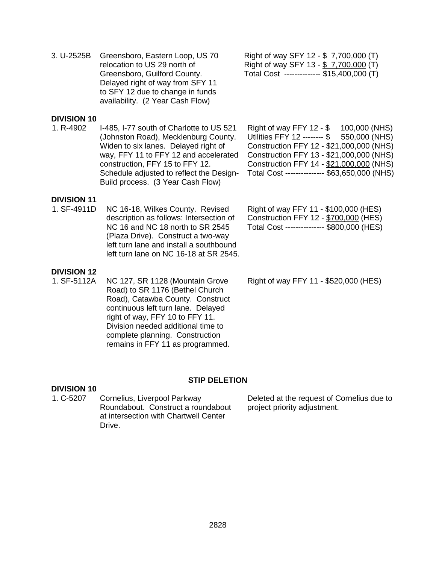| 3. U-2525B         | Greensboro, Eastern Loop, US 70<br>relocation to US 29 north of<br>Greensboro, Guilford County.<br>Delayed right of way from SFY 11<br>to SFY 12 due to change in funds<br>availability. (2 Year Cash Flow)                                                                           | Right of way SFY 12 - \$7,700,000 (T)<br>Right of way SFY 13 - \$ 7,700,000 (T)<br>Total Cost ------------- \$15,400,000 (T)                                                                                                                                             |
|--------------------|---------------------------------------------------------------------------------------------------------------------------------------------------------------------------------------------------------------------------------------------------------------------------------------|--------------------------------------------------------------------------------------------------------------------------------------------------------------------------------------------------------------------------------------------------------------------------|
| <b>DIVISION 10</b> |                                                                                                                                                                                                                                                                                       |                                                                                                                                                                                                                                                                          |
| 1. R-4902          | I-485, I-77 south of Charlotte to US 521<br>(Johnston Road), Mecklenburg County.<br>Widen to six lanes. Delayed right of<br>way, FFY 11 to FFY 12 and accelerated<br>construction, FFY 15 to FFY 12.<br>Schedule adjusted to reflect the Design-<br>Build process. (3 Year Cash Flow) | Right of way FFY 12 - \$ 100,000 (NHS)<br>Utilities FFY 12 -------- \$ 550,000 (NHS)<br>Construction FFY 12 - \$21,000,000 (NHS)<br>Construction FFY 13 - \$21,000,000 (NHS)<br>Construction FFY 14 - \$21,000,000 (NHS)<br>Total Cost -------------- \$63,650,000 (NHS) |
| <b>DIVISION 11</b> |                                                                                                                                                                                                                                                                                       |                                                                                                                                                                                                                                                                          |
| 1. SF-4911D        | NC 16-18, Wilkes County. Revised<br>description as follows: Intersection of<br>NC 16 and NC 18 north to SR 2545<br>(Plaza Drive). Construct a two-way<br>left turn lane and install a southbound<br>left turn lane on NC 16-18 at SR 2545.                                            | Right of way FFY 11 - \$100,000 (HES)<br>Construction FFY 12 - \$700,000 (HES)<br>Total Cost -------------- \$800,000 (HES)                                                                                                                                              |
| <b>DIVISION 12</b> |                                                                                                                                                                                                                                                                                       |                                                                                                                                                                                                                                                                          |
| 1. SF-5112A        | NC 127, SR 1128 (Mountain Grove<br>Road) to SR 1176 (Bethel Church<br>Road), Catawba County. Construct<br>continuous left turn lane. Delayed<br>right of way, FFY 10 to FFY 11.<br>Division needed additional time to                                                                 | Right of way FFY 11 - \$520,000 (HES)                                                                                                                                                                                                                                    |

## **STIP DELETION**

# **DIVISION 10**<br>1. C-5207

1. C-5207 Cornelius, Liverpool Parkway Roundabout. Construct a roundabout at intersection with Chartwell Center Drive.

complete planning. Construction remains in FFY 11 as programmed.

> Deleted at the request of Cornelius due to project priority adjustment.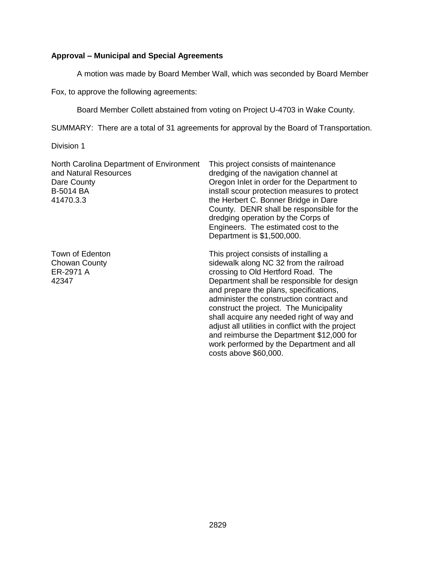## **Approval – Municipal and Special Agreements**

A motion was made by Board Member Wall, which was seconded by Board Member

Fox, to approve the following agreements:

Board Member Collett abstained from voting on Project U-4703 in Wake County.

SUMMARY: There are a total of 31 agreements for approval by the Board of Transportation.

Division 1

| North Carolina Department of Environment<br>and Natural Resources<br>Dare County<br><b>B-5014 BA</b><br>41470.3.3 | This project consists of maintenance<br>dredging of the navigation channel at<br>Oregon Inlet in order for the Department to<br>install scour protection measures to protect<br>the Herbert C. Bonner Bridge in Dare<br>County. DENR shall be responsible for the<br>dredging operation by the Corps of<br>Engineers. The estimated cost to the<br>Department is \$1,500,000.                                                                                                                                            |
|-------------------------------------------------------------------------------------------------------------------|--------------------------------------------------------------------------------------------------------------------------------------------------------------------------------------------------------------------------------------------------------------------------------------------------------------------------------------------------------------------------------------------------------------------------------------------------------------------------------------------------------------------------|
| Town of Edenton<br>Chowan County<br>ER-2971 A<br>42347                                                            | This project consists of installing a<br>sidewalk along NC 32 from the railroad<br>crossing to Old Hertford Road. The<br>Department shall be responsible for design<br>and prepare the plans, specifications,<br>administer the construction contract and<br>construct the project. The Municipality<br>shall acquire any needed right of way and<br>adjust all utilities in conflict with the project<br>and reimburse the Department \$12,000 for<br>work performed by the Department and all<br>costs above \$60,000. |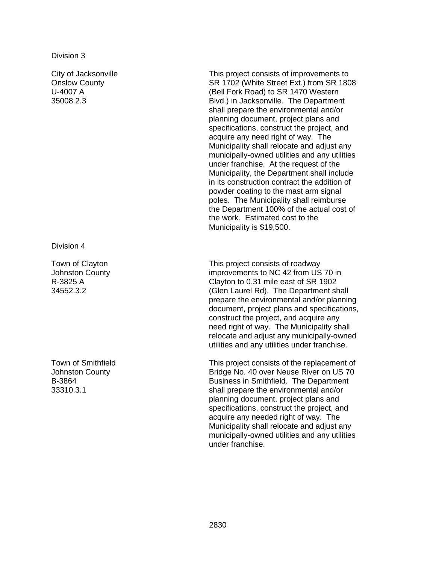City of Jacksonville Onslow County U-4007 A 35008.2.3

Division 4

Town of Clayton Johnston County R-3825 A 34552.3.2

Town of Smithfield Johnston County B-3864 33310.3.1

This project consists of improvements to SR 1702 (White Street Ext.) from SR 1808 (Bell Fork Road) to SR 1470 Western Blvd.) in Jacksonville. The Department shall prepare the environmental and/or planning document, project plans and specifications, construct the project, and acquire any need right of way. The Municipality shall relocate and adjust any municipally-owned utilities and any utilities under franchise. At the request of the Municipality, the Department shall include in its construction contract the addition of powder coating to the mast arm signal poles. The Municipality shall reimburse the Department 100% of the actual cost of the work. Estimated cost to the Municipality is \$19,500.

This project consists of roadway improvements to NC 42 from US 70 in Clayton to 0.31 mile east of SR 1902 (Glen Laurel Rd). The Department shall prepare the environmental and/or planning document, project plans and specifications, construct the project, and acquire any need right of way. The Municipality shall relocate and adjust any municipally-owned utilities and any utilities under franchise.

This project consists of the replacement of Bridge No. 40 over Neuse River on US 70 Business in Smithfield. The Department shall prepare the environmental and/or planning document, project plans and specifications, construct the project, and acquire any needed right of way. The Municipality shall relocate and adjust any municipally-owned utilities and any utilities under franchise.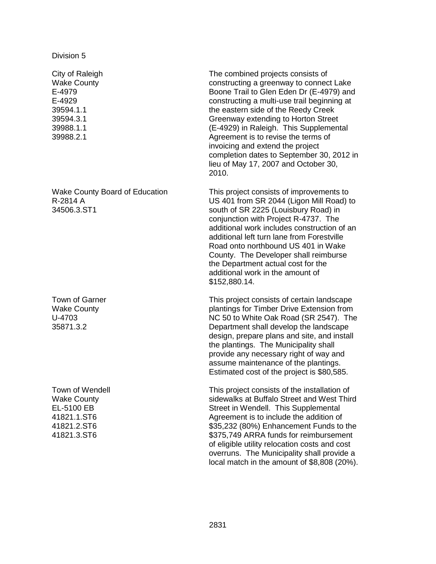City of Raleigh Wake County E-4979 E-4929 39594.1.1 39594.3.1 39988.1.1 39988.2.1

Wake County Board of Education R-2814 A 34506.3.ST1

Town of Garner Wake County U-4703 35871.3.2

Town of Wendell Wake County EL-5100 EB 41821.1.ST6 41821.2.ST6 41821.3.ST6

The combined projects consists of constructing a greenway to connect Lake Boone Trail to Glen Eden Dr (E-4979) and constructing a multi-use trail beginning at the eastern side of the Reedy Creek Greenway extending to Horton Street (E-4929) in Raleigh. This Supplemental Agreement is to revise the terms of invoicing and extend the project completion dates to September 30, 2012 in lieu of May 17, 2007 and October 30, 2010.

This project consists of improvements to US 401 from SR 2044 (Ligon Mill Road) to south of SR 2225 (Louisbury Road) in conjunction with Project R-4737. The additional work includes construction of an additional left turn lane from Forestville Road onto northbound US 401 in Wake County. The Developer shall reimburse the Department actual cost for the additional work in the amount of \$152,880.14.

This project consists of certain landscape plantings for Timber Drive Extension from NC 50 to White Oak Road (SR 2547). The Department shall develop the landscape design, prepare plans and site, and install the plantings. The Municipality shall provide any necessary right of way and assume maintenance of the plantings. Estimated cost of the project is \$80,585.

This project consists of the installation of sidewalks at Buffalo Street and West Third Street in Wendell. This Supplemental Agreement is to include the addition of \$35,232 (80%) Enhancement Funds to the \$375,749 ARRA funds for reimbursement of eligible utility relocation costs and cost overruns. The Municipality shall provide a local match in the amount of \$8,808 (20%).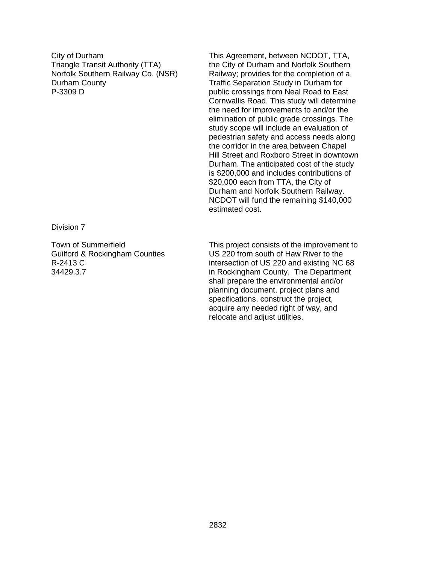City of Durham Triangle Transit Authority (TTA) Norfolk Southern Railway Co. (NSR) Durham County P-3309 D

This Agreement, between NCDOT, TTA, the City of Durham and Norfolk Southern Railway; provides for the completion of a Traffic Separation Study in Durham for public crossings from Neal Road to East Cornwallis Road. This study will determine the need for improvements to and/or the elimination of public grade crossings. The study scope will include an evaluation of pedestrian safety and access needs along the corridor in the area between Chapel Hill Street and Roxboro Street in downtown Durham. The anticipated cost of the study is \$200,000 and includes contributions of \$20,000 each from TTA, the City of Durham and Norfolk Southern Railway. NCDOT will fund the remaining \$140,000 estimated cost.

Division 7

Town of Summerfield Guilford & Rockingham Counties R-2413 C 34429.3.7

This project consists of the improvement to US 220 from south of Haw River to the intersection of US 220 and existing NC 68 in Rockingham County. The Department shall prepare the environmental and/or planning document, project plans and specifications, construct the project, acquire any needed right of way, and relocate and adjust utilities.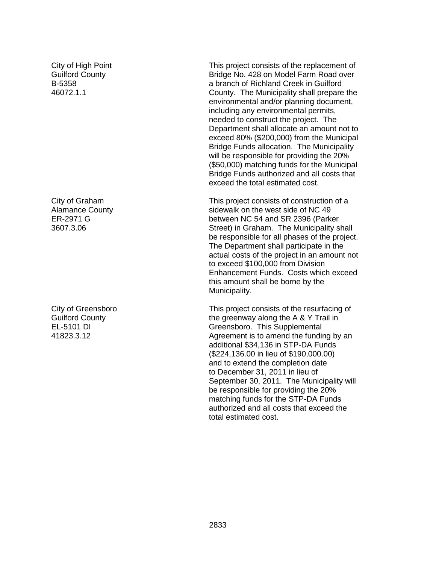City of High Point Guilford County B-5358 46072.1.1

City of Graham Alamance County ER-2971 G 3607.3.06

City of Greensboro Guilford County EL-5101 DI 41823.3.12

This project consists of the replacement of Bridge No. 428 on Model Farm Road over a branch of Richland Creek in Guilford County. The Municipality shall prepare the environmental and/or planning document, including any environmental permits, needed to construct the project. The Department shall allocate an amount not to exceed 80% (\$200,000) from the Municipal Bridge Funds allocation. The Municipality will be responsible for providing the 20% (\$50,000) matching funds for the Municipal Bridge Funds authorized and all costs that exceed the total estimated cost.

This project consists of construction of a sidewalk on the west side of NC 49 between NC 54 and SR 2396 (Parker Street) in Graham. The Municipality shall be responsible for all phases of the project. The Department shall participate in the actual costs of the project in an amount not to exceed \$100,000 from Division Enhancement Funds. Costs which exceed this amount shall be borne by the Municipality.

This project consists of the resurfacing of the greenway along the A & Y Trail in Greensboro. This Supplemental Agreement is to amend the funding by an additional \$34,136 in STP-DA Funds (\$224,136.00 in lieu of \$190,000.00) and to extend the completion date to December 31, 2011 in lieu of September 30, 2011. The Municipality will be responsible for providing the 20% matching funds for the STP-DA Funds authorized and all costs that exceed the total estimated cost.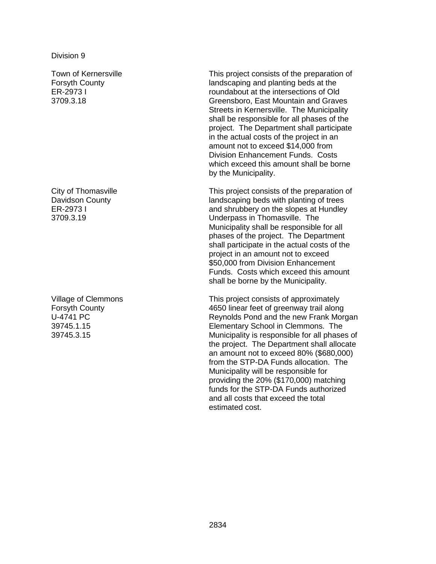Town of Kernersville Forsyth County ER-2973 I 3709.3.18

City of Thomasville Davidson County ER-2973 I 3709.3.19

Village of Clemmons Forsyth County U-4741 PC 39745.1.15 39745.3.15

This project consists of the preparation of landscaping and planting beds at the roundabout at the intersections of Old Greensboro, East Mountain and Graves Streets in Kernersville. The Municipality shall be responsible for all phases of the project. The Department shall participate in the actual costs of the project in an amount not to exceed \$14,000 from Division Enhancement Funds. Costs which exceed this amount shall be borne by the Municipality.

This project consists of the preparation of landscaping beds with planting of trees and shrubbery on the slopes at Hundley Underpass in Thomasville. The Municipality shall be responsible for all phases of the project. The Department shall participate in the actual costs of the project in an amount not to exceed \$50,000 from Division Enhancement Funds. Costs which exceed this amount shall be borne by the Municipality.

This project consists of approximately 4650 linear feet of greenway trail along Reynolds Pond and the new Frank Morgan Elementary School in Clemmons. The Municipality is responsible for all phases of the project. The Department shall allocate an amount not to exceed 80% (\$680,000) from the STP-DA Funds allocation. The Municipality will be responsible for providing the 20% (\$170,000) matching funds for the STP-DA Funds authorized and all costs that exceed the total estimated cost.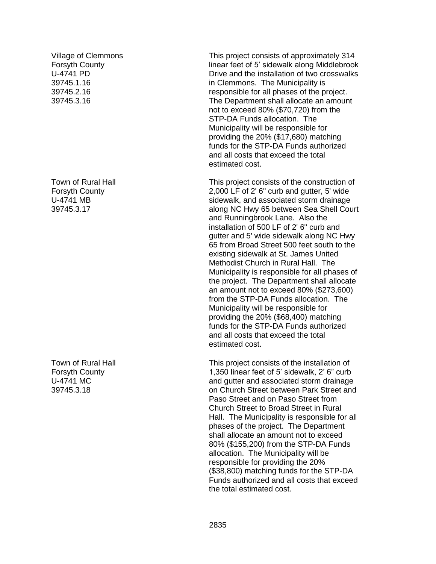Village of Clemmons Forsyth County U-4741 PD 39745.1.16 39745.2.16 39745.3.16

Town of Rural Hall Forsyth County U-4741 MB 39745.3.17

Town of Rural Hall Forsyth County U-4741 MC 39745.3.18

This project consists of approximately 314 linear feet of 5' sidewalk along Middlebrook Drive and the installation of two crosswalks in Clemmons. The Municipality is responsible for all phases of the project. The Department shall allocate an amount not to exceed 80% (\$70,720) from the STP-DA Funds allocation. The Municipality will be responsible for providing the 20% (\$17,680) matching funds for the STP-DA Funds authorized and all costs that exceed the total estimated cost.

This project consists of the construction of 2,000 LF of 2' 6" curb and gutter, 5' wide sidewalk, and associated storm drainage along NC Hwy 65 between Sea Shell Court and Runningbrook Lane. Also the installation of 500 LF of 2' 6" curb and gutter and 5' wide sidewalk along NC Hwy 65 from Broad Street 500 feet south to the existing sidewalk at St. James United Methodist Church in Rural Hall. The Municipality is responsible for all phases of the project. The Department shall allocate an amount not to exceed 80% (\$273,600) from the STP-DA Funds allocation. The Municipality will be responsible for providing the 20% (\$68,400) matching funds for the STP-DA Funds authorized and all costs that exceed the total estimated cost.

This project consists of the installation of 1,350 linear feet of 5' sidewalk, 2' 6" curb and gutter and associated storm drainage on Church Street between Park Street and Paso Street and on Paso Street from Church Street to Broad Street in Rural Hall. The Municipality is responsible for all phases of the project. The Department shall allocate an amount not to exceed 80% (\$155,200) from the STP-DA Funds allocation. The Municipality will be responsible for providing the 20% (\$38,800) matching funds for the STP-DA Funds authorized and all costs that exceed the total estimated cost.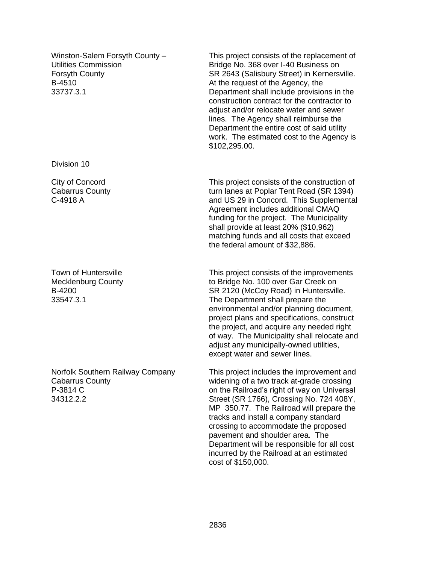Winston-Salem Forsyth County – Utilities Commission Forsyth County B-4510 33737.3.1

Division 10

City of Concord Cabarrus County C-4918 A

Town of Huntersville Mecklenburg County B-4200 33547.3.1

Norfolk Southern Railway Company Cabarrus County P-3814 C 34312.2.2

This project consists of the replacement of Bridge No. 368 over I-40 Business on SR 2643 (Salisbury Street) in Kernersville. At the request of the Agency, the Department shall include provisions in the construction contract for the contractor to adjust and/or relocate water and sewer lines. The Agency shall reimburse the Department the entire cost of said utility work. The estimated cost to the Agency is \$102,295.00.

This project consists of the construction of turn lanes at Poplar Tent Road (SR 1394) and US 29 in Concord. This Supplemental Agreement includes additional CMAQ funding for the project. The Municipality shall provide at least 20% (\$10,962) matching funds and all costs that exceed the federal amount of \$32,886.

This project consists of the improvements to Bridge No. 100 over Gar Creek on SR 2120 (McCoy Road) in Huntersville. The Department shall prepare the environmental and/or planning document, project plans and specifications, construct the project, and acquire any needed right of way. The Municipality shall relocate and adjust any municipally-owned utilities, except water and sewer lines.

This project includes the improvement and widening of a two track at-grade crossing on the Railroad's right of way on Universal Street (SR 1766), Crossing No. 724 408Y, MP 350.77. The Railroad will prepare the tracks and install a company standard crossing to accommodate the proposed pavement and shoulder area. The Department will be responsible for all cost incurred by the Railroad at an estimated cost of \$150,000.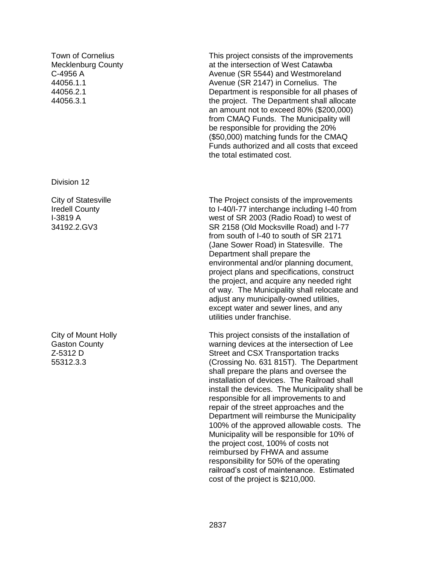Town of Cornelius Mecklenburg County C-4956 A 44056.1.1 44056.2.1 44056.3.1

Division 12

City of Statesville Iredell County I-3819 A 34192.2.GV3

City of Mount Holly Gaston County Z-5312 D 55312.3.3

This project consists of the improvements at the intersection of West Catawba Avenue (SR 5544) and Westmoreland Avenue (SR 2147) in Cornelius. The Department is responsible for all phases of the project. The Department shall allocate an amount not to exceed 80% (\$200,000) from CMAQ Funds. The Municipality will be responsible for providing the 20% (\$50,000) matching funds for the CMAQ Funds authorized and all costs that exceed the total estimated cost.

The Project consists of the improvements to I-40/I-77 interchange including I-40 from west of SR 2003 (Radio Road) to west of SR 2158 (Old Mocksville Road) and I-77 from south of I-40 to south of SR 2171 (Jane Sower Road) in Statesville. The Department shall prepare the environmental and/or planning document, project plans and specifications, construct the project, and acquire any needed right of way. The Municipality shall relocate and adjust any municipally-owned utilities, except water and sewer lines, and any utilities under franchise.

This project consists of the installation of warning devices at the intersection of Lee Street and CSX Transportation tracks (Crossing No. 631 815T). The Department shall prepare the plans and oversee the installation of devices. The Railroad shall install the devices. The Municipality shall be responsible for all improvements to and repair of the street approaches and the Department will reimburse the Municipality 100% of the approved allowable costs. The Municipality will be responsible for 10% of the project cost, 100% of costs not reimbursed by FHWA and assume responsibility for 50% of the operating railroad's cost of maintenance. Estimated cost of the project is \$210,000.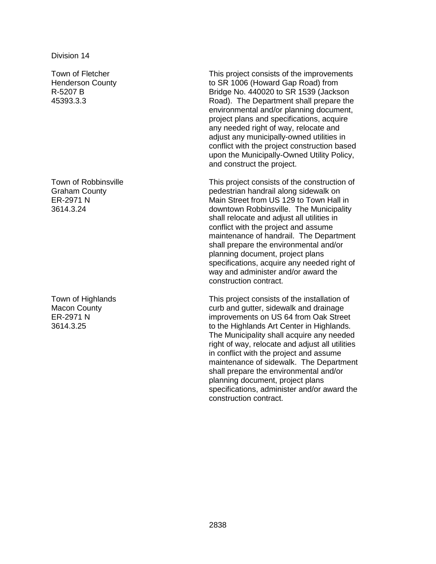Town of Fletcher Henderson County R-5207 B 45393.3.3

Town of Robbinsville Graham County ER-2971 N 3614.3.24

Town of Highlands Macon County ER-2971 N 3614.3.25

This project consists of the improvements to SR 1006 (Howard Gap Road) from Bridge No. 440020 to SR 1539 (Jackson Road). The Department shall prepare the environmental and/or planning document, project plans and specifications, acquire any needed right of way, relocate and adjust any municipally-owned utilities in conflict with the project construction based upon the Municipally-Owned Utility Policy, and construct the project.

This project consists of the construction of pedestrian handrail along sidewalk on Main Street from US 129 to Town Hall in downtown Robbinsville. The Municipality shall relocate and adjust all utilities in conflict with the project and assume maintenance of handrail. The Department shall prepare the environmental and/or planning document, project plans specifications, acquire any needed right of way and administer and/or award the construction contract.

This project consists of the installation of curb and gutter, sidewalk and drainage improvements on US 64 from Oak Street to the Highlands Art Center in Highlands. The Municipality shall acquire any needed right of way, relocate and adjust all utilities in conflict with the project and assume maintenance of sidewalk. The Department shall prepare the environmental and/or planning document, project plans specifications, administer and/or award the construction contract.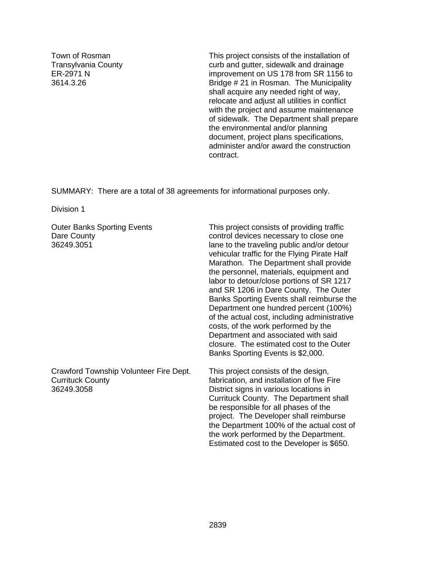Town of Rosman Transylvania County ER-2971 N 3614.3.26

This project consists of the installation of curb and gutter, sidewalk and drainage improvement on US 178 from SR 1156 to Bridge # 21 in Rosman. The Municipality shall acquire any needed right of way, relocate and adjust all utilities in conflict with the project and assume maintenance of sidewalk. The Department shall prepare the environmental and/or planning document, project plans specifications, administer and/or award the construction contract.

SUMMARY: There are a total of 38 agreements for informational purposes only.

Division 1

Outer Banks Sporting Events Dare County 36249.3051

Crawford Township Volunteer Fire Dept. Currituck County 36249.3058

This project consists of providing traffic control devices necessary to close one lane to the traveling public and/or detour vehicular traffic for the Flying Pirate Half Marathon. The Department shall provide the personnel, materials, equipment and labor to detour/close portions of SR 1217 and SR 1206 in Dare County. The Outer Banks Sporting Events shall reimburse the Department one hundred percent (100%) of the actual cost, including administrative costs, of the work performed by the Department and associated with said closure. The estimated cost to the Outer Banks Sporting Events is \$2,000.

This project consists of the design, fabrication, and installation of five Fire District signs in various locations in Currituck County. The Department shall be responsible for all phases of the project. The Developer shall reimburse the Department 100% of the actual cost of the work performed by the Department. Estimated cost to the Developer is \$650.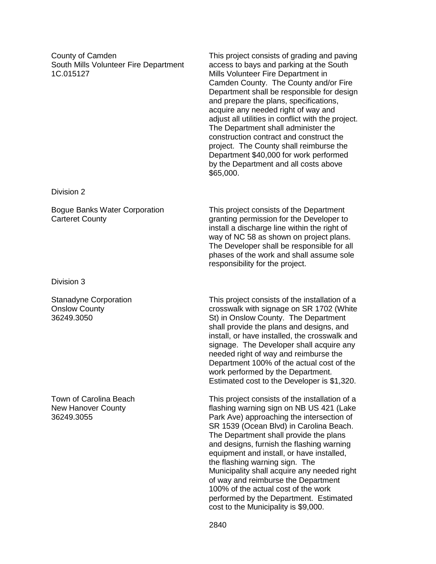County of Camden South Mills Volunteer Fire Department 1C.015127

This project consists of grading and paving access to bays and parking at the South Mills Volunteer Fire Department in Camden County. The County and/or Fire Department shall be responsible for design and prepare the plans, specifications, acquire any needed right of way and adjust all utilities in conflict with the project. The Department shall administer the construction contract and construct the project. The County shall reimburse the Department \$40,000 for work performed by the Department and all costs above \$65,000.

Division 2

Bogue Banks Water Corporation Carteret County

Division 3

Stanadyne Corporation Onslow County 36249.3050

Town of Carolina Beach New Hanover County 36249.3055

This project consists of the Department granting permission for the Developer to install a discharge line within the right of way of NC 58 as shown on project plans. The Developer shall be responsible for all phases of the work and shall assume sole responsibility for the project.

This project consists of the installation of a crosswalk with signage on SR 1702 (White St) in Onslow County. The Department shall provide the plans and designs, and install, or have installed, the crosswalk and signage. The Developer shall acquire any needed right of way and reimburse the Department 100% of the actual cost of the work performed by the Department. Estimated cost to the Developer is \$1,320.

This project consists of the installation of a flashing warning sign on NB US 421 (Lake Park Ave) approaching the intersection of SR 1539 (Ocean Blvd) in Carolina Beach. The Department shall provide the plans and designs, furnish the flashing warning equipment and install, or have installed, the flashing warning sign. The Municipality shall acquire any needed right of way and reimburse the Department 100% of the actual cost of the work performed by the Department. Estimated cost to the Municipality is \$9,000.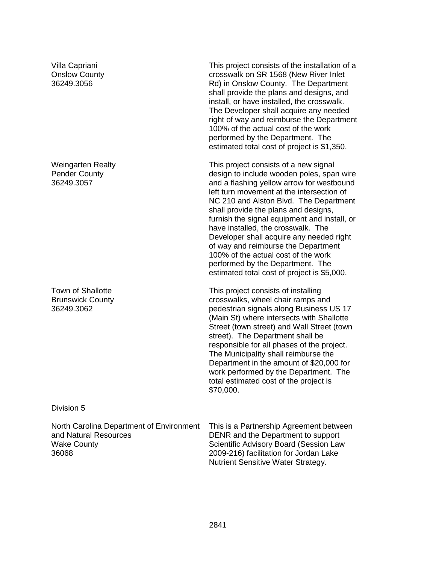Villa Capriani Onslow County 36249.3056

Weingarten Realty Pender County 36249.3057

Town of Shallotte Brunswick County 36249.3062

Division 5

North Carolina Department of Environment and Natural Resources Wake County 36068

This project consists of the installation of a crosswalk on SR 1568 (New River Inlet Rd) in Onslow County. The Department shall provide the plans and designs, and install, or have installed, the crosswalk. The Developer shall acquire any needed right of way and reimburse the Department 100% of the actual cost of the work performed by the Department. The estimated total cost of project is \$1,350.

This project consists of a new signal design to include wooden poles, span wire and a flashing yellow arrow for westbound left turn movement at the intersection of NC 210 and Alston Blvd. The Department shall provide the plans and designs, furnish the signal equipment and install, or have installed, the crosswalk. The Developer shall acquire any needed right of way and reimburse the Department 100% of the actual cost of the work performed by the Department. The estimated total cost of project is \$5,000.

This project consists of installing crosswalks, wheel chair ramps and pedestrian signals along Business US 17 (Main St) where intersects with Shallotte Street (town street) and Wall Street (town street). The Department shall be responsible for all phases of the project. The Municipality shall reimburse the Department in the amount of \$20,000 for work performed by the Department. The total estimated cost of the project is \$70,000.

This is a Partnership Agreement between DENR and the Department to support Scientific Advisory Board (Session Law 2009-216) facilitation for Jordan Lake Nutrient Sensitive Water Strategy.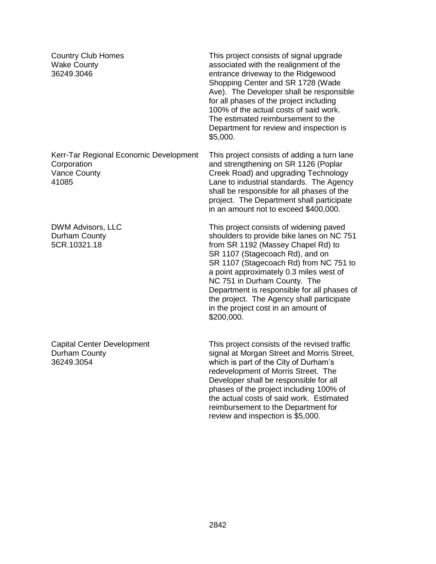Country Club Homes Wake County 36249.3046

Kerr-Tar Regional Economic Development **Corporation** Vance County 41085

DWM Advisors, LLC Durham County 5CR.10321.18

Capital Center Development Durham County 36249.3054

This project consists of signal upgrade associated with the realignment of the entrance driveway to the Ridgewood Shopping Center and SR 1728 (Wade Ave). The Developer shall be responsible for all phases of the project including 100% of the actual costs of said work. The estimated reimbursement to the Department for review and inspection is \$5,000.

This project consists of adding a turn lane and strengthening on SR 1126 (Poplar Creek Road) and upgrading Technology Lane to industrial standards. The Agency shall be responsible for all phases of the project. The Department shall participate in an amount not to exceed \$400,000.

This project consists of widening paved shoulders to provide bike lanes on NC 751 from SR 1192 (Massey Chapel Rd) to SR 1107 (Stagecoach Rd), and on SR 1107 (Stagecoach Rd) from NC 751 to a point approximately 0.3 miles west of NC 751 in Durham County. The Department is responsible for all phases of the project. The Agency shall participate in the project cost in an amount of \$200,000.

This project consists of the revised traffic signal at Morgan Street and Morris Street, which is part of the City of Durham's redevelopment of Morris Street. The Developer shall be responsible for all phases of the project including 100% of the actual costs of said work. Estimated reimbursement to the Department for review and inspection is \$5,000.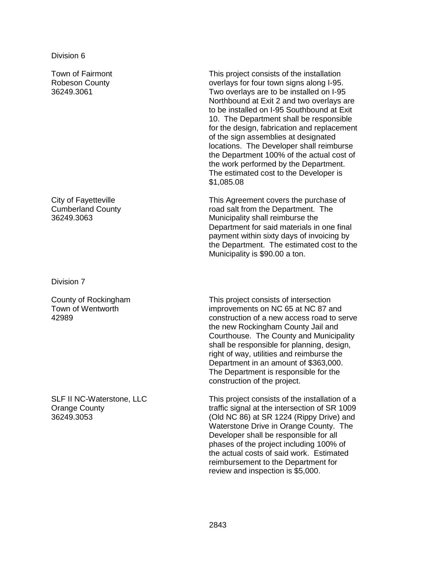Town of Fairmont Robeson County 36249.3061

City of Fayetteville Cumberland County 36249.3063

Division 7

County of Rockingham Town of Wentworth 42989

SLF II NC-Waterstone, LLC Orange County 36249.3053

This project consists of the installation overlays for four town signs along I-95. Two overlays are to be installed on I-95 Northbound at Exit 2 and two overlays are to be installed on I-95 Southbound at Exit 10. The Department shall be responsible for the design, fabrication and replacement of the sign assemblies at designated locations. The Developer shall reimburse the Department 100% of the actual cost of the work performed by the Department. The estimated cost to the Developer is \$1,085.08

This Agreement covers the purchase of road salt from the Department. The Municipality shall reimburse the Department for said materials in one final payment within sixty days of invoicing by the Department. The estimated cost to the Municipality is \$90.00 a ton.

This project consists of intersection improvements on NC 65 at NC 87 and construction of a new access road to serve the new Rockingham County Jail and Courthouse. The County and Municipality shall be responsible for planning, design, right of way, utilities and reimburse the Department in an amount of \$363,000. The Department is responsible for the construction of the project.

This project consists of the installation of a traffic signal at the intersection of SR 1009 (Old NC 86) at SR 1224 (Rippy Drive) and Waterstone Drive in Orange County. The Developer shall be responsible for all phases of the project including 100% of the actual costs of said work. Estimated reimbursement to the Department for review and inspection is \$5,000.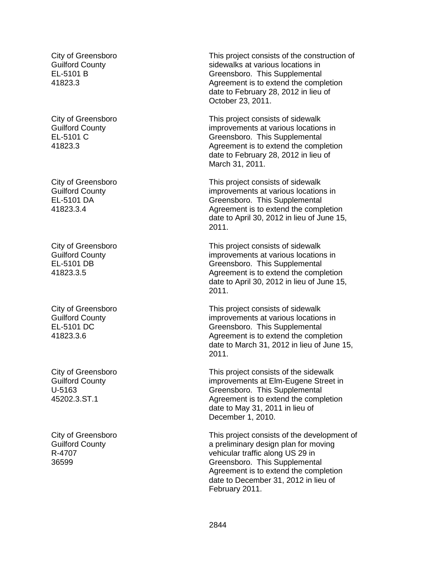City of Greensboro Guilford County EL-5101 B 41823.3

City of Greensboro Guilford County EL-5101 C 41823.3

City of Greensboro Guilford County EL-5101 DA 41823.3.4

City of Greensboro Guilford County EL-5101 DB 41823.3.5

City of Greensboro Guilford County EL-5101 DC 41823.3.6

City of Greensboro Guilford County U-5163 45202.3.ST.1

City of Greensboro Guilford County R-4707 36599

This project consists of the construction of sidewalks at various locations in Greensboro. This Supplemental Agreement is to extend the completion date to February 28, 2012 in lieu of October 23, 2011.

This project consists of sidewalk improvements at various locations in Greensboro. This Supplemental Agreement is to extend the completion date to February 28, 2012 in lieu of March 31, 2011.

This project consists of sidewalk improvements at various locations in Greensboro. This Supplemental Agreement is to extend the completion date to April 30, 2012 in lieu of June 15, 2011.

This project consists of sidewalk improvements at various locations in Greensboro. This Supplemental Agreement is to extend the completion date to April 30, 2012 in lieu of June 15, 2011.

This project consists of sidewalk improvements at various locations in Greensboro. This Supplemental Agreement is to extend the completion date to March 31, 2012 in lieu of June 15, 2011.

This project consists of the sidewalk improvements at Elm-Eugene Street in Greensboro. This Supplemental Agreement is to extend the completion date to May 31, 2011 in lieu of December 1, 2010.

This project consists of the development of a preliminary design plan for moving vehicular traffic along US 29 in Greensboro. This Supplemental Agreement is to extend the completion date to December 31, 2012 in lieu of February 2011.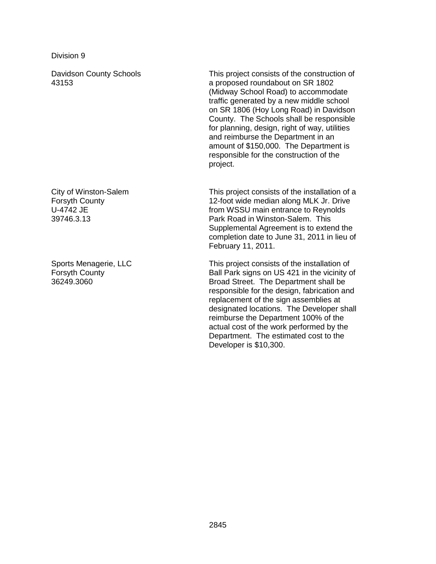Davidson County Schools 43153

City of Winston-Salem Forsyth County U-4742 JE 39746.3.13

Sports Menagerie, LLC Forsyth County 36249.3060

This project consists of the construction of a proposed roundabout on SR 1802 (Midway School Road) to accommodate traffic generated by a new middle school on SR 1806 (Hoy Long Road) in Davidson County. The Schools shall be responsible for planning, design, right of way, utilities and reimburse the Department in an amount of \$150,000. The Department is responsible for the construction of the project.

This project consists of the installation of a 12-foot wide median along MLK Jr. Drive from WSSU main entrance to Reynolds Park Road in Winston-Salem. This Supplemental Agreement is to extend the completion date to June 31, 2011 in lieu of February 11, 2011.

This project consists of the installation of Ball Park signs on US 421 in the vicinity of Broad Street. The Department shall be responsible for the design, fabrication and replacement of the sign assemblies at designated locations. The Developer shall reimburse the Department 100% of the actual cost of the work performed by the Department. The estimated cost to the Developer is \$10,300.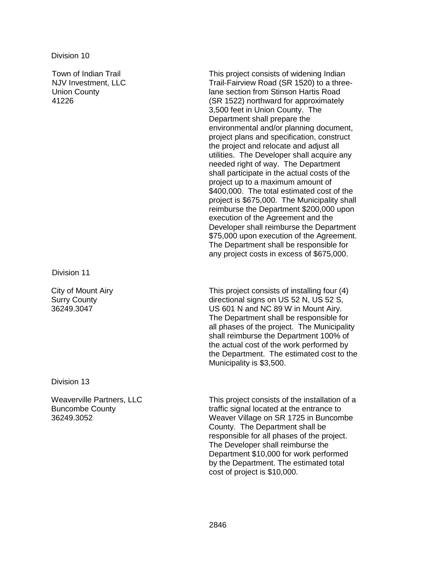Town of Indian Trail NJV Investment, LLC Union County 41226

Division 11

City of Mount Airy Surry County 36249.3047

Division 13

Weaverville Partners, LLC Buncombe County 36249.3052

This project consists of widening Indian Trail-Fairview Road (SR 1520) to a threelane section from Stinson Hartis Road (SR 1522) northward for approximately 3,500 feet in Union County. The Department shall prepare the environmental and/or planning document, project plans and specification, construct the project and relocate and adjust all utilities. The Developer shall acquire any needed right of way. The Department shall participate in the actual costs of the project up to a maximum amount of \$400,000. The total estimated cost of the project is \$675,000. The Municipality shall reimburse the Department \$200,000 upon execution of the Agreement and the Developer shall reimburse the Department \$75,000 upon execution of the Agreement. The Department shall be responsible for any project costs in excess of \$675,000.

This project consists of installing four (4) directional signs on US 52 N, US 52 S, US 601 N and NC 89 W in Mount Airy. The Department shall be responsible for all phases of the project. The Municipality shall reimburse the Department 100% of the actual cost of the work performed by the Department. The estimated cost to the Municipality is \$3,500.

This project consists of the installation of a traffic signal located at the entrance to Weaver Village on SR 1725 in Buncombe County. The Department shall be responsible for all phases of the project. The Developer shall reimburse the Department \$10,000 for work performed by the Department. The estimated total cost of project is \$10,000.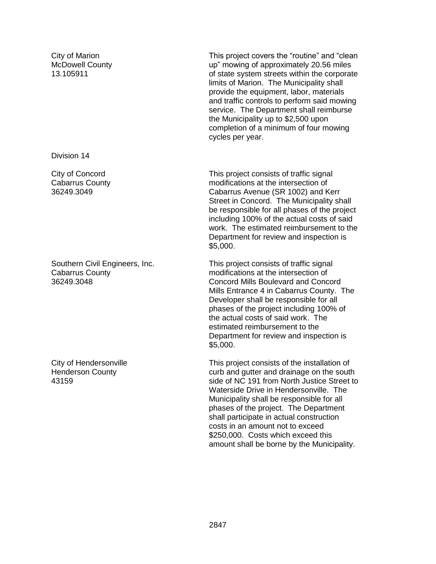City of Marion McDowell County 13.105911

Division 14

City of Concord Cabarrus County 36249.3049

Southern Civil Engineers, Inc. Cabarrus County 36249.3048

City of Hendersonville Henderson County 43159

This project covers the "routine" and "clean up" mowing of approximately 20.56 miles of state system streets within the corporate limits of Marion. The Municipality shall provide the equipment, labor, materials and traffic controls to perform said mowing service. The Department shall reimburse the Municipality up to \$2,500 upon completion of a minimum of four mowing cycles per year.

This project consists of traffic signal modifications at the intersection of Cabarrus Avenue (SR 1002) and Kerr Street in Concord. The Municipality shall be responsible for all phases of the project including 100% of the actual costs of said work. The estimated reimbursement to the Department for review and inspection is \$5,000.

This project consists of traffic signal modifications at the intersection of Concord Mills Boulevard and Concord Mills Entrance 4 in Cabarrus County. The Developer shall be responsible for all phases of the project including 100% of the actual costs of said work. The estimated reimbursement to the Department for review and inspection is \$5,000.

This project consists of the installation of curb and gutter and drainage on the south side of NC 191 from North Justice Street to Waterside Drive in Hendersonville. The Municipality shall be responsible for all phases of the project. The Department shall participate in actual construction costs in an amount not to exceed \$250,000. Costs which exceed this amount shall be borne by the Municipality.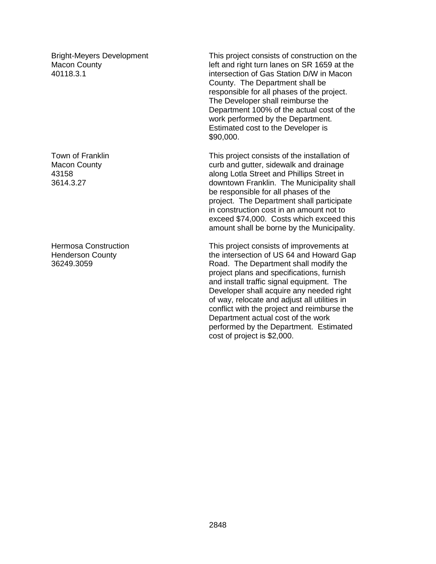Bright-Meyers Development Macon County 40118.3.1

Town of Franklin Macon County 43158 3614.3.27

Hermosa Construction Henderson County 36249.3059

This project consists of construction on the left and right turn lanes on SR 1659 at the intersection of Gas Station D/W in Macon County. The Department shall be responsible for all phases of the project. The Developer shall reimburse the Department 100% of the actual cost of the work performed by the Department. Estimated cost to the Developer is \$90,000.

This project consists of the installation of curb and gutter, sidewalk and drainage along Lotla Street and Phillips Street in downtown Franklin. The Municipality shall be responsible for all phases of the project. The Department shall participate in construction cost in an amount not to exceed \$74,000. Costs which exceed this amount shall be borne by the Municipality.

This project consists of improvements at the intersection of US 64 and Howard Gap Road. The Department shall modify the project plans and specifications, furnish and install traffic signal equipment. The Developer shall acquire any needed right of way, relocate and adjust all utilities in conflict with the project and reimburse the Department actual cost of the work performed by the Department. Estimated cost of project is \$2,000.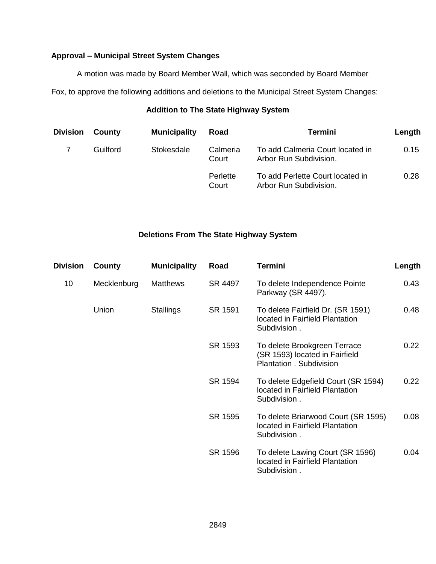## **Approval – Municipal Street System Changes**

A motion was made by Board Member Wall, which was seconded by Board Member

Fox, to approve the following additions and deletions to the Municipal Street System Changes:

## **Addition to The State Highway System**

| <b>Division</b> | County   | <b>Municipality</b> | Road              | Termini                                                    | Length |
|-----------------|----------|---------------------|-------------------|------------------------------------------------------------|--------|
|                 | Guilford | Stokesdale          | Calmeria<br>Court | To add Calmeria Court located in<br>Arbor Run Subdivision. | 0.15   |
|                 |          |                     | Perlette<br>Court | To add Perlette Court located in<br>Arbor Run Subdivision. | 0.28   |

## **Deletions From The State Highway System**

| <b>Division</b> | County      | <b>Municipality</b> | Road    | <b>Termini</b>                                                                             | Length |
|-----------------|-------------|---------------------|---------|--------------------------------------------------------------------------------------------|--------|
| 10              | Mecklenburg | <b>Matthews</b>     | SR 4497 | To delete Independence Pointe<br>Parkway (SR 4497).                                        | 0.43   |
|                 | Union       | <b>Stallings</b>    | SR 1591 | To delete Fairfield Dr. (SR 1591)<br>located in Fairfield Plantation<br>Subdivision.       | 0.48   |
|                 |             |                     | SR 1593 | To delete Brookgreen Terrace<br>(SR 1593) located in Fairfield<br>Plantation . Subdivision | 0.22   |
|                 |             |                     | SR 1594 | To delete Edgefield Court (SR 1594)<br>located in Fairfield Plantation<br>Subdivision.     | 0.22   |
|                 |             |                     | SR 1595 | To delete Briarwood Court (SR 1595)<br>located in Fairfield Plantation<br>Subdivision.     | 0.08   |
|                 |             |                     | SR 1596 | To delete Lawing Court (SR 1596)<br>located in Fairfield Plantation<br>Subdivision.        | 0.04   |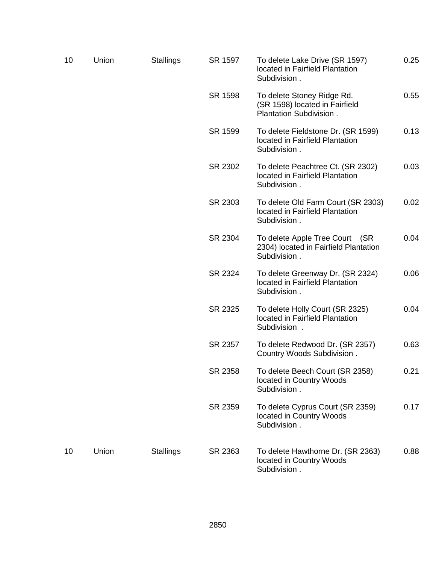| 10 | Union | <b>Stallings</b> | SR 1597 | To delete Lake Drive (SR 1597)<br>located in Fairfield Plantation<br>Subdivision.       | 0.25 |
|----|-------|------------------|---------|-----------------------------------------------------------------------------------------|------|
|    |       |                  | SR 1598 | To delete Stoney Ridge Rd.<br>(SR 1598) located in Fairfield<br>Plantation Subdivision. | 0.55 |
|    |       |                  | SR 1599 | To delete Fieldstone Dr. (SR 1599)<br>located in Fairfield Plantation<br>Subdivision.   | 0.13 |
|    |       |                  | SR 2302 | To delete Peachtree Ct. (SR 2302)<br>located in Fairfield Plantation<br>Subdivision.    | 0.03 |
|    |       |                  | SR 2303 | To delete Old Farm Court (SR 2303)<br>located in Fairfield Plantation<br>Subdivision.   | 0.02 |
|    |       |                  | SR 2304 | To delete Apple Tree Court (SR<br>2304) located in Fairfield Plantation<br>Subdivision. | 0.04 |
|    |       |                  | SR 2324 | To delete Greenway Dr. (SR 2324)<br>located in Fairfield Plantation<br>Subdivision.     | 0.06 |
|    |       |                  | SR 2325 | To delete Holly Court (SR 2325)<br>located in Fairfield Plantation<br>Subdivision .     | 0.04 |
|    |       |                  | SR 2357 | To delete Redwood Dr. (SR 2357)<br>Country Woods Subdivision.                           | 0.63 |
|    |       |                  | SR 2358 | To delete Beech Court (SR 2358)<br>located in Country Woods<br>Subdivision.             | 0.21 |
|    |       |                  | SR 2359 | To delete Cyprus Court (SR 2359)<br>located in Country Woods<br>Subdivision.            | 0.17 |
| 10 | Union | <b>Stallings</b> | SR 2363 | To delete Hawthorne Dr. (SR 2363)<br>located in Country Woods<br>Subdivision.           | 0.88 |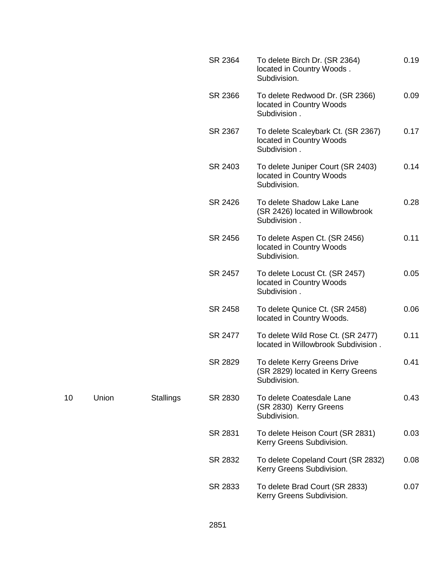|    |       |                  | SR 2364 | To delete Birch Dr. (SR 2364)<br>located in Country Woods.<br>Subdivision.        | 0.19 |
|----|-------|------------------|---------|-----------------------------------------------------------------------------------|------|
|    |       |                  | SR 2366 | To delete Redwood Dr. (SR 2366)<br>located in Country Woods<br>Subdivision.       | 0.09 |
|    |       |                  | SR 2367 | To delete Scaleybark Ct. (SR 2367)<br>located in Country Woods<br>Subdivision.    | 0.17 |
|    |       |                  | SR 2403 | To delete Juniper Court (SR 2403)<br>located in Country Woods<br>Subdivision.     | 0.14 |
|    |       |                  | SR 2426 | To delete Shadow Lake Lane<br>(SR 2426) located in Willowbrook<br>Subdivision.    | 0.28 |
|    |       |                  | SR 2456 | To delete Aspen Ct. (SR 2456)<br>located in Country Woods<br>Subdivision.         | 0.11 |
|    |       |                  | SR 2457 | To delete Locust Ct. (SR 2457)<br>located in Country Woods<br>Subdivision.        | 0.05 |
|    |       |                  | SR 2458 | To delete Qunice Ct. (SR 2458)<br>located in Country Woods.                       | 0.06 |
|    |       |                  | SR 2477 | To delete Wild Rose Ct. (SR 2477)<br>located in Willowbrook Subdivision.          | 0.11 |
|    |       |                  | SR 2829 | To delete Kerry Greens Drive<br>(SR 2829) located in Kerry Greens<br>Subdivision. | 0.41 |
| 10 | Union | <b>Stallings</b> | SR 2830 | To delete Coatesdale Lane<br>(SR 2830) Kerry Greens<br>Subdivision.               | 0.43 |
|    |       |                  | SR 2831 | To delete Heison Court (SR 2831)<br>Kerry Greens Subdivision.                     | 0.03 |
|    |       |                  | SR 2832 | To delete Copeland Court (SR 2832)<br>Kerry Greens Subdivision.                   | 0.08 |
|    |       |                  | SR 2833 | To delete Brad Court (SR 2833)<br>Kerry Greens Subdivision.                       | 0.07 |
|    |       |                  |         |                                                                                   |      |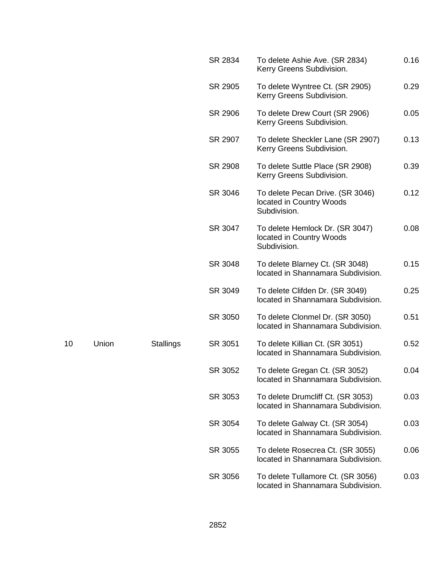|    |       |                  | SR 2834 | To delete Ashie Ave. (SR 2834)<br>Kerry Greens Subdivision.                  | 0.16 |
|----|-------|------------------|---------|------------------------------------------------------------------------------|------|
|    |       |                  | SR 2905 | To delete Wyntree Ct. (SR 2905)<br>Kerry Greens Subdivision.                 | 0.29 |
|    |       |                  | SR 2906 | To delete Drew Court (SR 2906)<br>Kerry Greens Subdivision.                  | 0.05 |
|    |       |                  | SR 2907 | To delete Sheckler Lane (SR 2907)<br>Kerry Greens Subdivision.               | 0.13 |
|    |       |                  | SR 2908 | To delete Suttle Place (SR 2908)<br>Kerry Greens Subdivision.                | 0.39 |
|    |       |                  | SR 3046 | To delete Pecan Drive. (SR 3046)<br>located in Country Woods<br>Subdivision. | 0.12 |
|    |       |                  | SR 3047 | To delete Hemlock Dr. (SR 3047)<br>located in Country Woods<br>Subdivision.  | 0.08 |
|    |       |                  | SR 3048 | To delete Blarney Ct. (SR 3048)<br>located in Shannamara Subdivision.        | 0.15 |
|    |       |                  | SR 3049 | To delete Clifden Dr. (SR 3049)<br>located in Shannamara Subdivision.        | 0.25 |
|    |       |                  | SR 3050 | To delete Clonmel Dr. (SR 3050)<br>located in Shannamara Subdivision.        | 0.51 |
| 10 | Union | <b>Stallings</b> | SR 3051 | To delete Killian Ct. (SR 3051)<br>located in Shannamara Subdivision.        | 0.52 |
|    |       |                  | SR 3052 | To delete Gregan Ct. (SR 3052)<br>located in Shannamara Subdivision.         | 0.04 |
|    |       |                  | SR 3053 | To delete Drumcliff Ct. (SR 3053)<br>located in Shannamara Subdivision.      | 0.03 |
|    |       |                  | SR 3054 | To delete Galway Ct. (SR 3054)<br>located in Shannamara Subdivision.         | 0.03 |
|    |       |                  | SR 3055 | To delete Rosecrea Ct. (SR 3055)<br>located in Shannamara Subdivision.       | 0.06 |
|    |       |                  | SR 3056 | To delete Tullamore Ct. (SR 3056)<br>located in Shannamara Subdivision.      | 0.03 |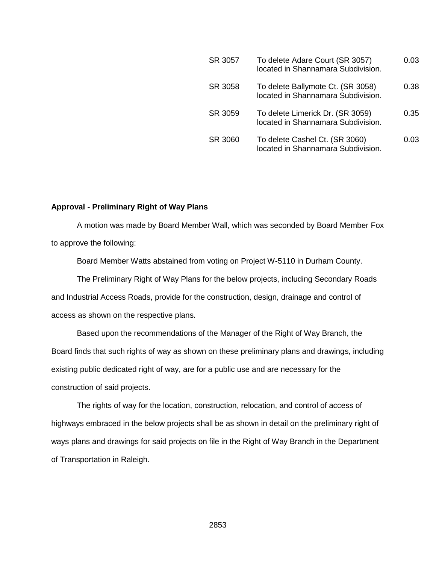| SR 3057 | To delete Adare Court (SR 3057)<br>located in Shannamara Subdivision.   | 0.03 |
|---------|-------------------------------------------------------------------------|------|
| SR 3058 | To delete Ballymote Ct. (SR 3058)<br>located in Shannamara Subdivision. | 0.38 |
| SR 3059 | To delete Limerick Dr. (SR 3059)<br>located in Shannamara Subdivision.  | 0.35 |
| SR 3060 | To delete Cashel Ct. (SR 3060)<br>located in Shannamara Subdivision.    | 0.03 |

#### **Approval - Preliminary Right of Way Plans**

A motion was made by Board Member Wall, which was seconded by Board Member Fox to approve the following:

Board Member Watts abstained from voting on Project W-5110 in Durham County.

The Preliminary Right of Way Plans for the below projects, including Secondary Roads and Industrial Access Roads, provide for the construction, design, drainage and control of access as shown on the respective plans.

Based upon the recommendations of the Manager of the Right of Way Branch, the Board finds that such rights of way as shown on these preliminary plans and drawings, including existing public dedicated right of way, are for a public use and are necessary for the construction of said projects.

The rights of way for the location, construction, relocation, and control of access of highways embraced in the below projects shall be as shown in detail on the preliminary right of ways plans and drawings for said projects on file in the Right of Way Branch in the Department of Transportation in Raleigh.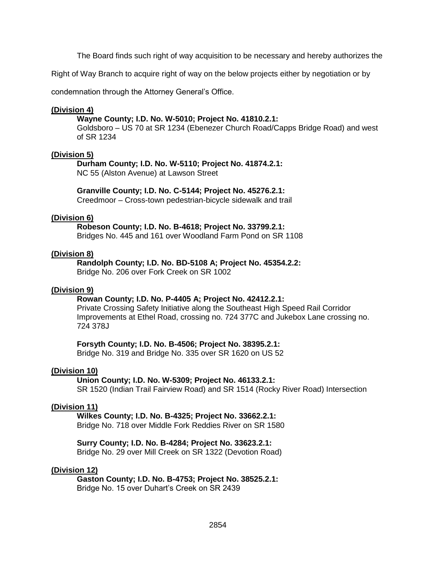The Board finds such right of way acquisition to be necessary and hereby authorizes the

Right of Way Branch to acquire right of way on the below projects either by negotiation or by

condemnation through the Attorney General's Office.

## **(Division 4)**

#### **Wayne County; I.D. No. W-5010; Project No. 41810.2.1:**

Goldsboro – US 70 at SR 1234 (Ebenezer Church Road/Capps Bridge Road) and west of SR 1234

#### **(Division 5)**

## **Durham County; I.D. No. W-5110; Project No. 41874.2.1:**

NC 55 (Alston Avenue) at Lawson Street

## **Granville County; I.D. No. C-5144; Project No. 45276.2.1:**

Creedmoor – Cross-town pedestrian-bicycle sidewalk and trail

#### **(Division 6)**

**Robeson County; I.D. No. B-4618; Project No. 33799.2.1:** Bridges No. 445 and 161 over Woodland Farm Pond on SR 1108

#### **(Division 8)**

## **Randolph County; I.D. No. BD-5108 A; Project No. 45354.2.2:**

Bridge No. 206 over Fork Creek on SR 1002

#### **(Division 9)**

#### **Rowan County; I.D. No. P-4405 A; Project No. 42412.2.1:**

Private Crossing Safety Initiative along the Southeast High Speed Rail Corridor Improvements at Ethel Road, crossing no. 724 377C and Jukebox Lane crossing no. 724 378J

#### **Forsyth County; I.D. No. B-4506; Project No. 38395.2.1:**

Bridge No. 319 and Bridge No. 335 over SR 1620 on US 52

#### **(Division 10)**

#### **Union County; I.D. No. W-5309; Project No. 46133.2.1:**

SR 1520 (Indian Trail Fairview Road) and SR 1514 (Rocky River Road) Intersection

## **(Division 11)**

#### **Wilkes County; I.D. No. B-4325; Project No. 33662.2.1:** Bridge No. 718 over Middle Fork Reddies River on SR 1580

#### **Surry County; I.D. No. B-4284; Project No. 33623.2.1:**

Bridge No. 29 over Mill Creek on SR 1322 (Devotion Road)

#### **(Division 12)**

**Gaston County; I.D. No. B-4753; Project No. 38525.2.1:**

Bridge No. 15 over Duhart's Creek on SR 2439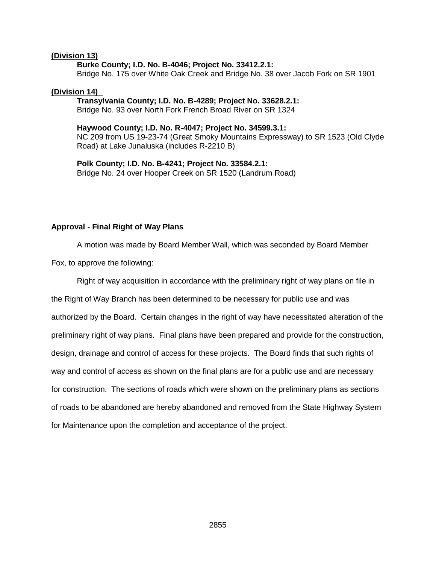#### **(Division 13)**

#### **Burke County; I.D. No. B-4046; Project No. 33412.2.1:**

Bridge No. 175 over White Oak Creek and Bridge No. 38 over Jacob Fork on SR 1901

#### **(Division 14)**

## **Transylvania County; I.D. No. B-4289; Project No. 33628.2.1:**

Bridge No. 93 over North Fork French Broad River on SR 1324

#### **Haywood County; I.D. No. R-4047; Project No. 34599.3.1:**

NC 209 from US 19-23-74 (Great Smoky Mountains Expressway) to SR 1523 (Old Clyde Road) at Lake Junaluska (includes R-2210 B)

**Polk County; I.D. No. B-4241; Project No. 33584.2.1:**

Bridge No. 24 over Hooper Creek on SR 1520 (Landrum Road)

#### **Approval - Final Right of Way Plans**

A motion was made by Board Member Wall, which was seconded by Board Member

Fox, to approve the following:

Right of way acquisition in accordance with the preliminary right of way plans on file in

the Right of Way Branch has been determined to be necessary for public use and was authorized by the Board. Certain changes in the right of way have necessitated alteration of the preliminary right of way plans. Final plans have been prepared and provide for the construction, design, drainage and control of access for these projects. The Board finds that such rights of way and control of access as shown on the final plans are for a public use and are necessary for construction. The sections of roads which were shown on the preliminary plans as sections of roads to be abandoned are hereby abandoned and removed from the State Highway System

for Maintenance upon the completion and acceptance of the project.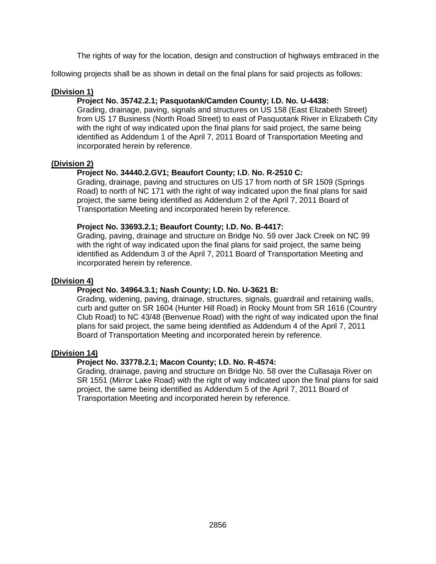The rights of way for the location, design and construction of highways embraced in the

following projects shall be as shown in detail on the final plans for said projects as follows:

## **(Division 1)**

## **Project No. 35742.2.1; Pasquotank/Camden County; I.D. No. U-4438:**

Grading, drainage, paving, signals and structures on US 158 (East Elizabeth Street) from US 17 Business (North Road Street) to east of Pasquotank River in Elizabeth City with the right of way indicated upon the final plans for said project, the same being identified as Addendum 1 of the April 7, 2011 Board of Transportation Meeting and incorporated herein by reference.

## **(Division 2)**

## **Project No. 34440.2.GV1; Beaufort County; I.D. No. R-2510 C:**

Grading, drainage, paving and structures on US 17 from north of SR 1509 (Springs Road) to north of NC 171 with the right of way indicated upon the final plans for said project, the same being identified as Addendum 2 of the April 7, 2011 Board of Transportation Meeting and incorporated herein by reference.

## **Project No. 33693.2.1; Beaufort County; I.D. No. B-4417:**

Grading, paving, drainage and structure on Bridge No. 59 over Jack Creek on NC 99 with the right of way indicated upon the final plans for said project, the same being identified as Addendum 3 of the April 7, 2011 Board of Transportation Meeting and incorporated herein by reference.

## **(Division 4)**

## **Project No. 34964.3.1; Nash County; I.D. No. U-3621 B:**

Grading, widening, paving, drainage, structures, signals, guardrail and retaining walls, curb and gutter on SR 1604 (Hunter Hill Road) in Rocky Mount from SR 1616 (Country Club Road) to NC 43/48 (Benvenue Road) with the right of way indicated upon the final plans for said project, the same being identified as Addendum 4 of the April 7, 2011 Board of Transportation Meeting and incorporated herein by reference.

## **(Division 14)**

## **Project No. 33778.2.1; Macon County; I.D. No. R-4574:**

Grading, drainage, paving and structure on Bridge No. 58 over the Cullasaja River on SR 1551 (Mirror Lake Road) with the right of way indicated upon the final plans for said project, the same being identified as Addendum 5 of the April 7, 2011 Board of Transportation Meeting and incorporated herein by reference.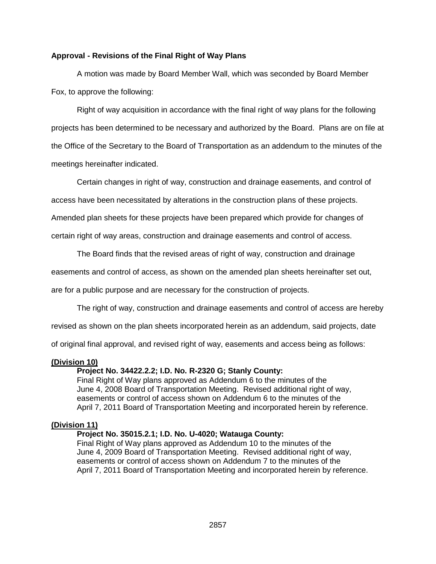## **Approval - Revisions of the Final Right of Way Plans**

A motion was made by Board Member Wall, which was seconded by Board Member Fox, to approve the following:

Right of way acquisition in accordance with the final right of way plans for the following projects has been determined to be necessary and authorized by the Board. Plans are on file at the Office of the Secretary to the Board of Transportation as an addendum to the minutes of the meetings hereinafter indicated.

Certain changes in right of way, construction and drainage easements, and control of

access have been necessitated by alterations in the construction plans of these projects.

Amended plan sheets for these projects have been prepared which provide for changes of

certain right of way areas, construction and drainage easements and control of access.

The Board finds that the revised areas of right of way, construction and drainage

easements and control of access, as shown on the amended plan sheets hereinafter set out,

are for a public purpose and are necessary for the construction of projects.

The right of way, construction and drainage easements and control of access are hereby

revised as shown on the plan sheets incorporated herein as an addendum, said projects, date

of original final approval, and revised right of way, easements and access being as follows:

#### **(Division 10)**

#### **Project No. 34422.2.2; I.D. No. R-2320 G; Stanly County:**

Final Right of Way plans approved as Addendum 6 to the minutes of the June 4, 2008 Board of Transportation Meeting. Revised additional right of way, easements or control of access shown on Addendum 6 to the minutes of the April 7, 2011 Board of Transportation Meeting and incorporated herein by reference.

#### **(Division 11)**

## **Project No. 35015.2.1; I.D. No. U-4020; Watauga County:**

Final Right of Way plans approved as Addendum 10 to the minutes of the June 4, 2009 Board of Transportation Meeting. Revised additional right of way, easements or control of access shown on Addendum 7 to the minutes of the April 7, 2011 Board of Transportation Meeting and incorporated herein by reference.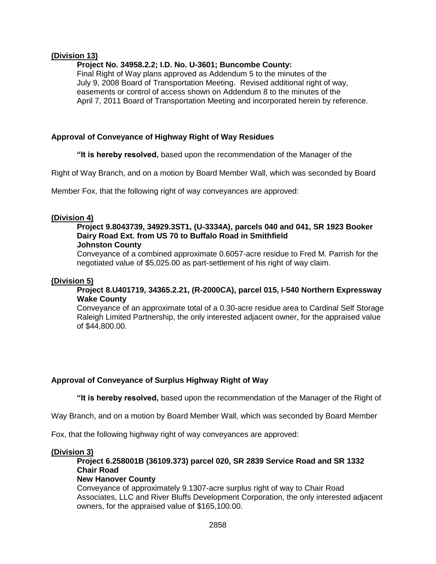## **(Division 13)**

## **Project No. 34958.2.2; I.D. No. U-3601; Buncombe County:**

Final Right of Way plans approved as Addendum 5 to the minutes of the July 9, 2008 Board of Transportation Meeting. Revised additional right of way, easements or control of access shown on Addendum 8 to the minutes of the April 7, 2011 Board of Transportation Meeting and incorporated herein by reference.

## **Approval of Conveyance of Highway Right of Way Residues**

**"It is hereby resolved,** based upon the recommendation of the Manager of the

Right of Way Branch, and on a motion by Board Member Wall, which was seconded by Board

Member Fox, that the following right of way conveyances are approved:

## **(Division 4)**

#### **Project 9.8043739, 34929.3ST1, (U-3334A), parcels 040 and 041, SR 1923 Booker Dairy Road Ext. from US 70 to Buffalo Road in Smithfield Johnston County**

Conveyance of a combined approximate 0.6057-acre residue to Fred M. Parrish for the negotiated value of \$5,025.00 as part-settlement of his right of way claim.

## **(Division 5)**

## **Project 8.U401719, 34365.2.21, (R-2000CA), parcel 015, I-540 Northern Expressway Wake County**

Conveyance of an approximate total of a 0.30-acre residue area to Cardinal Self Storage Raleigh Limited Partnership, the only interested adjacent owner, for the appraised value of \$44,800.00.

## **Approval of Conveyance of Surplus Highway Right of Way**

**"It is hereby resolved,** based upon the recommendation of the Manager of the Right of

Way Branch, and on a motion by Board Member Wall, which was seconded by Board Member

Fox, that the following highway right of way conveyances are approved:

#### **(Division 3)**

## **Project 6.258001B (36109.373) parcel 020, SR 2839 Service Road and SR 1332 Chair Road**

## **New Hanover County**

Conveyance of approximately 9.1307-acre surplus right of way to Chair Road Associates, LLC and River Bluffs Development Corporation, the only interested adjacent owners, for the appraised value of \$165,100.00.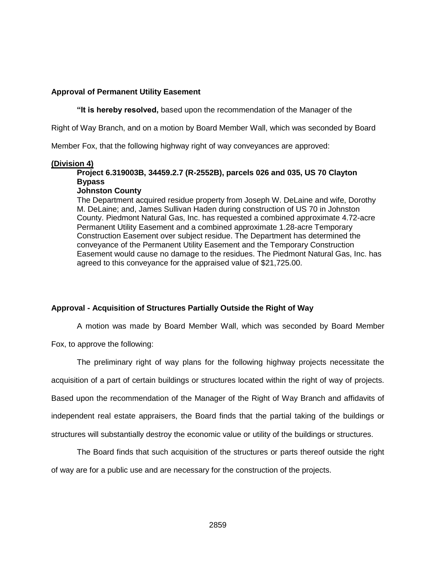#### **Approval of Permanent Utility Easement**

**"It is hereby resolved,** based upon the recommendation of the Manager of the

Right of Way Branch, and on a motion by Board Member Wall, which was seconded by Board

Member Fox, that the following highway right of way conveyances are approved:

## **(Division 4)**

## **Project 6.319003B, 34459.2.7 (R-2552B), parcels 026 and 035, US 70 Clayton Bypass**

## **Johnston County**

The Department acquired residue property from Joseph W. DeLaine and wife, Dorothy M. DeLaine; and, James Sullivan Haden during construction of US 70 in Johnston County. Piedmont Natural Gas, Inc. has requested a combined approximate 4.72-acre Permanent Utility Easement and a combined approximate 1.28-acre Temporary Construction Easement over subject residue. The Department has determined the conveyance of the Permanent Utility Easement and the Temporary Construction Easement would cause no damage to the residues. The Piedmont Natural Gas, Inc. has agreed to this conveyance for the appraised value of \$21,725.00.

## **Approval - Acquisition of Structures Partially Outside the Right of Way**

A motion was made by Board Member Wall, which was seconded by Board Member

Fox, to approve the following:

The preliminary right of way plans for the following highway projects necessitate the acquisition of a part of certain buildings or structures located within the right of way of projects. Based upon the recommendation of the Manager of the Right of Way Branch and affidavits of independent real estate appraisers, the Board finds that the partial taking of the buildings or structures will substantially destroy the economic value or utility of the buildings or structures.

The Board finds that such acquisition of the structures or parts thereof outside the right of way are for a public use and are necessary for the construction of the projects.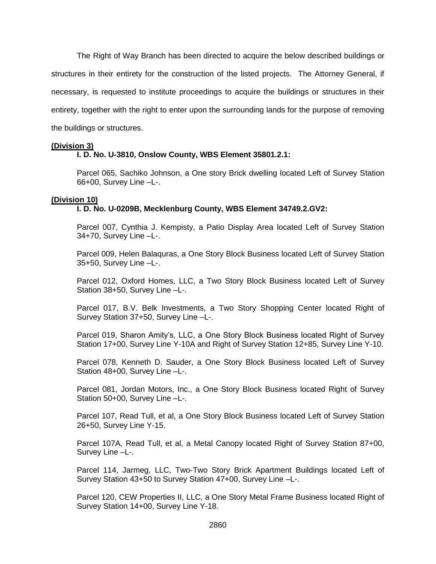The Right of Way Branch has been directed to acquire the below described buildings or structures in their entirety for the construction of the listed projects. The Attorney General, if necessary, is requested to institute proceedings to acquire the buildings or structures in their entirety, together with the right to enter upon the surrounding lands for the purpose of removing the buildings or structures.

## **(Division 3)**

## **I. D. No. U-3810, Onslow County, WBS Element 35801.2.1:**

Parcel 065, Sachiko Johnson, a One story Brick dwelling located Left of Survey Station 66+00, Survey Line –L-.

## **(Division 10)**

## **I. D. No. U-0209B, Mecklenburg County, WBS Element 34749.2.GV2:**

Parcel 007, Cynthia J. Kempisty, a Patio Display Area located Left of Survey Station 34+70, Survey Line –L-.

Parcel 009, Helen Balaquras, a One Story Block Business located Left of Survey Station 35+50, Survey Line –L-.

Parcel 012, Oxford Homes, LLC, a Two Story Block Business located Left of Survey Station 38+50, Survey Line –L-.

Parcel 017, B.V. Belk Investments, a Two Story Shopping Center located Right of Survey Station 37+50, Survey Line –L-.

Parcel 019, Sharon Amity's, LLC, a One Story Block Business located Right of Survey Station 17+00, Survey Line Y-10A and Right of Survey Station 12+85, Survey Line Y-10.

Parcel 078, Kenneth D. Sauder, a One Story Block Business located Left of Survey Station 48+00, Survey Line –L-.

Parcel 081, Jordan Motors, Inc., a One Story Block Business located Right of Survey Station 50+00, Survey Line –L-.

Parcel 107, Read Tull, et al, a One Story Block Business located Left of Survey Station 26+50, Survey Line Y-15.

Parcel 107A, Read Tull, et al, a Metal Canopy located Right of Survey Station 87+00, Survey Line –L-.

Parcel 114, Jarmeg, LLC, Two-Two Story Brick Apartment Buildings located Left of Survey Station 43+50 to Survey Station 47+00, Survey Line –L-.

Parcel 120, CEW Properties II, LLC, a One Story Metal Frame Business located Right of Survey Station 14+00, Survey Line Y-18.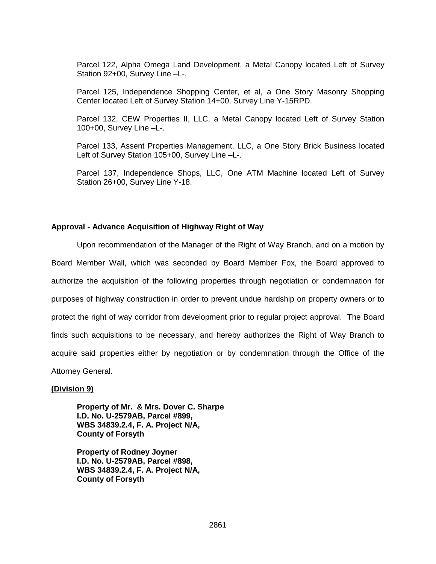Parcel 122, Alpha Omega Land Development, a Metal Canopy located Left of Survey Station 92+00, Survey Line –L-.

Parcel 125, Independence Shopping Center, et al, a One Story Masonry Shopping Center located Left of Survey Station 14+00, Survey Line Y-15RPD.

Parcel 132, CEW Properties II, LLC, a Metal Canopy located Left of Survey Station 100+00, Survey Line –L-.

Parcel 133, Assent Properties Management, LLC, a One Story Brick Business located Left of Survey Station 105+00, Survey Line –L-.

Parcel 137, Independence Shops, LLC, One ATM Machine located Left of Survey Station 26+00, Survey Line Y-18.

#### **Approval - Advance Acquisition of Highway Right of Way**

Upon recommendation of the Manager of the Right of Way Branch, and on a motion by Board Member Wall, which was seconded by Board Member Fox, the Board approved to authorize the acquisition of the following properties through negotiation or condemnation for purposes of highway construction in order to prevent undue hardship on property owners or to protect the right of way corridor from development prior to regular project approval. The Board finds such acquisitions to be necessary, and hereby authorizes the Right of Way Branch to acquire said properties either by negotiation or by condemnation through the Office of the Attorney General.

#### **(Division 9)**

**Property of Mr. & Mrs. Dover C. Sharpe I.D. No. U-2579AB, Parcel #899, WBS 34839.2.4, F. A. Project N/A, County of Forsyth**

**Property of Rodney Joyner I.D. No. U-2579AB, Parcel #898, WBS 34839.2.4, F. A. Project N/A, County of Forsyth**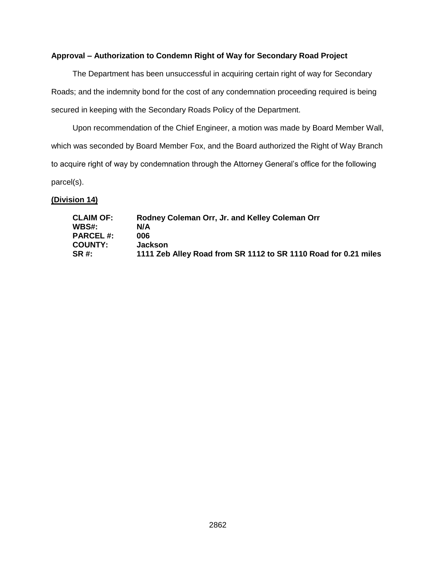## **Approval – Authorization to Condemn Right of Way for Secondary Road Project**

The Department has been unsuccessful in acquiring certain right of way for Secondary Roads; and the indemnity bond for the cost of any condemnation proceeding required is being secured in keeping with the Secondary Roads Policy of the Department.

Upon recommendation of the Chief Engineer, a motion was made by Board Member Wall, which was seconded by Board Member Fox, and the Board authorized the Right of Way Branch to acquire right of way by condemnation through the Attorney General's office for the following parcel(s).

### **(Division 14)**

| <b>CLAIM OF:</b> | Rodney Coleman Orr, Jr. and Kelley Coleman Orr                  |
|------------------|-----------------------------------------------------------------|
| <b>WBS#:</b>     | N/A                                                             |
| <b>PARCEL#:</b>  | 006                                                             |
| <b>COUNTY:</b>   | <b>Jackson</b>                                                  |
| SR #:            | 1111 Zeb Alley Road from SR 1112 to SR 1110 Road for 0.21 miles |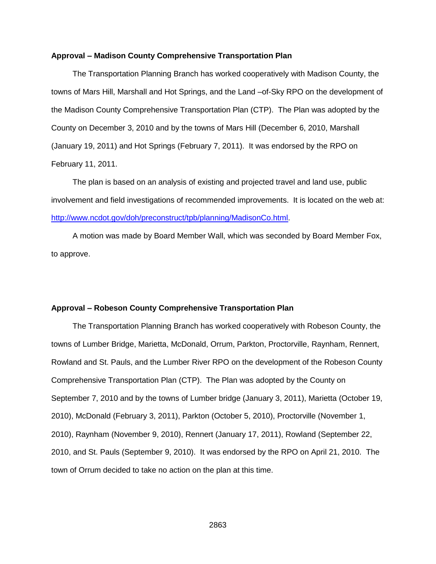#### **Approval – Madison County Comprehensive Transportation Plan**

The Transportation Planning Branch has worked cooperatively with Madison County, the towns of Mars Hill, Marshall and Hot Springs, and the Land –of-Sky RPO on the development of the Madison County Comprehensive Transportation Plan (CTP). The Plan was adopted by the County on December 3, 2010 and by the towns of Mars Hill (December 6, 2010, Marshall (January 19, 2011) and Hot Springs (February 7, 2011). It was endorsed by the RPO on February 11, 2011.

The plan is based on an analysis of existing and projected travel and land use, public involvement and field investigations of recommended improvements. It is located on the web at: [http://www.ncdot.gov/doh/preconstruct/tpb/planning/MadisonCo.html.](http://www.ncdot.gov/doh/preconstruct/tpb/planning/MadisonCo.html)

A motion was made by Board Member Wall, which was seconded by Board Member Fox, to approve.

#### **Approval – Robeson County Comprehensive Transportation Plan**

The Transportation Planning Branch has worked cooperatively with Robeson County, the towns of Lumber Bridge, Marietta, McDonald, Orrum, Parkton, Proctorville, Raynham, Rennert, Rowland and St. Pauls, and the Lumber River RPO on the development of the Robeson County Comprehensive Transportation Plan (CTP). The Plan was adopted by the County on September 7, 2010 and by the towns of Lumber bridge (January 3, 2011), Marietta (October 19, 2010), McDonald (February 3, 2011), Parkton (October 5, 2010), Proctorville (November 1, 2010), Raynham (November 9, 2010), Rennert (January 17, 2011), Rowland (September 22, 2010, and St. Pauls (September 9, 2010). It was endorsed by the RPO on April 21, 2010. The town of Orrum decided to take no action on the plan at this time.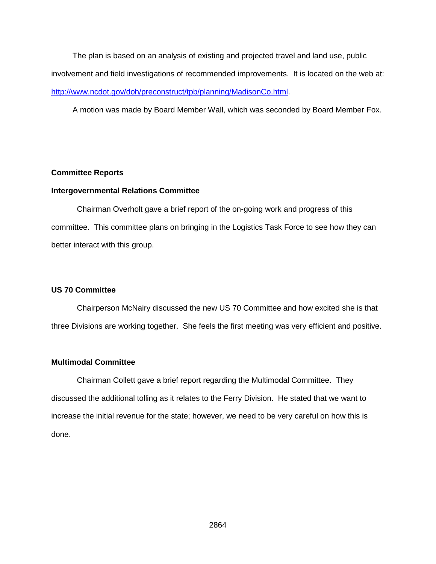The plan is based on an analysis of existing and projected travel and land use, public involvement and field investigations of recommended improvements. It is located on the web at: [http://www.ncdot.gov/doh/preconstruct/tpb/planning/MadisonCo.html.](http://www.ncdot.gov/doh/preconstruct/tpb/planning/MadisonCo.html)

A motion was made by Board Member Wall, which was seconded by Board Member Fox.

#### **Committee Reports**

#### **Intergovernmental Relations Committee**

Chairman Overholt gave a brief report of the on-going work and progress of this committee. This committee plans on bringing in the Logistics Task Force to see how they can better interact with this group.

## **US 70 Committee**

Chairperson McNairy discussed the new US 70 Committee and how excited she is that three Divisions are working together. She feels the first meeting was very efficient and positive.

## **Multimodal Committee**

Chairman Collett gave a brief report regarding the Multimodal Committee. They discussed the additional tolling as it relates to the Ferry Division. He stated that we want to increase the initial revenue for the state; however, we need to be very careful on how this is done.